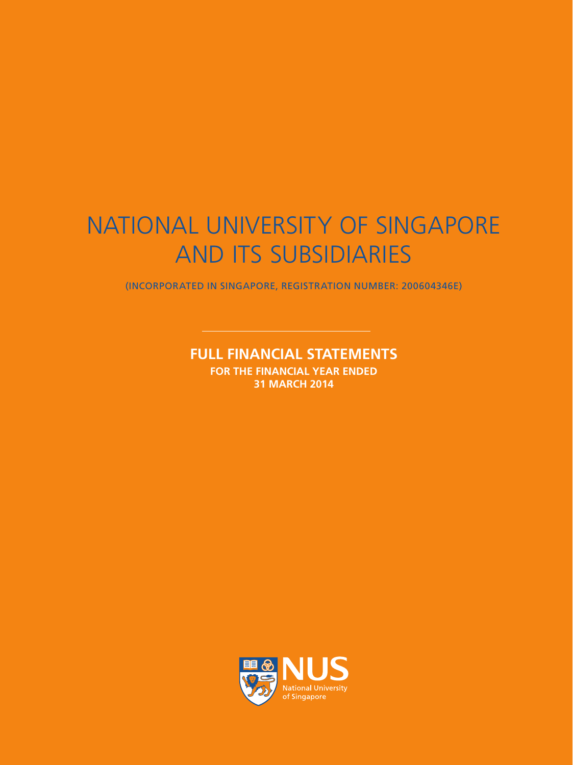(INCORPORATED IN SINGAPORE, REGISTRATION NUMBER: 200604346E)

**FULL FINANCIAL STATEMENTS FOR THE FINANCIAL YEAR ENDED 31 MARCH 2014**

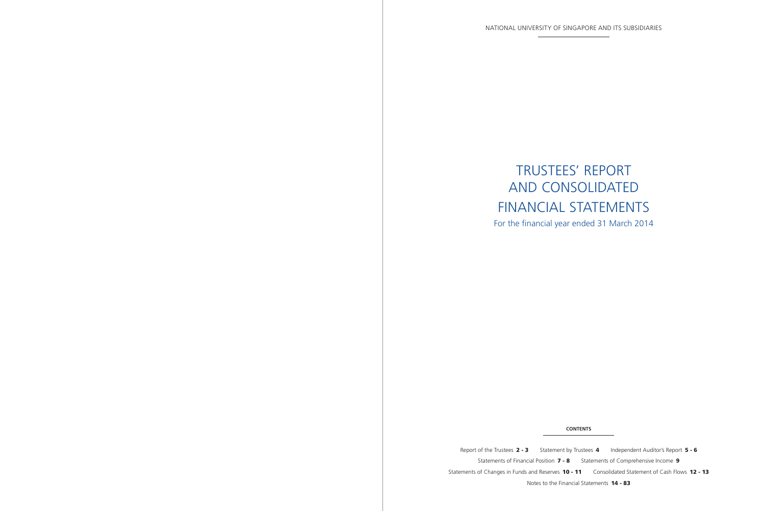# TRUSTEES' REPORT AND CONSOLIDATED FINANCIAL STATEMENTS For the financial year ended 31 March 2014

**CONTENTS**

Report of the Trustees 2 - 3 Statement by Trustees 4 Independent Auditor's Report 5 - 6 Statements of Financial Position 7 - 8 Statements of Comprehensive Income 9 Statements of Changes in Funds and Reserves 10 - 11 Consolidated Statement of Cash Flows 12 - 13 Notes to the Financial Statements **14 - 83**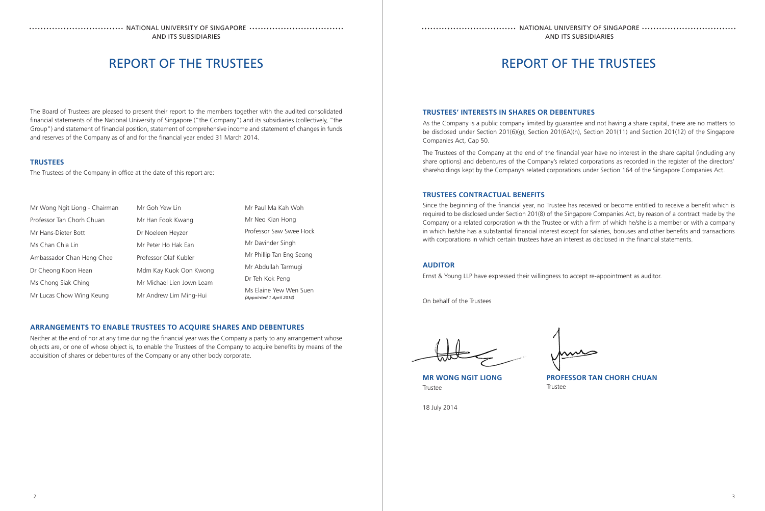REPORT OF THE TRUSTEES

# REPORT OF THE TRUSTEES

The Board of Trustees are pleased to present their report to the members together with the audited consolidated financial statements of the National University of Singapore ("the Company") and its subsidiaries (collectively, "the Group") and statement of financial position, statement of comprehensive income and statement of changes in funds and reserves of the Company as of and for the financial year ended 31 March 2014.

## **TRUSTEES**

The Trustees of the Company in office at the date of this report are:

| Mr Wong Ngit Liong - Chairman | Mr Goh Yew Lin            | Mr Paul Ma Kah Woh                                 |
|-------------------------------|---------------------------|----------------------------------------------------|
| Professor Tan Chorh Chuan     | Mr Han Fook Kwang         | Mr Neo Kian Hong                                   |
| Mr Hans-Dieter Bott           | Dr Noeleen Heyzer         | Professor Saw Swee Hock                            |
| Ms Chan Chia Lin              | Mr Peter Ho Hak Ean       | Mr Davinder Singh                                  |
| Ambassador Chan Heng Chee     | Professor Olaf Kubler     | Mr Phillip Tan Eng Seong                           |
| Dr Cheong Koon Hean           | Mdm Kay Kuok Oon Kwong    | Mr Abdullah Tarmugi                                |
| Ms Chong Siak Ching           | Mr Michael Lien Jown Leam | Dr Teh Kok Peng                                    |
| Mr Lucas Chow Wing Keung      | Mr Andrew Lim Ming-Hui    | Ms Elaine Yew Wen Suen<br>(Appointed 1 April 2014) |

### **ARRANGEMENTS TO ENABLE TRUSTEES TO ACQUIRE SHARES AND DEBENTURES**

Neither at the end of nor at any time during the financial year was the Company a party to any arrangement whose objects are, or one of whose object is, to enable the Trustees of the Company to acquire benefits by means of the acquisition of shares or debentures of the Company or any other body corporate.

### **TRUSTEES' INTERESTS IN SHARES OR DEBENTURES**

As the Company is a public company limited by guarantee and not having a share capital, there are no matters to be disclosed under Section 201(6)(g), Section 201(6A)(h), Section 201(11) and Section 201(12) of the Singapore Companies Act, Cap 50.

The Trustees of the Company at the end of the financial year have no interest in the share capital (including any share options) and debentures of the Company's related corporations as recorded in the register of the directors' shareholdings kept by the Company's related corporations under Section 164 of the Singapore Companies Act.

### **TRUSTEES CONTRACTUAL BENEFITS**

Since the beginning of the financial year, no Trustee has received or become entitled to receive a benefit which is required to be disclosed under Section 201(8) of the Singapore Companies Act, by reason of a contract made by the Company or a related corporation with the Trustee or with a firm of which he/she is a member or with a company in which he/she has a substantial financial interest except for salaries, bonuses and other benefits and transactions with corporations in which certain trustees have an interest as disclosed in the financial statements.

### **AUDITOR**

Ernst & Young LLP have expressed their willingness to accept re-appointment as auditor.

On behalf of the Trustees

**MR WONG NGIT LIONG** Trustee

**PROFESSOR TAN CHORH CHUAN** Trustee

18 July 2014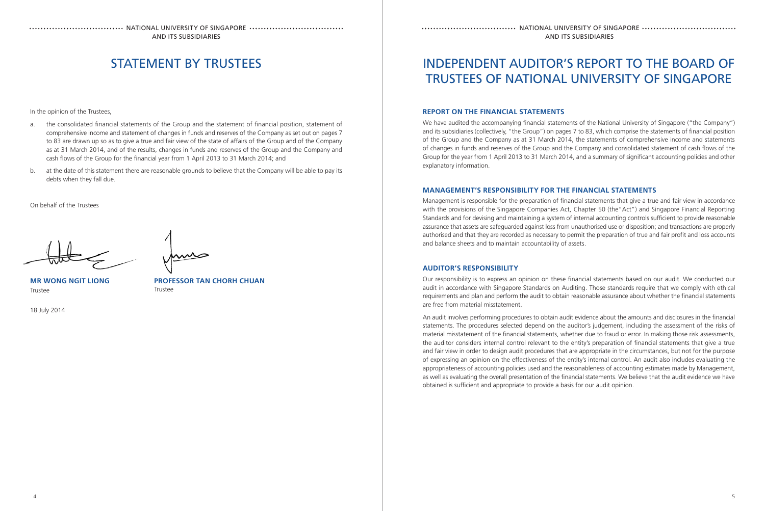# STATEMENT BY TRUSTEES

In the opinion of the Trustees,

- a. the consolidated financial statements of the Group and the statement of financial position, statement of comprehensive income and statement of changes in funds and reserves of the Company as set out on pages 7 to 83 are drawn up so as to give a true and fair view of the state of affairs of the Group and of the Company as at 31 March 2014, and of the results, changes in funds and reserves of the Group and the Company and cash flows of the Group for the financial year from 1 April 2013 to 31 March 2014; and
- b. at the date of this statement there are reasonable grounds to believe that the Company will be able to pay its debts when they fall due.

On behalf of the Trustees

Trustee

**PROFESSOR TAN CHORH CHUAN**

**MR WONG NGIT LIONG** Trustee

18 July 2014

# INDEPENDENT AUDITOR'S REPORT TO THE BOARD OF TRUSTEES OF NATIONAL UNIVERSITY OF SINGAPORE

#### **REPORT ON THE FINANCIAL STATEMENTS**

We have audited the accompanying financial statements of the National University of Singapore ("the Company") and its subsidiaries (collectively, "the Group") on pages 7 to 83, which comprise the statements of financial position of the Group and the Company as at 31 March 2014, the statements of comprehensive income and statements of changes in funds and reserves of the Group and the Company and consolidated statement of cash flows of the Group for the year from 1 April 2013 to 31 March 2014, and a summary of significant accounting policies and other explanatory information.

### **MANAGEMENT'S RESPONSIBILITY FOR THE FINANCIAL STATEMENTS**

Management is responsible for the preparation of financial statements that give a true and fair view in accordance with the provisions of the Singapore Companies Act, Chapter 50 (the"Act") and Singapore Financial Reporting Standards and for devising and maintaining a system of internal accounting controls sufficient to provide reasonable assurance that assets are safeguarded against loss from unauthorised use or disposition; and transactions are properly authorised and that they are recorded as necessary to permit the preparation of true and fair profit and loss accounts and balance sheets and to maintain accountability of assets.

#### **AUDITOR'S RESPONSIBILITY**

Our responsibility is to express an opinion on these financial statements based on our audit. We conducted our audit in accordance with Singapore Standards on Auditing. Those standards require that we comply with ethical requirements and plan and perform the audit to obtain reasonable assurance about whether the financial statements are free from material misstatement.

An audit involves performing procedures to obtain audit evidence about the amounts and disclosures in the financial statements. The procedures selected depend on the auditor's judgement, including the assessment of the risks of material misstatement of the financial statements, whether due to fraud or error. In making those risk assessments, the auditor considers internal control relevant to the entity's preparation of financial statements that give a true and fair view in order to design audit procedures that are appropriate in the circumstances, but not for the purpose of expressing an opinion on the effectiveness of the entity's internal control. An audit also includes evaluating the appropriateness of accounting policies used and the reasonableness of accounting estimates made by Management, as well as evaluating the overall presentation of the financial statements. We believe that the audit evidence we have obtained is sufficient and appropriate to provide a basis for our audit opinion.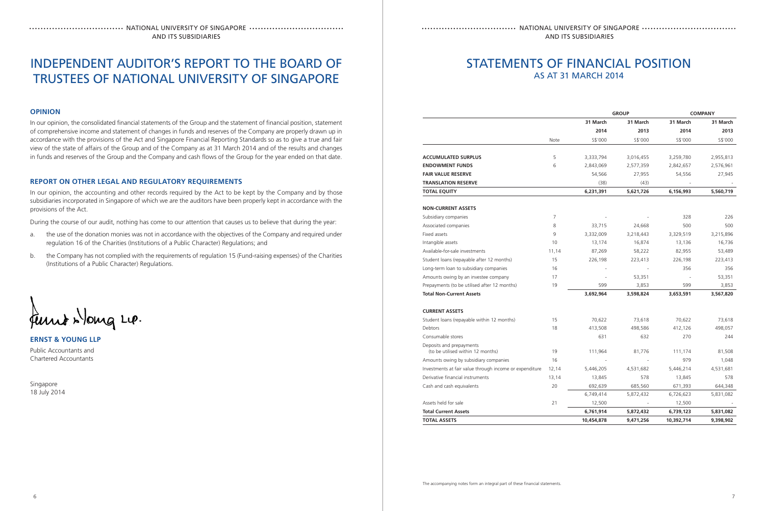# INDEPENDENT AUDITOR'S REPORT TO THE BOARD OF TRUSTEES OF NATIONAL UNIVERSITY OF SINGAPORE

### **OPINION**

In our opinion, the consolidated financial statements of the Group and the statement of financial position, statement of comprehensive income and statement of changes in funds and reserves of the Company are properly drawn up in accordance with the provisions of the Act and Singapore Financial Reporting Standards so as to give a true and fair view of the state of affairs of the Group and of the Company as at 31 March 2014 and of the results and changes in funds and reserves of the Group and the Company and cash flows of the Group for the year ended on that date.

### **REPORT ON OTHER LEGAL AND REGULATORY REQUIREMENTS**

In our opinion, the accounting and other records required by the Act to be kept by the Company and by those subsidiaries incorporated in Singapore of which we are the auditors have been properly kept in accordance with the provisions of the Act.

During the course of our audit, nothing has come to our attention that causes us to believe that during the year:

- a. the use of the donation monies was not in accordance with the objectives of the Company and required under regulation 16 of the Charities (Institutions of a Public Character) Regulations; and
- b. the Company has not complied with the requirements of regulation 15 (Fund-raising expenses) of the Charities (Institutions of a Public Character) Regulations.

funnt Dong Lip.

**ERNST & YOUNG LLP** Public Accountants and Chartered Accountants

Singapore 18 July 2014

## STATEMENTS OF FINANCIAL POSITION AS AT 31 MARCH 2014

|                                                               |       | <b>GROUP</b> |           | <b>COMPANY</b> |           |
|---------------------------------------------------------------|-------|--------------|-----------|----------------|-----------|
|                                                               |       | 31 March     | 31 March  | 31 March       | 31 March  |
|                                                               |       | 2014         | 2013      | 2014           | 2013      |
|                                                               | Note  | S\$'000      | S\$'000   | S\$'000        | S\$'000   |
|                                                               |       |              |           |                |           |
| <b>ACCUMULATED SURPLUS</b>                                    | 5     | 3,333,794    | 3,016,455 | 3,259,780      | 2,955,813 |
| <b>ENDOWMENT FUNDS</b>                                        | 6     | 2,843,069    | 2,577,359 | 2,842,657      | 2,576,961 |
| <b>FAIR VALUE RESERVE</b>                                     |       | 54,566       | 27,955    | 54,556         | 27,945    |
| <b>TRANSLATION RESERVE</b>                                    |       | (38)         | (43)      |                |           |
| <b>TOTAL EQUITY</b>                                           |       | 6,231,391    | 5,621,726 | 6,156,993      | 5,560,719 |
| <b>NON-CURRENT ASSETS</b>                                     |       |              |           |                |           |
| Subsidiary companies                                          | 7     |              |           | 328            | 226       |
| Associated companies                                          | 8     | 33,715       | 24,668    | 500            | 500       |
| Fixed assets                                                  | 9     | 3,332,009    | 3,218,443 | 3,329,519      | 3,215,896 |
| Intangible assets                                             | 10    | 13,174       | 16,874    | 13,136         | 16,736    |
| Available-for-sale investments                                | 11,14 | 87,269       | 58,222    | 82,955         | 53,489    |
| Student loans (repayable after 12 months)                     | 15    | 226,198      | 223,413   | 226,198        | 223,413   |
| Long-term loan to subsidiary companies                        | 16    |              |           | 356            | 356       |
| Amounts owing by an investee company                          | 17    |              | 53,351    |                | 53,351    |
| Prepayments (to be utilised after 12 months)                  | 19    | 599          | 3,853     | 599            | 3,853     |
| <b>Total Non-Current Assets</b>                               |       | 3,692,964    | 3,598,824 | 3,653,591      | 3,567,820 |
| <b>CURRENT ASSETS</b>                                         |       |              |           |                |           |
| Student loans (repayable within 12 months)                    | 15    | 70,622       | 73,618    | 70,622         | 73,618    |
| Debtors                                                       | 18    | 413,508      | 498,586   | 412,126        | 498,057   |
| Consumable stores                                             |       | 631          | 632       | 270            | 244       |
| Deposits and prepayments<br>(to be utilised within 12 months) | 19    | 111,964      | 81,776    | 111,174        | 81,508    |
| Amounts owing by subsidiary companies                         | 16    |              |           | 979            | 1,048     |
| Investments at fair value through income or expenditure       | 12,14 | 5,446,205    | 4,531,682 | 5,446,214      | 4,531,681 |
| Derivative financial instruments                              | 13,14 | 13,845       | 578       | 13,845         | 578       |
| Cash and cash equivalents                                     | 20    | 692,639      | 685,560   | 671,393        | 644,348   |
|                                                               |       | 6,749,414    | 5,872,432 | 6,726,623      | 5,831,082 |
| Assets held for sale                                          | 21    | 12,500       |           | 12,500         |           |
| <b>Total Current Assets</b>                                   |       | 6,761,914    | 5,872,432 | 6,739,123      | 5,831,082 |
| <b>TOTAL ASSETS</b>                                           |       | 10,454,878   | 9,471,256 | 10,392,714     | 9,398,902 |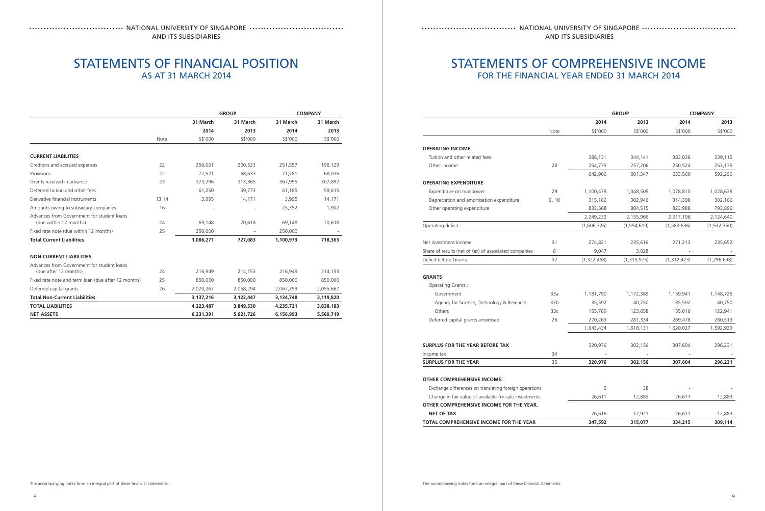## STATEMENTS OF FINANCIAL POSITION AS AT 31 MARCH 2014

|                                                                      |       | <b>GROUP</b> |           |           | <b>COMPANY</b> |
|----------------------------------------------------------------------|-------|--------------|-----------|-----------|----------------|
|                                                                      |       | 31 March     | 31 March  | 31 March  | 31 March       |
|                                                                      |       | 2014         | 2013      | 2014      | 2013           |
|                                                                      | Note  | S\$'000      | S\$'000   | S\$'000   | S\$'000        |
| <b>CURRENT LIABILITIES</b>                                           |       |              |           |           |                |
| Creditors and accrued expenses                                       | 22    | 256,061      | 200,523   | 251,557   | 196,129        |
| Provisions                                                           | 22    | 72,521       | 68,633    | 71,781    | 68,036         |
| Grants received in advance                                           | 23    | 373,296      | 313,365   | 367,955   | 307,892        |
| Deferred tuition and other fees                                      |       | 61,250       | 59,773    | 61,185    | 59,615         |
| Derivative financial instruments                                     | 13,14 | 3,995        | 14,171    | 3,995     | 14,171         |
| Amounts owing to subsidiary companies                                | 16    | ÷,           |           | 25,352    | 1,902          |
| Advances from Government for student loans<br>(due within 12 months) | 24    | 69,148       | 70,618    | 69,148    | 70,618         |
| Fixed rate note (due within 12 months)                               | 25    | 250,000      |           | 250,000   |                |
| <b>Total Current Liabilities</b>                                     |       | 1,086,271    | 727,083   | 1,100,973 | 718,363        |
| <b>NON-CURRENT LIABILITIES</b>                                       |       |              |           |           |                |
| Advances from Government for student loans<br>(due after 12 months)  | 24    | 216,949      | 214,153   | 216,949   | 214,153        |
| Fixed rate note and term loan (due after 12 months)                  | 25    | 850,000      | 850,000   | 850,000   | 850,000        |
| Deferred capital grants                                              | 26    | 2,070,267    | 2,058,294 | 2,067,799 | 2,055,667      |
| <b>Total Non-Current Liabilities</b>                                 |       | 3,137,216    | 3.122.447 | 3,134,748 | 3,119,820      |

**TOTAL LIABILITIES 4,223,487 3,849,530 4,235,721 3,838,183 NET ASSETS 6,231,391 5,621,726 6,156,993 5,560,719** 

## STATEMENTS OF COMPREHENSIVE INCOME FOR THE FINANCIAL YEAR ENDED 31 MARCH 2014

|                                                        |                 | <b>GROUP</b> |             | <b>COMPANY</b> |               |
|--------------------------------------------------------|-----------------|--------------|-------------|----------------|---------------|
|                                                        |                 | 2014         | 2013        | 2014           | 2013          |
|                                                        | Note            | S\$'000      | S\$'000     | S\$'000        | S\$'000       |
| <b>OPERATING INCOME</b>                                |                 |              |             |                |               |
| Tuition and other related fees                         |                 | 388,131      | 344,141     | 383,036        | 339,115       |
| Other income                                           | 28              | 254,775      | 257,206     | 250,524        | 253,175       |
|                                                        |                 | 642,906      | 601,347     | 633,560        | 592,290       |
| <b>OPERATING EXPENDITURE</b>                           |                 |              |             |                |               |
| Expenditure on manpower                                | 29              | 1,100,478    | 1,048,505   | 1,078,810      | 1,028,638     |
| Depreciation and amortisation expenditure              | 9,10            | 315,186      | 302,946     | 314,398        | 302,106       |
| Other operating expenditure                            |                 | 833,568      | 804,515     | 823,988        | 793,896       |
|                                                        |                 | 2,249,232    | 2,155,966   | 2,217,196      | 2,124,640     |
| Operating deficit                                      |                 | (1,606,326)  | (1,554,619) | (1,583,636)    | (1,532,350)   |
|                                                        |                 |              |             |                |               |
| Net investment income                                  | 31              | 274,821      | 235,616     | 271,213        | 235,652       |
| Share of results (net of tax) of associated companies  | 8               | 9,047        | 3,028       |                |               |
| Deficit before Grants                                  | 32              | (1,322,458)  | (1,315,975) | (1,312,423)    | (1, 296, 698) |
| <b>GRANTS</b>                                          |                 |              |             |                |               |
| Operating Grants:                                      |                 |              |             |                |               |
| Government                                             | 33a             | 1,181,790    | 1,172,389   | 1,159,941      | 1,148,725     |
| Agency for Science, Technology & Research              | 33b             | 35,592       | 40,750      | 35,592         | 40,750        |
| Others                                                 | 33 <sub>c</sub> | 155,789      | 123,658     | 155,016        | 122,941       |
| Deferred capital grants amortised                      | 26              | 270,263      | 281,334     | 269,478        | 280,513       |
|                                                        |                 | 1,643,434    | 1,618,131   | 1,620,027      | 1,592,929     |
|                                                        |                 |              |             |                |               |
| <b>SURPLUS FOR THE YEAR BEFORE TAX</b>                 |                 | 320,976      | 302,156     | 307,604        | 296,231       |
| Income tax                                             | 34              |              |             |                |               |
| <b>SURPLUS FOR THE YEAR</b>                            | 35              | 320,976      | 302,156     | 307,604        | 296,231       |
| <b>OTHER COMPREHENSIVE INCOME:</b>                     |                 |              |             |                |               |
| Exchange differences on translating foreign operations |                 | 5            | 38          |                |               |
| Change in fair value of available-for-sale investments |                 | 26,611       | 12,883      | 26,611         | 12,883        |
| OTHER COMPREHENSIVE INCOME FOR THE YEAR,               |                 |              |             |                |               |
| <b>NET OF TAX</b>                                      |                 | 26,616       | 12,921      | 26,611         | 12,883        |
| TOTAL COMPREHENSIVE INCOME FOR THE YEAR                |                 | 347,592      | 315,077     | 334,215        | 309,114       |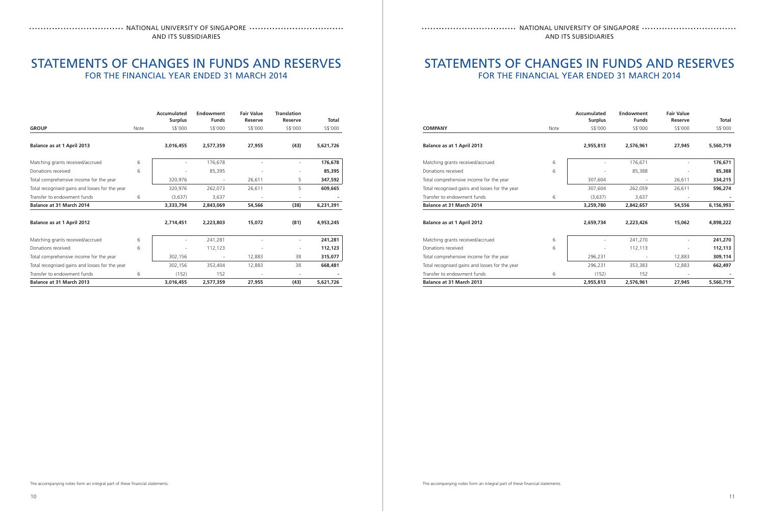## STATEMENTS OF CHANGES IN FUNDS AND RESERVES FOR THE FINANCIAL YEAR ENDED 31 MARCH 2014

|                                                |      | Accumulated<br><b>Surplus</b> | Endowment<br><b>Funds</b> | <b>Fair Value</b><br>Reserve | <b>Translation</b><br>Reserve | Total     |
|------------------------------------------------|------|-------------------------------|---------------------------|------------------------------|-------------------------------|-----------|
| <b>GROUP</b>                                   | Note | S\$'000                       | S\$'000                   | S\$'000                      | S\$'000                       | S\$'000   |
| Balance as at 1 April 2013                     |      | 3,016,455                     | 2,577,359                 | 27,955                       | (43)                          | 5,621,726 |
| Matching grants received/accrued               | 6    |                               | 176,678                   |                              |                               | 176,678   |
| Donations received                             | 6    |                               | 85,395                    |                              |                               | 85,395    |
| Total comprehensive income for the year        |      | 320,976                       |                           | 26,611                       | 5                             | 347,592   |
| Total recognised gains and losses for the year |      | 320,976                       | 262,073                   | 26,611                       | 5                             | 609,665   |
| Transfer to endowment funds                    | 6    | (3,637)                       | 3,637                     |                              | ÷                             |           |
| Balance at 31 March 2014                       |      | 3,333,794                     | 2,843,069                 | 54,566                       | (38)                          | 6,231,391 |
| Balance as at 1 April 2012                     |      | 2,714,451                     | 2,223,803                 | 15,072                       | (81)                          | 4,953,245 |
| Matching grants received/accrued               | 6    |                               | 241,281                   |                              |                               | 241,281   |
| Donations received                             | 6    |                               | 112,123                   |                              | ٠                             | 112,123   |
| Total comprehensive income for the year        |      | 302,156                       |                           | 12,883                       | 38                            | 315,077   |
| Total recognised gains and losses for the year |      | 302,156                       | 353,404                   | 12,883                       | 38                            | 668,481   |
| Transfer to endowment funds                    | 6    | (152)                         | 152                       |                              | $\overline{\phantom{a}}$      |           |
| Balance at 31 March 2013                       |      | 3,016,455                     | 2,577,359                 | 27,955                       | (43)                          | 5,621,726 |

## STATEMENTS OF CHANGES IN FUNDS AND RESERVES FOR THE FINANCIAL YEAR ENDED 31 MARCH 2014

|                                                |      | Accumulated<br><b>Surplus</b> | <b>Endowment</b><br><b>Funds</b> | <b>Fair Value</b><br>Reserve | <b>Total</b> |
|------------------------------------------------|------|-------------------------------|----------------------------------|------------------------------|--------------|
| <b>COMPANY</b>                                 | Note | S\$'000                       | S\$'000                          | S\$'000                      | S\$'000      |
| Balance as at 1 April 2013                     |      | 2,955,813                     | 2,576,961                        | 27,945                       | 5,560,719    |
| Matching grants received/accrued               | 6    |                               | 176,671                          |                              | 176,671      |
| Donations received                             | 6    |                               | 85,388                           |                              | 85,388       |
| Total comprehensive income for the year        |      | 307,604                       | $\overline{\phantom{a}}$         | 26,611                       | 334,215      |
| Total recognised gains and losses for the year |      | 307,604                       | 262,059                          | 26,611                       | 596,274      |
| Transfer to endowment funds                    | 6    | (3,637)                       | 3,637                            |                              |              |
| Balance at 31 March 2014                       |      | 3,259,780                     | 2,842,657                        | 54,556                       | 6,156,993    |
| Balance as at 1 April 2012                     |      | 2,659,734                     | 2,223,426                        | 15,062                       | 4,898,222    |
| Matching grants received/accrued               | 6    |                               | 241,270                          |                              | 241,270      |
| Donations received                             | 6    |                               | 112,113                          |                              | 112,113      |
| Total comprehensive income for the year        |      | 296,231                       | $\overline{\phantom{a}}$         | 12,883                       | 309,114      |
| Total recognised gains and losses for the year |      | 296,231                       | 353,383                          | 12,883                       | 662,497      |
| Transfer to endowment funds                    | 6    | (152)                         | 152                              |                              |              |
| Balance at 31 March 2013                       |      | 2,955,813                     | 2,576,961                        | 27,945                       | 5,560,719    |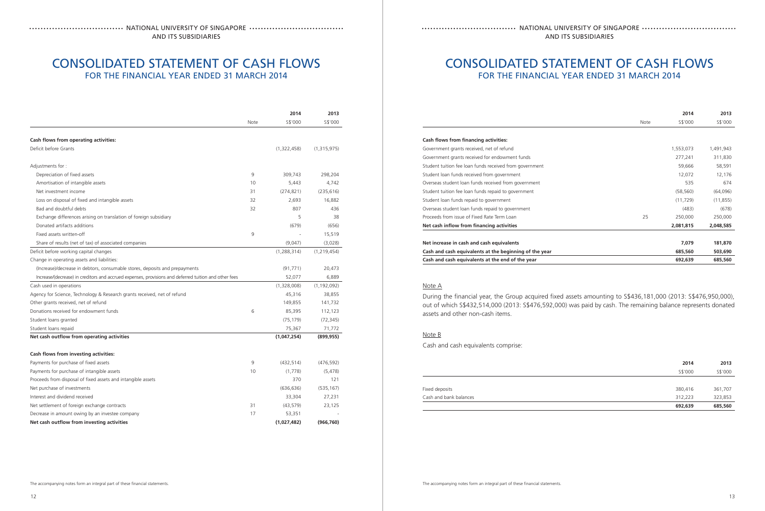## CONSOLIDATED STATEMENT OF CASH FLOWS FOR THE FINANCIAL YEAR ENDED 31 MARCH 2014

## CONSOLIDATED STATEMENT OF CASH FLOWS FOR THE FINANCIAL YEAR ENDED 31 MARCH 2014

|                                                                                                       |      | 2014          | 2013          |
|-------------------------------------------------------------------------------------------------------|------|---------------|---------------|
|                                                                                                       | Note | S\$'000       | S\$'000       |
| Cash flows from operating activities:                                                                 |      |               |               |
| Deficit before Grants                                                                                 |      | (1,322,458)   | (1,315,975)   |
| Adjustments for:                                                                                      |      |               |               |
| Depreciation of fixed assets                                                                          | 9    | 309,743       | 298,204       |
| Amortisation of intangible assets                                                                     | 10   | 5,443         | 4,742         |
| Net investment income                                                                                 | 31   | (274, 821)    | (235, 616)    |
| Loss on disposal of fixed and intangible assets                                                       | 32   | 2,693         | 16,882        |
| Bad and doubtful debts                                                                                | 32   | 807           | 436           |
| Exchange differences arising on translation of foreign subsidiary                                     |      | 5             | 38            |
| Donated artifacts additions                                                                           |      | (679)         | (656)         |
| Fixed assets written-off                                                                              | 9    |               | 15,519        |
| Share of results (net of tax) of associated companies                                                 |      | (9,047)       | (3,028)       |
| Deficit before working capital changes                                                                |      | (1, 288, 314) | (1, 219, 454) |
| Change in operating assets and liabilities:                                                           |      |               |               |
| (Increase)/decrease in debtors, consumable stores, deposits and prepayments                           |      | (91, 771)     | 20,473        |
| Increase/(decrease) in creditors and accrued expenses, provisions and deferred tuition and other fees |      | 52,077        | 6,889         |
| Cash used in operations                                                                               |      | (1,328,008)   | (1, 192, 092) |
| Agency for Science, Technology & Research grants received, net of refund                              |      | 45,316        | 38,855        |
| Other grants received, net of refund                                                                  |      | 149,855       | 141,732       |
| Donations received for endowment funds                                                                | 6    | 85,395        | 112,123       |
| Student loans granted                                                                                 |      | (75, 179)     | (72, 345)     |
| Student loans repaid                                                                                  |      | 75,367        | 71,772        |
| Net cash outflow from operating activities                                                            |      | (1,047,254)   | (899, 955)    |
| Cash flows from investing activities:                                                                 |      |               |               |
| Payments for purchase of fixed assets                                                                 | 9    | (432, 514)    | (476, 592)    |
| Payments for purchase of intangible assets                                                            | 10   | (1,778)       | (5, 478)      |
| Proceeds from disposal of fixed assets and intangible assets                                          |      | 370           | 121           |
| Net purchase of investments                                                                           |      | (636, 636)    | (535, 167)    |
| Interest and dividend received                                                                        |      | 33,304        | 27,231        |
| Net settlement of foreign exchange contracts                                                          | 31   | (43, 579)     | 23,125        |
| Decrease in amount owing by an investee company                                                       | 17   | 53,351        |               |
| Net cash outflow from investing activities                                                            |      | (1,027,482)   | (966, 760)    |

|                                                         |      | 2014      | 2013      |
|---------------------------------------------------------|------|-----------|-----------|
|                                                         | Note | S\$'000   | S\$'000   |
| Cash flows from financing activities:                   |      |           |           |
| Government grants received, net of refund               |      | 1,553,073 | 1,491,943 |
| Government grants received for endowment funds          |      | 277,241   | 311,830   |
| Student tuition fee loan funds received from government |      | 59,666    | 58,591    |
| Student loan funds received from government             |      | 12,072    | 12,176    |
| Overseas student loan funds received from government    |      | 535       | 674       |
| Student tuition fee loan funds repaid to government     |      | (58, 560) | (64,096)  |
| Student loan funds repaid to government                 |      | (11, 729) | (11, 855) |
| Overseas student loan funds repaid to government        |      | (483)     | (678)     |
| Proceeds from issue of Fixed Rate Term Loan             | 25   | 250,000   | 250,000   |
| Net cash inflow from financing activities               |      | 2,081,815 | 2,048,585 |
| Net increase in cash and cash equivalents               |      | 7,079     | 181,870   |
| Cash and cash equivalents at the beginning of the year  |      | 685,560   | 503,690   |
| Cash and cash equivalents at the end of the year        |      | 692,639   | 685,560   |

## Note A

During the financial year, the Group acquired fixed assets amounting to S\$436,181,000 (2013: S\$476,950,000), out of which S\$432,514,000 (2013: S\$476,592,000) was paid by cash. The remaining balance represents donated assets and other non-cash items.

## Note B

Cash and cash equivalents comprise:

|                        | 2014    | 2013    |
|------------------------|---------|---------|
|                        | S\$'000 | S\$'000 |
|                        |         |         |
| Fixed deposits         | 380,416 | 361,707 |
| Cash and bank balances | 312,223 | 323,853 |
|                        | 692,639 | 685,560 |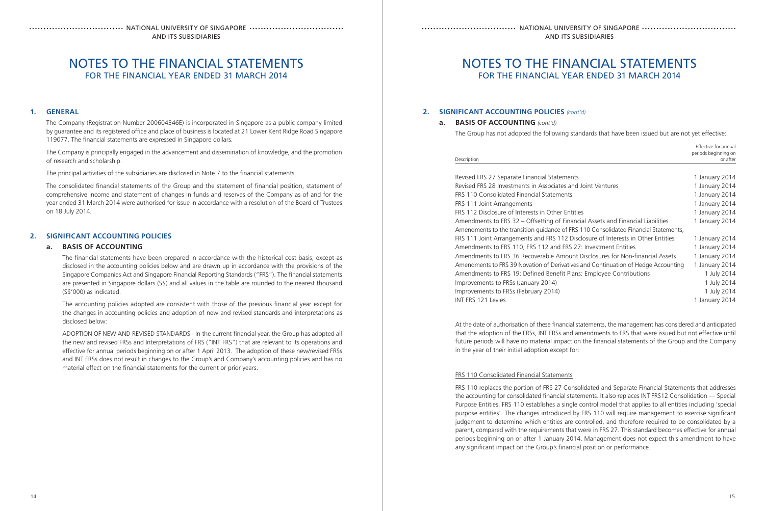## NOTES TO THE FINANCIAL STATEMENTS FOR THE FINANCIAL YEAR ENDED 31 MARCH 2014

### **1. GENERAL**

The Company (Registration Number 200604346E) is incorporated in Singapore as a public company limited by guarantee and its registered office and place of business is located at 21 Lower Kent Ridge Road Singapore 119077. The financial statements are expressed in Singapore dollars.

The Company is principally engaged in the advancement and dissemination of knowledge, and the promotion of research and scholarship.

The principal activities of the subsidiaries are disclosed in Note 7 to the financial statements.

The consolidated financial statements of the Group and the statement of financial position, statement of comprehensive income and statement of changes in funds and reserves of the Company as of and for the year ended 31 March 2014 were authorised for issue in accordance with a resolution of the Board of Trustees on 18 July 2014.

### **2. SIGNIFICANT ACCOUNTING POLICIES**

### **a. BASIS OF ACCOUNTING**

The financial statements have been prepared in accordance with the historical cost basis, except as disclosed in the accounting policies below and are drawn up in accordance with the provisions of the Singapore Companies Act and Singapore Financial Reporting Standards ("FRS"). The financial statements are presented in Singapore dollars (S\$) and all values in the table are rounded to the nearest thousand (S\$'000) as indicated.

The accounting policies adopted are consistent with those of the previous financial year except for the changes in accounting policies and adoption of new and revised standards and interpretations as disclosed below:

ADOPTION OF NEW AND REVISED STANDARDS - In the current financial year, the Group has adopted all the new and revised FRSs and Interpretations of FRS ("INT FRS") that are relevant to its operations and effective for annual periods beginning on or after 1 April 2013. The adoption of these new/revised FRSs and INT FRSs does not result in changes to the Group's and Company's accounting policies and has no material effect on the financial statements for the current or prior years.

## NOTES TO THE FINANCIAL STATEMENTS FOR THE FINANCIAL YEAR ENDED 31 MARCH 2014

## **2. SIGNIFICANT ACCOUNTING POLICIES** *(cont'd)*

### **a. BASIS OF ACCOUNTING** *(cont'd)*

The Group has not adopted the following standards that have been issued but are not yet effective:

| Description                                                                         | Effective for annual<br>periods beginning on<br>or after |
|-------------------------------------------------------------------------------------|----------------------------------------------------------|
|                                                                                     |                                                          |
| Revised FRS 27 Separate Financial Statements                                        | 1 January 2014                                           |
| Revised FRS 28 Investments in Associates and Joint Ventures                         | 1 January 2014                                           |
| <b>FRS 110 Consolidated Financial Statements</b>                                    | 1 January 2014                                           |
| FRS 111 Joint Arrangements                                                          | 1 January 2014                                           |
| FRS 112 Disclosure of Interests in Other Entities                                   | 1 January 2014                                           |
| Amendments to FRS 32 – Offsetting of Financial Assets and Financial Liabilities     | 1 January 2014                                           |
| Amendments to the transition quidance of FRS 110 Consolidated Financial Statements, |                                                          |
| FRS 111 Joint Arrangements and FRS 112 Disclosure of Interests in Other Entities    | 1 January 2014                                           |
| Amendments to FRS 110, FRS 112 and FRS 27: Investment Entities                      | 1 January 2014                                           |
| Amendments to FRS 36 Recoverable Amount Disclosures for Non-financial Assets        | 1 January 2014                                           |
| Amendments to FRS 39 Novation of Derivatives and Continuation of Hedge Accounting   | 1 January 2014                                           |
| Amendments to FRS 19: Defined Benefit Plans: Employee Contributions                 | 1 July 2014                                              |
| Improvements to FRSs (January 2014)                                                 | 1 July 2014                                              |
| Improvements to FRSs (February 2014)                                                | 1 July 2014                                              |
| INT FRS 121 Levies                                                                  | 1 January 2014                                           |

At the date of authorisation of these financial statements, the management has considered and anticipated that the adoption of the FRSs, INT FRSs and amendments to FRS that were issued but not effective until future periods will have no material impact on the financial statements of the Group and the Company in the year of their initial adoption except for:

### FRS 110 Consolidated Financial Statements

FRS 110 replaces the portion of FRS 27 Consolidated and Separate Financial Statements that addresses the accounting for consolidated financial statements. It also replaces INT FRS12 Consolidation — Special Purpose Entities. FRS 110 establishes a single control model that applies to all entities including 'special purpose entities'. The changes introduced by FRS 110 will require management to exercise significant judgement to determine which entities are controlled, and therefore required to be consolidated by a parent, compared with the requirements that were in FRS 27. This standard becomes effective for annual periods beginning on or after 1 January 2014. Management does not expect this amendment to have any significant impact on the Group's financial position or performance.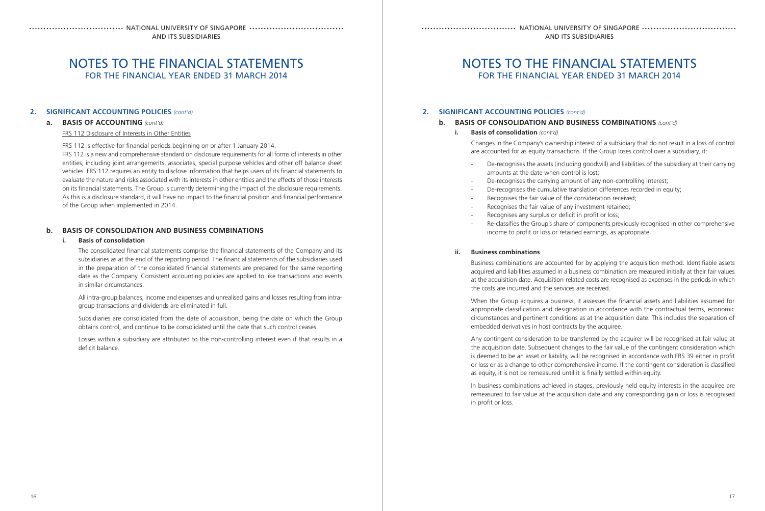## NOTES TO THE FINANCIAL STATEMENTS FOR THE FINANCIAL YEAR ENDED 31 MARCH 2014

## **2. SIGNIFICANT ACCOUNTING POLICIES** *(cont'd)*

### **a. BASIS OF ACCOUNTING** *(cont'd)*

### FRS 112 Disclosure of Interests in Other Entities

FRS 112 is effective for financial periods beginning on or after 1 January 2014.

FRS 112 is a new and comprehensive standard on disclosure requirements for all forms of interests in other entities, including joint arrangements, associates, special purpose vehicles and other off balance sheet vehicles. FRS 112 requires an entity to disclose information that helps users of its financial statements to evaluate the nature and risks associated with its interests in other entities and the effects of those interests on its financial statements. The Group is currently determining the impact of the disclosure requirements. As this is a disclosure standard, it will have no impact to the financial position and financial performance of the Group when implemented in 2014.

## **b. BASIS OF CONSOLIDATION AND BUSINESS COMBINATIONS**

### **i. Basis of consolidation**

The consolidated financial statements comprise the financial statements of the Company and its subsidiaries as at the end of the reporting period. The financial statements of the subsidiaries used in the preparation of the consolidated financial statements are prepared for the same reporting date as the Company. Consistent accounting policies are applied to like transactions and events in similar circumstances.

All intra-group balances, income and expenses and unrealised gains and losses resulting from intragroup transactions and dividends are eliminated in full.

Subsidiaries are consolidated from the date of acquisition, being the date on which the Group obtains control, and continue to be consolidated until the date that such control ceases.

Losses within a subsidiary are attributed to the non-controlling interest even if that results in a deficit balance.

## NOTES TO THE FINANCIAL STATEMENTS FOR THE FINANCIAL YEAR ENDED 31 MARCH 2014

## **2. SIGNIFICANT ACCOUNTING POLICIES** *(cont'd)*

### **b. BASIS OF CONSOLIDATION AND BUSINESS COMBINATIONS** *(cont'd)*

### **i. Basis of consolidation** *(cont'd)*

Changes in the Company's ownership interest of a subsidiary that do not result in a loss of control are accounted for as equity transactions. If the Group loses control over a subsidiary, it:

- De-recognises the assets (including goodwill) and liabilities of the subsidiary at their carrying amounts at the date when control is lost;
- De-recognises the carrying amount of any non-controlling interest;
- De-recognises the cumulative translation differences recorded in equity;
- Recognises the fair value of the consideration received;
- Recognises the fair value of any investment retained;
- Recognises any surplus or deficit in profit or loss;
- Re-classifies the Group's share of components previously recognised in other comprehensive income to profit or loss or retained earnings, as appropriate.

## **ii. Business combinations**

Business combinations are accounted for by applying the acquisition method. Identifiable assets acquired and liabilities assumed in a business combination are measured initially at their fair values at the acquisition date. Acquisition-related costs are recognised as expenses in the periods in which the costs are incurred and the services are received.

When the Group acquires a business, it assesses the financial assets and liabilities assumed for appropriate classification and designation in accordance with the contractual terms, economic circumstances and pertinent conditions as at the acquisition date. This includes the separation of embedded derivatives in host contracts by the acquiree.

Any contingent consideration to be transferred by the acquirer will be recognised at fair value at the acquisition date. Subsequent changes to the fair value of the contingent consideration which is deemed to be an asset or liability, will be recognised in accordance with FRS 39 either in profit or loss or as a change to other comprehensive income. If the contingent consideration is classified as equity, it is not be remeasured until it is finally settled within equity.

In business combinations achieved in stages, previously held equity interests in the acquiree are remeasured to fair value at the acquisition date and any corresponding gain or loss is recognised in profit or loss.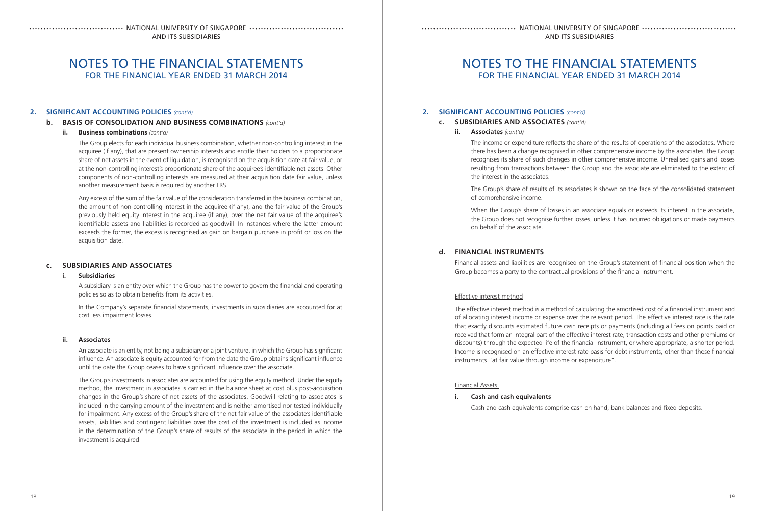## NOTES TO THE FINANCIAL STATEMENTS FOR THE FINANCIAL YEAR ENDED 31 MARCH 2014

### **2. SIGNIFICANT ACCOUNTING POLICIES** *(cont'd)*

**b. BASIS OF CONSOLIDATION AND BUSINESS COMBINATIONS** *(cont'd)*

#### **ii. Business combinations** *(cont'd)*

The Group elects for each individual business combination, whether non-controlling interest in the acquiree (if any), that are present ownership interests and entitle their holders to a proportionate share of net assets in the event of liquidation, is recognised on the acquisition date at fair value, or at the non-controlling interest's proportionate share of the acquiree's identifiable net assets. Other components of non-controlling interests are measured at their acquisition date fair value, unless another measurement basis is required by another FRS.

Any excess of the sum of the fair value of the consideration transferred in the business combination, the amount of non-controlling interest in the acquiree (if any), and the fair value of the Group's previously held equity interest in the acquiree (if any), over the net fair value of the acquiree's identifiable assets and liabilities is recorded as goodwill. In instances where the latter amount exceeds the former, the excess is recognised as gain on bargain purchase in profit or loss on the acquisition date.

## **c. SUBSIDIARIES AND ASSOCIATES**

#### **i. Subsidiaries**

A subsidiary is an entity over which the Group has the power to govern the financial and operating policies so as to obtain benefits from its activities.

In the Company's separate financial statements, investments in subsidiaries are accounted for at cost less impairment losses.

### **ii. Associates**

An associate is an entity, not being a subsidiary or a joint venture, in which the Group has significant influence. An associate is equity accounted for from the date the Group obtains significant influence until the date the Group ceases to have significant influence over the associate.

The Group's investments in associates are accounted for using the equity method. Under the equity method, the investment in associates is carried in the balance sheet at cost plus post-acquisition changes in the Group's share of net assets of the associates. Goodwill relating to associates is included in the carrying amount of the investment and is neither amortised nor tested individually for impairment. Any excess of the Group's share of the net fair value of the associate's identifiable assets, liabilities and contingent liabilities over the cost of the investment is included as income in the determination of the Group's share of results of the associate in the period in which the investment is acquired.

## NOTES TO THE FINANCIAL STATEMENTS FOR THE FINANCIAL YEAR ENDED 31 MARCH 2014

### **2. SIGNIFICANT ACCOUNTING POLICIES** *(cont'd)*

### **c. SUBSIDIARIES AND ASSOCIATES** *(cont'd)*

**ii. Associates** *(cont'd)*

The income or expenditure reflects the share of the results of operations of the associates. Where there has been a change recognised in other comprehensive income by the associates, the Group recognises its share of such changes in other comprehensive income. Unrealised gains and losses resulting from transactions between the Group and the associate are eliminated to the extent of the interest in the associates.

The Group's share of results of its associates is shown on the face of the consolidated statement of comprehensive income.

When the Group's share of losses in an associate equals or exceeds its interest in the associate, the Group does not recognise further losses, unless it has incurred obligations or made payments on behalf of the associate.

## **d. FINANCIAL INSTRUMENTS**

Financial assets and liabilities are recognised on the Group's statement of financial position when the Group becomes a party to the contractual provisions of the financial instrument.

### Effective interest method

The effective interest method is a method of calculating the amortised cost of a financial instrument and of allocating interest income or expense over the relevant period. The effective interest rate is the rate that exactly discounts estimated future cash receipts or payments (including all fees on points paid or received that form an integral part of the effective interest rate, transaction costs and other premiums or discounts) through the expected life of the financial instrument, or where appropriate, a shorter period. Income is recognised on an effective interest rate basis for debt instruments, other than those financial instruments "at fair value through income or expenditure".

#### Financial Assets

#### **i. Cash and cash equivalents**

Cash and cash equivalents comprise cash on hand, bank balances and fixed deposits.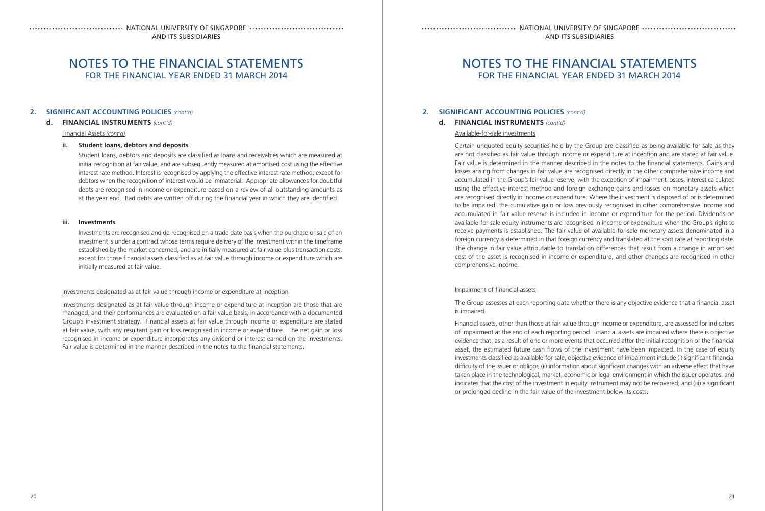## NOTES TO THE FINANCIAL STATEMENTS FOR THE FINANCIAL YEAR ENDED 31 MARCH 2014

## **2. SIGNIFICANT ACCOUNTING POLICIES** *(cont'd)*

### **d. FINANCIAL INSTRUMENTS** *(cont'd)*

### Financial Assets *(cont'd)*

### **ii. Student loans, debtors and deposits**

Student loans, debtors and deposits are classified as loans and receivables which are measured at initial recognition at fair value, and are subsequently measured at amortised cost using the effective interest rate method. Interest is recognised by applying the effective interest rate method, except for debtors when the recognition of interest would be immaterial. Appropriate allowances for doubtful debts are recognised in income or expenditure based on a review of all outstanding amounts as at the year end. Bad debts are written off during the financial year in which they are identified.

### **iii. Investments**

Investments are recognised and de-recognised on a trade date basis when the purchase or sale of an investment is under a contract whose terms require delivery of the investment within the timeframe established by the market concerned, and are initially measured at fair value plus transaction costs, except for those financial assets classified as at fair value through income or expenditure which are initially measured at fair value.

### Investments designated as at fair value through income or expenditure at inception

Investments designated as at fair value through income or expenditure at inception are those that are managed, and their performances are evaluated on a fair value basis, in accordance with a documented Group's investment strategy. Financial assets at fair value through income or expenditure are stated at fair value, with any resultant gain or loss recognised in income or expenditure. The net gain or loss recognised in income or expenditure incorporates any dividend or interest earned on the investments. Fair value is determined in the manner described in the notes to the financial statements.

## NOTES TO THE FINANCIAL STATEMENTS FOR THE FINANCIAL YEAR ENDED 31 MARCH 2014

## **2. SIGNIFICANT ACCOUNTING POLICIES** *(cont'd)*

### **d. FINANCIAL INSTRUMENTS** *(cont'd)*

## Available-for-sale investments

Certain unquoted equity securities held by the Group are classified as being available for sale as they are not classified as fair value through income or expenditure at inception and are stated at fair value. Fair value is determined in the manner described in the notes to the financial statements. Gains and losses arising from changes in fair value are recognised directly in the other comprehensive income and accumulated in the Group's fair value reserve, with the exception of impairment losses, interest calculated using the effective interest method and foreign exchange gains and losses on monetary assets which are recognised directly in income or expenditure. Where the investment is disposed of or is determined to be impaired, the cumulative gain or loss previously recognised in other comprehensive income and accumulated in fair value reserve is included in income or expenditure for the period. Dividends on available-for-sale equity instruments are recognised in income or expenditure when the Group's right to receive payments is established. The fair value of available-for-sale monetary assets denominated in a foreign currency is determined in that foreign currency and translated at the spot rate at reporting date. The change in fair value attributable to translation differences that result from a change in amortised cost of the asset is recognised in income or expenditure, and other changes are recognised in other comprehensive income.

## Impairment of financial assets

The Group assesses at each reporting date whether there is any objective evidence that a financial asset is impaired.

Financial assets, other than those at fair value through income or expenditure, are assessed for indicators of impairment at the end of each reporting period. Financial assets are impaired where there is objective evidence that, as a result of one or more events that occurred after the initial recognition of the financial asset, the estimated future cash flows of the investment have been impacted. In the case of equity investments classified as available-for-sale, objective evidence of impairment include (i) significant financial difficulty of the issuer or obligor, (ii) information about significant changes with an adverse effect that have taken place in the technological, market, economic or legal environment in which the issuer operates, and indicates that the cost of the investment in equity instrument may not be recovered; and (iii) a significant or prolonged decline in the fair value of the investment below its costs.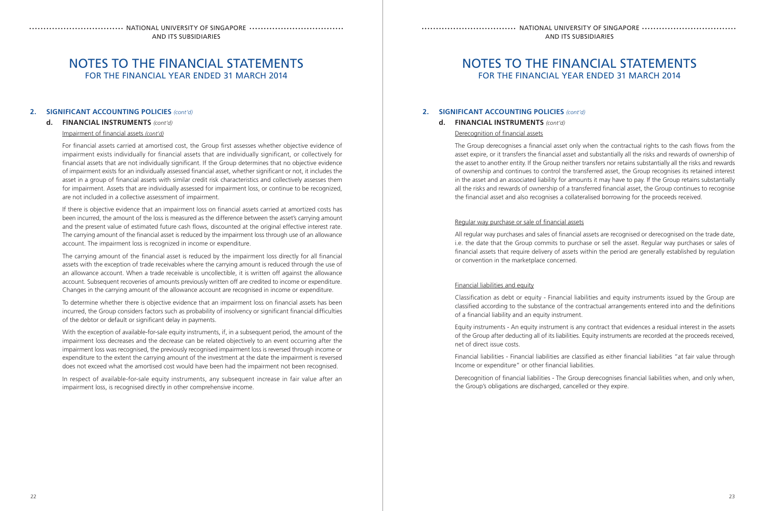## NOTES TO THE FINANCIAL STATEMENTS FOR THE FINANCIAL YEAR ENDED 31 MARCH 2014

## **2. SIGNIFICANT ACCOUNTING POLICIES** *(cont'd)*

### **d. FINANCIAL INSTRUMENTS** *(cont'd)*

### Impairment of financial assets *(cont'd)*

For financial assets carried at amortised cost, the Group first assesses whether objective evidence of impairment exists individually for financial assets that are individually significant, or collectively for financial assets that are not individually significant. If the Group determines that no objective evidence of impairment exists for an individually assessed financial asset, whether significant or not, it includes the asset in a group of financial assets with similar credit risk characteristics and collectively assesses them for impairment. Assets that are individually assessed for impairment loss, or continue to be recognized, are not included in a collective assessment of impairment.

If there is objective evidence that an impairment loss on financial assets carried at amortized costs has been incurred, the amount of the loss is measured as the difference between the asset's carrying amount and the present value of estimated future cash flows, discounted at the original effective interest rate. The carrying amount of the financial asset is reduced by the impairment loss through use of an allowance account. The impairment loss is recognized in income or expenditure.

The carrying amount of the financial asset is reduced by the impairment loss directly for all financial assets with the exception of trade receivables where the carrying amount is reduced through the use of an allowance account. When a trade receivable is uncollectible, it is written off against the allowance account. Subsequent recoveries of amounts previously written off are credited to income or expenditure. Changes in the carrying amount of the allowance account are recognised in income or expenditure.

To determine whether there is objective evidence that an impairment loss on financial assets has been incurred, the Group considers factors such as probability of insolvency or significant financial difficulties of the debtor or default or significant delay in payments.

With the exception of available-for-sale equity instruments, if, in a subsequent period, the amount of the impairment loss decreases and the decrease can be related objectively to an event occurring after the impairment loss was recognised, the previously recognised impairment loss is reversed through income or expenditure to the extent the carrying amount of the investment at the date the impairment is reversed does not exceed what the amortised cost would have been had the impairment not been recognised.

In respect of available-for-sale equity instruments, any subsequent increase in fair value after an impairment loss, is recognised directly in other comprehensive income.

## NOTES TO THE FINANCIAL STATEMENTS FOR THE FINANCIAL YEAR ENDED 31 MARCH 2014

## **2. SIGNIFICANT ACCOUNTING POLICIES** *(cont'd)*

## **d. FINANCIAL INSTRUMENTS** *(cont'd)*

### Derecognition of financial assets

The Group derecognises a financial asset only when the contractual rights to the cash flows from the asset expire, or it transfers the financial asset and substantially all the risks and rewards of ownership of the asset to another entity. If the Group neither transfers nor retains substantially all the risks and rewards of ownership and continues to control the transferred asset, the Group recognises its retained interest in the asset and an associated liability for amounts it may have to pay. If the Group retains substantially all the risks and rewards of ownership of a transferred financial asset, the Group continues to recognise the financial asset and also recognises a collateralised borrowing for the proceeds received.

### Regular way purchase or sale of financial assets

All regular way purchases and sales of financial assets are recognised or derecognised on the trade date, i.e. the date that the Group commits to purchase or sell the asset. Regular way purchases or sales of financial assets that require delivery of assets within the period are generally established by regulation or convention in the marketplace concerned.

### Financial liabilities and equity

Classification as debt or equity - Financial liabilities and equity instruments issued by the Group are classified according to the substance of the contractual arrangements entered into and the definitions of a financial liability and an equity instrument.

Equity instruments - An equity instrument is any contract that evidences a residual interest in the assets of the Group after deducting all of its liabilities. Equity instruments are recorded at the proceeds received, net of direct issue costs.

Financial liabilities - Financial liabilities are classified as either financial liabilities "at fair value through Income or expenditure" or other financial liabilities.

Derecognition of financial liabilities - The Group derecognises financial liabilities when, and only when, the Group's obligations are discharged, cancelled or they expire.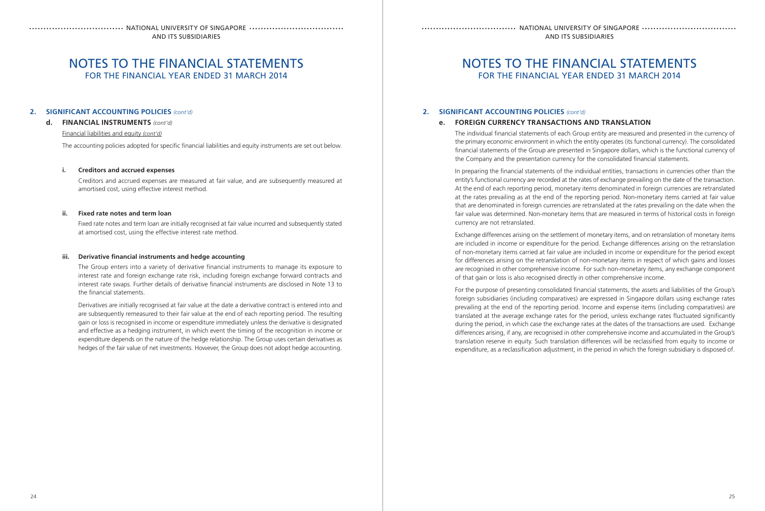## NOTES TO THE FINANCIAL STATEMENTS FOR THE FINANCIAL YEAR ENDED 31 MARCH 2014

## **2. SIGNIFICANT ACCOUNTING POLICIES** *(cont'd)*

### **d. FINANCIAL INSTRUMENTS** *(cont'd)*

## Financial liabilities and equity *(cont'd)*

The accounting policies adopted for specific financial liabilities and equity instruments are set out below.

#### **i. Creditors and accrued expenses**

Creditors and accrued expenses are measured at fair value, and are subsequently measured at amortised cost, using effective interest method.

### **ii. Fixed rate notes and term loan**

Fixed rate notes and term loan are initially recognised at fair value incurred and subsequently stated at amortised cost, using the effective interest rate method.

### **iii. Derivative financial instruments and hedge accounting**

The Group enters into a variety of derivative financial instruments to manage its exposure to interest rate and foreign exchange rate risk, including foreign exchange forward contracts and interest rate swaps. Further details of derivative financial instruments are disclosed in Note 13 to the financial statements.

Derivatives are initially recognised at fair value at the date a derivative contract is entered into and are subsequently remeasured to their fair value at the end of each reporting period. The resulting gain or loss is recognised in income or expenditure immediately unless the derivative is designated and effective as a hedging instrument, in which event the timing of the recognition in income or expenditure depends on the nature of the hedge relationship. The Group uses certain derivatives as hedges of the fair value of net investments. However, the Group does not adopt hedge accounting.

## NOTES TO THE FINANCIAL STATEMENTS FOR THE FINANCIAL YEAR ENDED 31 MARCH 2014

## **2. SIGNIFICANT ACCOUNTING POLICIES** *(cont'd)*

### **e. FOREIGN CURRENCY TRANSACTIONS AND TRANSLATION**

The individual financial statements of each Group entity are measured and presented in the currency of the primary economic environment in which the entity operates (its functional currency). The consolidated financial statements of the Group are presented in Singapore dollars, which is the functional currency of the Company and the presentation currency for the consolidated financial statements.

In preparing the financial statements of the individual entities, transactions in currencies other than the entity's functional currency are recorded at the rates of exchange prevailing on the date of the transaction. At the end of each reporting period, monetary items denominated in foreign currencies are retranslated at the rates prevailing as at the end of the reporting period. Non-monetary items carried at fair value that are denominated in foreign currencies are retranslated at the rates prevailing on the date when the fair value was determined. Non-monetary items that are measured in terms of historical costs in foreign currency are not retranslated.

Exchange differences arising on the settlement of monetary items, and on retranslation of monetary items are included in income or expenditure for the period. Exchange differences arising on the retranslation of non-monetary items carried at fair value are included in income or expenditure for the period except for differences arising on the retranslation of non-monetary items in respect of which gains and losses are recognised in other comprehensive income. For such non-monetary items, any exchange component of that gain or loss is also recognised directly in other comprehensive income.

For the purpose of presenting consolidated financial statements, the assets and liabilities of the Group's foreign subsidiaries (including comparatives) are expressed in Singapore dollars using exchange rates prevailing at the end of the reporting period. Income and expense items (including comparatives) are translated at the average exchange rates for the period, unless exchange rates fluctuated significantly during the period, in which case the exchange rates at the dates of the transactions are used. Exchange differences arising, if any, are recognised in other comprehensive income and accumulated in the Group's translation reserve in equity. Such translation differences will be reclassified from equity to income or expenditure, as a reclassification adjustment, in the period in which the foreign subsidiary is disposed of.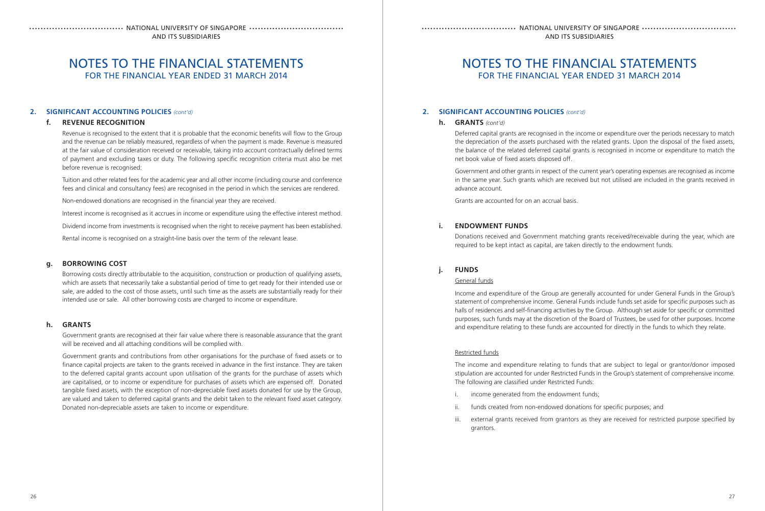## NOTES TO THE FINANCIAL STATEMENTS FOR THE FINANCIAL YEAR ENDED 31 MARCH 2014

## **2. SIGNIFICANT ACCOUNTING POLICIES** *(cont'd)*

### **f. REVENUE RECOGNITION**

Revenue is recognised to the extent that it is probable that the economic benefits will flow to the Group and the revenue can be reliably measured, regardless of when the payment is made. Revenue is measured at the fair value of consideration received or receivable, taking into account contractually defined terms of payment and excluding taxes or duty. The following specific recognition criteria must also be met before revenue is recognised:

Tuition and other related fees for the academic year and all other income (including course and conference fees and clinical and consultancy fees) are recognised in the period in which the services are rendered.

Non-endowed donations are recognised in the financial year they are received.

Interest income is recognised as it accrues in income or expenditure using the effective interest method.

Dividend income from investments is recognised when the right to receive payment has been established.

Rental income is recognised on a straight-line basis over the term of the relevant lease.

## **g. BORROWING COST**

Borrowing costs directly attributable to the acquisition, construction or production of qualifying assets, which are assets that necessarily take a substantial period of time to get ready for their intended use or sale, are added to the cost of those assets, until such time as the assets are substantially ready for their intended use or sale. All other borrowing costs are charged to income or expenditure.

## **h. GRANTS**

Government grants are recognised at their fair value where there is reasonable assurance that the grant will be received and all attaching conditions will be complied with.

Government grants and contributions from other organisations for the purchase of fixed assets or to finance capital projects are taken to the grants received in advance in the first instance. They are taken to the deferred capital grants account upon utilisation of the grants for the purchase of assets which are capitalised, or to income or expenditure for purchases of assets which are expensed off. Donated tangible fixed assets, with the exception of non-depreciable fixed assets donated for use by the Group, are valued and taken to deferred capital grants and the debit taken to the relevant fixed asset category. Donated non-depreciable assets are taken to income or expenditure.

## NOTES TO THE FINANCIAL STATEMENTS FOR THE FINANCIAL YEAR ENDED 31 MARCH 2014

## **2. SIGNIFICANT ACCOUNTING POLICIES** *(cont'd)*

### **h. GRANTS** *(cont'd)*

Deferred capital grants are recognised in the income or expenditure over the periods necessary to match the depreciation of the assets purchased with the related grants. Upon the disposal of the fixed assets, the balance of the related deferred capital grants is recognised in income or expenditure to match the net book value of fixed assets disposed off.

Government and other grants in respect of the current year's operating expenses are recognised as income in the same year. Such grants which are received but not utilised are included in the grants received in advance account.

Grants are accounted for on an accrual basis.

## **i. ENDOWMENT FUNDS**

Donations received and Government matching grants received/receivable during the year, which are required to be kept intact as capital, are taken directly to the endowment funds.

## **j. FUNDS**

## General funds

Income and expenditure of the Group are generally accounted for under General Funds in the Group's statement of comprehensive income. General Funds include funds set aside for specific purposes such as halls of residences and self-financing activities by the Group. Although set aside for specific or committed purposes, such funds may at the discretion of the Board of Trustees, be used for other purposes. Income and expenditure relating to these funds are accounted for directly in the funds to which they relate.

## Restricted funds

The income and expenditure relating to funds that are subject to legal or grantor/donor imposed stipulation are accounted for under Restricted Funds in the Group's statement of comprehensive income. The following are classified under Restricted Funds:

- i. income generated from the endowment funds;
- ii. funds created from non-endowed donations for specific purposes; and
- iii. external grants received from grantors as they are received for restricted purpose specified by grantors.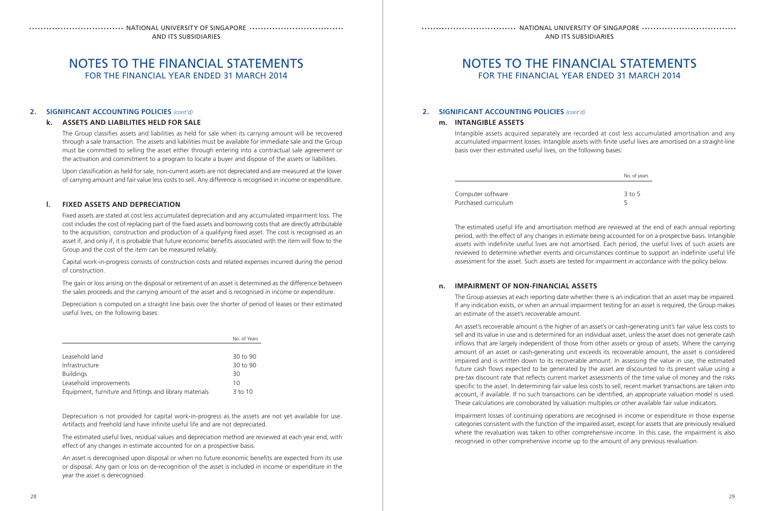## NOTES TO THE FINANCIAL STATEMENTS FOR THE FINANCIAL YEAR ENDED 31 MARCH 2014

### **2. SIGNIFICANT ACCOUNTING POLICIES** *(cont'd)*

### **k. ASSETS AND LIABILITIES HELD FOR SALE**

The Group classifies assets and liabilities as held for sale when its carrying amount will be recovered through a sale transaction. The assets and liabilities must be available for immediate sale and the Group must be committed to selling the asset either through entering into a contractual sale agreement or the activation and commitment to a program to locate a buyer and dispose of the assets or liabilities.

Upon classification as held for sale, non-current assets are not depreciated and are measured at the lower of carrying amount and fair value less costs to sell. Any difference is recognised in income or expenditure.

### **l. FIXED ASSETS AND DEPRECIATION**

Fixed assets are stated at cost less accumulated depreciation and any accumulated impairment loss. The cost includes the cost of replacing part of the fixed assets and borrowing costs that are directly attributable to the acquisition, construction and production of a qualifying fixed asset. The cost is recognised as an asset if, and only if, it is probable that future economic benefits associated with the item will flow to the Group and the cost of the item can be measured reliably.

Capital work-in-progress consists of construction costs and related expenses incurred during the period of construction.

The gain or loss arising on the disposal or retirement of an asset is determined as the difference between the sales proceeds and the carrying amount of the asset and is recognised in income or expenditure.

Depreciation is computed on a straight line basis over the shorter of period of leases or their estimated useful lives, on the following bases:

|                                                         | No. of Years |
|---------------------------------------------------------|--------------|
|                                                         |              |
| Leasehold land                                          | 30 to 90     |
| Infrastructure                                          | 30 to 90     |
| <b>Buildings</b>                                        | 30           |
| Leasehold improvements                                  | 10           |
| Equipment, furniture and fittings and library materials | 3 to 10      |

Depreciation is not provided for capital work-in-progress as the assets are not yet available for use. Artifacts and freehold land have infinite useful life and are not depreciated.

The estimated useful lives, residual values and depreciation method are reviewed at each year end, with effect of any changes in estimate accounted for on a prospective basis.

An asset is derecognised upon disposal or when no future economic benefits are expected from its use or disposal. Any gain or loss on de-recognition of the asset is included in income or expenditure in the year the asset is derecognised.

## NOTES TO THE FINANCIAL STATEMENTS FOR THE FINANCIAL YEAR ENDED 31 MARCH 2014

## **2. SIGNIFICANT ACCOUNTING POLICIES** *(cont'd)*

### **m. INTANGIBLE ASSETS**

Intangible assets acquired separately are recorded at cost less accumulated amortisation and any accumulated impairment losses. Intangible assets with finite useful lives are amortised on a straight-line basis over their estimated useful lives, on the following bases:

|                      | No. of years |
|----------------------|--------------|
|                      |              |
| Computer software    | 3 to 5       |
| Purchased curriculum |              |

The estimated useful life and amortisation method are reviewed at the end of each annual reporting period, with the effect of any changes in estimate being accounted for on a prospective basis. Intangible assets with indefinite useful lives are not amortised. Each period, the useful lives of such assets are reviewed to determine whether events and circumstances continue to support an indefinite useful life assessment for the asset. Such assets are tested for impairment in accordance with the policy below.

## **n. IMPAIRMENT OF NON-FINANCIAL ASSETS**

The Group assesses at each reporting date whether there is an indication that an asset may be impaired. If any indication exists, or when an annual impairment testing for an asset is required, the Group makes an estimate of the asset's recoverable amount.

An asset's recoverable amount is the higher of an asset's or cash-generating unit's fair value less costs to sell and its value in use and is determined for an individual asset, unless the asset does not generate cash inflows that are largely independent of those from other assets or group of assets. Where the carrying amount of an asset or cash-generating unit exceeds its recoverable amount, the asset is considered impaired and is written down to its recoverable amount. In assessing the value in use, the estimated future cash flows expected to be generated by the asset are discounted to its present value using a pre-tax discount rate that reflects current market assessments of the time value of money and the risks specific to the asset. In determining fair value less costs to sell, recent market transactions are taken into account, if available. If no such transactions can be identified, an appropriate valuation model is used. These calculations are corroborated by valuation multiples or other available fair value indicators.

Impairment losses of continuing operations are recognised in income or expenditure in those expense categories consistent with the function of the impaired asset, except for assets that are previously revalued where the revaluation was taken to other comprehensive income. In this case, the impairment is also recognised in other comprehensive income up to the amount of any previous revaluation.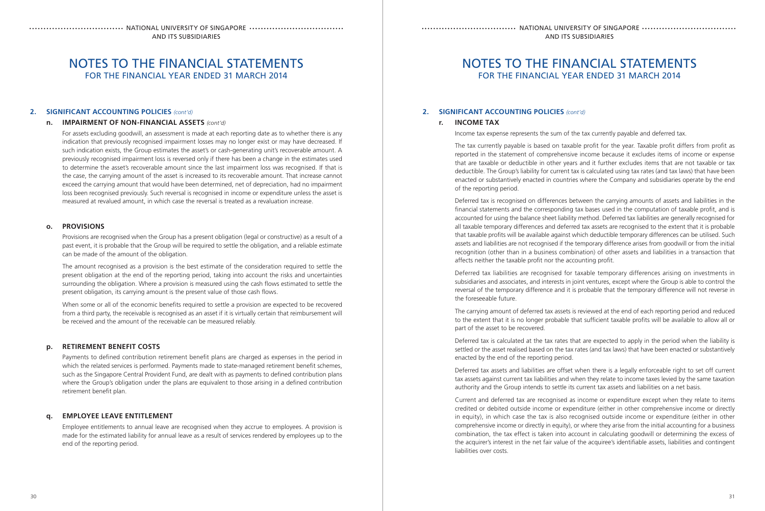## NOTES TO THE FINANCIAL STATEMENTS FOR THE FINANCIAL YEAR ENDED 31 MARCH 2014

### **2. SIGNIFICANT ACCOUNTING POLICIES** *(cont'd)*

### **n. IMPAIRMENT OF NON-FINANCIAL ASSETS** *(cont'd)*

For assets excluding goodwill, an assessment is made at each reporting date as to whether there is any indication that previously recognised impairment losses may no longer exist or may have decreased. If such indication exists, the Group estimates the asset's or cash-generating unit's recoverable amount. A previously recognised impairment loss is reversed only if there has been a change in the estimates used to determine the asset's recoverable amount since the last impairment loss was recognised. If that is the case, the carrying amount of the asset is increased to its recoverable amount. That increase cannot exceed the carrying amount that would have been determined, net of depreciation, had no impairment loss been recognised previously. Such reversal is recognised in income or expenditure unless the asset is measured at revalued amount, in which case the reversal is treated as a revaluation increase.

### **o. PROVISIONS**

Provisions are recognised when the Group has a present obligation (legal or constructive) as a result of a past event, it is probable that the Group will be required to settle the obligation, and a reliable estimate can be made of the amount of the obligation.

The amount recognised as a provision is the best estimate of the consideration required to settle the present obligation at the end of the reporting period, taking into account the risks and uncertainties surrounding the obligation. Where a provision is measured using the cash flows estimated to settle the present obligation, its carrying amount is the present value of those cash flows.

When some or all of the economic benefits required to settle a provision are expected to be recovered from a third party, the receivable is recognised as an asset if it is virtually certain that reimbursement will be received and the amount of the receivable can be measured reliably.

### **p. RETIREMENT BENEFIT COSTS**

Payments to defined contribution retirement benefit plans are charged as expenses in the period in which the related services is performed. Payments made to state-managed retirement benefit schemes, such as the Singapore Central Provident Fund, are dealt with as payments to defined contribution plans where the Group's obligation under the plans are equivalent to those arising in a defined contribution retirement benefit plan.

### **q. EMPLOYEE LEAVE ENTITLEMENT**

Employee entitlements to annual leave are recognised when they accrue to employees. A provision is made for the estimated liability for annual leave as a result of services rendered by employees up to the end of the reporting period.

## NOTES TO THE FINANCIAL STATEMENTS FOR THE FINANCIAL YEAR ENDED 31 MARCH 2014

## **2. SIGNIFICANT ACCOUNTING POLICIES** *(cont'd)*

### **r. INCOME TAX**

Income tax expense represents the sum of the tax currently payable and deferred tax.

The tax currently payable is based on taxable profit for the year. Taxable profit differs from profit as reported in the statement of comprehensive income because it excludes items of income or expense that are taxable or deductible in other years and it further excludes items that are not taxable or tax deductible. The Group's liability for current tax is calculated using tax rates (and tax laws) that have been enacted or substantively enacted in countries where the Company and subsidiaries operate by the end of the reporting period.

Deferred tax is recognised on differences between the carrying amounts of assets and liabilities in the financial statements and the corresponding tax bases used in the computation of taxable profit, and is accounted for using the balance sheet liability method. Deferred tax liabilities are generally recognised for all taxable temporary differences and deferred tax assets are recognised to the extent that it is probable that taxable profits will be available against which deductible temporary differences can be utilised. Such assets and liabilities are not recognised if the temporary difference arises from goodwill or from the initial recognition (other than in a business combination) of other assets and liabilities in a transaction that affects neither the taxable profit nor the accounting profit.

Deferred tax liabilities are recognised for taxable temporary differences arising on investments in subsidiaries and associates, and interests in joint ventures, except where the Group is able to control the reversal of the temporary difference and it is probable that the temporary difference will not reverse in the foreseeable future.

The carrying amount of deferred tax assets is reviewed at the end of each reporting period and reduced to the extent that it is no longer probable that sufficient taxable profits will be available to allow all or part of the asset to be recovered.

Deferred tax is calculated at the tax rates that are expected to apply in the period when the liability is settled or the asset realised based on the tax rates (and tax laws) that have been enacted or substantively enacted by the end of the reporting period.

Deferred tax assets and liabilities are offset when there is a legally enforceable right to set off current tax assets against current tax liabilities and when they relate to income taxes levied by the same taxation authority and the Group intends to settle its current tax assets and liabilities on a net basis.

Current and deferred tax are recognised as income or expenditure except when they relate to items credited or debited outside income or expenditure (either in other comprehensive income or directly in equity), in which case the tax is also recognised outside income or expenditure (either in other comprehensive income or directly in equity), or where they arise from the initial accounting for a business combination, the tax effect is taken into account in calculating goodwill or determining the excess of the acquirer's interest in the net fair value of the acquiree's identifiable assets, liabilities and contingent liabilities over costs.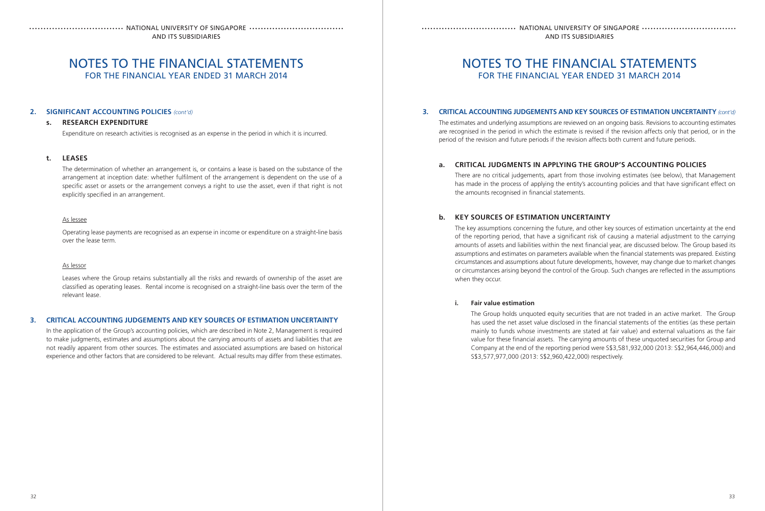## **2. SIGNIFICANT ACCOUNTING POLICIES** *(cont'd)*

### **s. RESEARCH EXPENDITURE**

Expenditure on research activities is recognised as an expense in the period in which it is incurred.

## **t. LEASES**

The determination of whether an arrangement is, or contains a lease is based on the substance of the arrangement at inception date: whether fulfilment of the arrangement is dependent on the use of a specific asset or assets or the arrangement conveys a right to use the asset, even if that right is not explicitly specified in an arrangement.

### As lessee

Operating lease payments are recognised as an expense in income or expenditure on a straight-line basis over the lease term.

#### As lessor

Leases where the Group retains substantially all the risks and rewards of ownership of the asset are classified as operating leases. Rental income is recognised on a straight-line basis over the term of the relevant lease.

## **3. CRITICAL ACCOUNTING JUDGEMENTS AND KEY SOURCES OF ESTIMATION UNCERTAINTY**

In the application of the Group's accounting policies, which are described in Note 2, Management is required to make judgments, estimates and assumptions about the carrying amounts of assets and liabilities that are not readily apparent from other sources. The estimates and associated assumptions are based on historical experience and other factors that are considered to be relevant. Actual results may differ from these estimates.

## NOTES TO THE FINANCIAL STATEMENTS FOR THE FINANCIAL YEAR ENDED 31 MARCH 2014

### **3. CRITICAL ACCOUNTING JUDGEMENTS AND KEY SOURCES OF ESTIMATION UNCERTAINTY** *(cont'd)*

The estimates and underlying assumptions are reviewed on an ongoing basis. Revisions to accounting estimates are recognised in the period in which the estimate is revised if the revision affects only that period, or in the period of the revision and future periods if the revision affects both current and future periods.

### **a. CRITICAL JUDGMENTS IN APPLYING THE GROUP'S ACCOUNTING POLICIES**

There are no critical judgements, apart from those involving estimates (see below), that Management has made in the process of applying the entity's accounting policies and that have significant effect on the amounts recognised in financial statements.

## **b. KEY SOURCES OF ESTIMATION UNCERTAINTY**

The key assumptions concerning the future, and other key sources of estimation uncertainty at the end of the reporting period, that have a significant risk of causing a material adjustment to the carrying amounts of assets and liabilities within the next financial year, are discussed below. The Group based its assumptions and estimates on parameters available when the financial statements was prepared. Existing circumstances and assumptions about future developments, however, may change due to market changes or circumstances arising beyond the control of the Group. Such changes are reflected in the assumptions when they occur.

### **i. Fair value estimation**

The Group holds unquoted equity securities that are not traded in an active market. The Group has used the net asset value disclosed in the financial statements of the entities (as these pertain mainly to funds whose investments are stated at fair value) and external valuations as the fair value for these financial assets. The carrying amounts of these unquoted securities for Group and Company at the end of the reporting period were S\$3,581,932,000 (2013: S\$2,964,446,000) and S\$3,577,977,000 (2013: S\$2,960,422,000) respectively.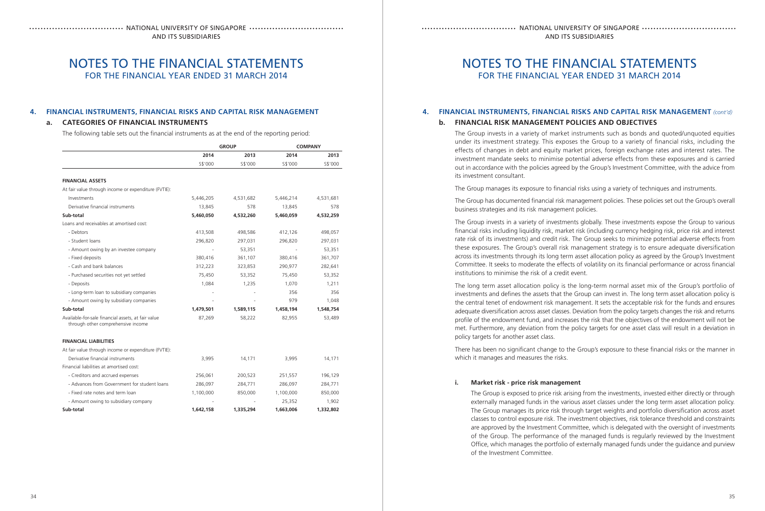## NOTES TO THE FINANCIAL STATEMENTS FOR THE FINANCIAL YEAR ENDED 31 MARCH 2014

### **4. FINANCIAL INSTRUMENTS, FINANCIAL RISKS AND CAPITAL RISK MANAGEMENT**

#### **a. CATEGORIES OF FINANCIAL INSTRUMENTS**

The following table sets out the financial instruments as at the end of the reporting period:

|                                                                                          | <b>GROUP</b> |           | <b>COMPANY</b> |           |  |
|------------------------------------------------------------------------------------------|--------------|-----------|----------------|-----------|--|
|                                                                                          | 2014         | 2013      | 2014           | 2013      |  |
|                                                                                          | S\$'000      | S\$'000   | S\$'000        | S\$'000   |  |
| <b>FINANCIAL ASSETS</b>                                                                  |              |           |                |           |  |
| At fair value through income or expenditure (FVTIE):                                     |              |           |                |           |  |
| Investments                                                                              | 5,446,205    | 4,531,682 | 5,446,214      | 4,531,681 |  |
| Derivative financial instruments                                                         | 13,845       | 578       | 13,845         | 578       |  |
| Sub-total                                                                                | 5,460,050    | 4,532,260 | 5,460,059      | 4,532,259 |  |
| Loans and receivables at amortised cost:                                                 |              |           |                |           |  |
| - Debtors                                                                                | 413,508      | 498,586   | 412,126        | 498,057   |  |
| - Student loans                                                                          | 296,820      | 297,031   | 296,820        | 297,031   |  |
| - Amount owing by an investee company                                                    |              | 53,351    |                | 53,351    |  |
| - Fixed deposits                                                                         | 380,416      | 361,107   | 380,416        | 361,707   |  |
| - Cash and bank balances                                                                 | 312,223      | 323,853   | 290,977        | 282,641   |  |
| - Purchased securities not yet settled                                                   | 75,450       | 53,352    | 75,450         | 53,352    |  |
| - Deposits                                                                               | 1,084        | 1,235     | 1,070          | 1,211     |  |
| - Long-term loan to subsidiary companies                                                 |              |           | 356            | 356       |  |
| - Amount owing by subsidiary companies                                                   |              |           | 979            | 1,048     |  |
| Sub-total                                                                                | 1,479,501    | 1,589,115 | 1,458,194      | 1,548,754 |  |
| Available-for-sale financial assets, at fair value<br>through other comprehensive income | 87,269       | 58,222    | 82,955         | 53,489    |  |
| <b>FINANCIAL LIABILITIES</b>                                                             |              |           |                |           |  |
| At fair value through income or expenditure (FVTIE):                                     |              |           |                |           |  |
| Derivative financial instruments                                                         | 3,995        | 14,171    | 3,995          | 14,171    |  |
| Financial liabilities at amortised cost:                                                 |              |           |                |           |  |
| - Creditors and accrued expenses                                                         | 256,061      | 200,523   | 251,557        | 196,129   |  |
| - Advances from Government for student loans                                             | 286,097      | 284,771   | 286,097        | 284,771   |  |
| - Fixed rate notes and term loan                                                         | 1,100,000    | 850,000   | 1,100,000      | 850,000   |  |
| - Amount owing to subsidiary company                                                     |              |           | 25,352         | 1,902     |  |
| Sub-total                                                                                | 1,642,158    | 1,335,294 | 1,663,006      | 1,332,802 |  |

## NOTES TO THE FINANCIAL STATEMENTS FOR THE FINANCIAL YEAR ENDED 31 MARCH 2014

## **4. FINANCIAL INSTRUMENTS, FINANCIAL RISKS AND CAPITAL RISK MANAGEMENT** *(cont'd)*

#### **b. FINANCIAL RISK MANAGEMENT POLICIES AND OBJECTIVES**

The Group invests in a variety of market instruments such as bonds and quoted/unquoted equities under its investment strategy. This exposes the Group to a variety of financial risks, including the effects of changes in debt and equity market prices, foreign exchange rates and interest rates. The investment mandate seeks to minimise potential adverse effects from these exposures and is carried out in accordance with the policies agreed by the Group's Investment Committee, with the advice from its investment consultant.

The Group manages its exposure to financial risks using a variety of techniques and instruments.

The Group has documented financial risk management policies. These policies set out the Group's overall business strategies and its risk management policies.

The Group invests in a variety of investments globally. These investments expose the Group to various financial risks including liquidity risk, market risk (including currency hedging risk, price risk and interest rate risk of its investments) and credit risk. The Group seeks to minimize potential adverse effects from these exposures. The Group's overall risk management strategy is to ensure adequate diversification across its investments through its long term asset allocation policy as agreed by the Group's Investment Committee. It seeks to moderate the effects of volatility on its financial performance or across financial institutions to minimise the risk of a credit event.

The long term asset allocation policy is the long-term normal asset mix of the Group's portfolio of investments and defines the assets that the Group can invest in. The long term asset allocation policy is the central tenet of endowment risk management. It sets the acceptable risk for the funds and ensures adequate diversification across asset classes. Deviation from the policy targets changes the risk and returns profile of the endowment fund, and increases the risk that the objectives of the endowment will not be met. Furthermore, any deviation from the policy targets for one asset class will result in a deviation in policy targets for another asset class.

There has been no significant change to the Group's exposure to these financial risks or the manner in which it manages and measures the risks.

### **i. Market risk - price risk management**

The Group is exposed to price risk arising from the investments, invested either directly or through externally managed funds in the various asset classes under the long term asset allocation policy. The Group manages its price risk through target weights and portfolio diversification across asset classes to control exposure risk. The investment objectives, risk tolerance threshold and constraints are approved by the Investment Committee, which is delegated with the oversight of investments of the Group. The performance of the managed funds is regularly reviewed by the Investment Office, which manages the portfolio of externally managed funds under the guidance and purview of the Investment Committee.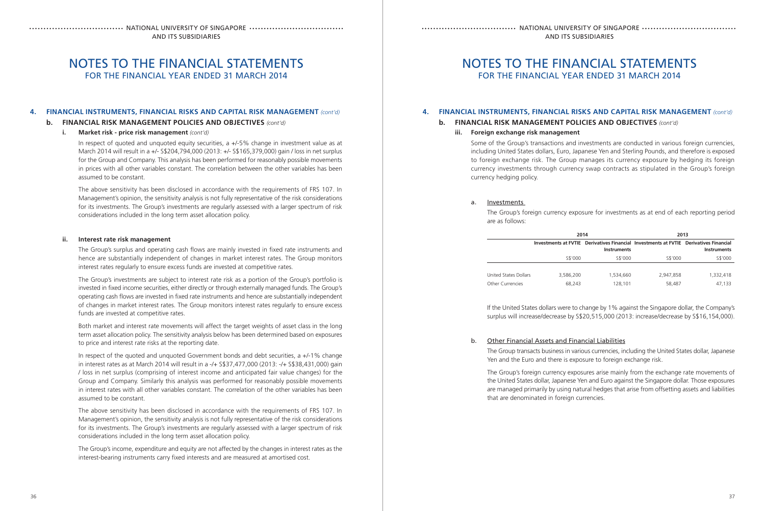## NOTES TO THE FINANCIAL STATEMENTS FOR THE FINANCIAL YEAR ENDED 31 MARCH 2014

### **4. FINANCIAL INSTRUMENTS, FINANCIAL RISKS AND CAPITAL RISK MANAGEMENT** *(cont'd)*

#### **b. FINANCIAL RISK MANAGEMENT POLICIES AND OBJECTIVES** *(cont'd)*

#### **i. Market risk - price risk management** *(cont'd)*

In respect of quoted and unquoted equity securities, a +/-5% change in investment value as at March 2014 will result in a +/- S\$204,794,000 (2013: +/- S\$165,379,000) gain / loss in net surplus for the Group and Company. This analysis has been performed for reasonably possible movements in prices with all other variables constant. The correlation between the other variables has been assumed to be constant.

The above sensitivity has been disclosed in accordance with the requirements of FRS 107. In Management's opinion, the sensitivity analysis is not fully representative of the risk considerations for its investments. The Group's investments are regularly assessed with a larger spectrum of risk considerations included in the long term asset allocation policy.

#### **ii. Interest rate risk management**

The Group's surplus and operating cash flows are mainly invested in fixed rate instruments and hence are substantially independent of changes in market interest rates. The Group monitors interest rates regularly to ensure excess funds are invested at competitive rates.

The Group's investments are subject to interest rate risk as a portion of the Group's portfolio is invested in fixed income securities, either directly or through externally managed funds. The Group's operating cash flows are invested in fixed rate instruments and hence are substantially independent of changes in market interest rates. The Group monitors interest rates regularly to ensure excess funds are invested at competitive rates.

Both market and interest rate movements will affect the target weights of asset class in the long term asset allocation policy. The sensitivity analysis below has been determined based on exposures to price and interest rate risks at the reporting date.

In respect of the quoted and unquoted Government bonds and debt securities, a +/-1% change in interest rates as at March 2014 will result in a -/+ S\$37,477,000 (2013: -/+ S\$38,431,000) gain / loss in net surplus (comprising of interest income and anticipated fair value changes) for the Group and Company. Similarly this analysis was performed for reasonably possible movements in interest rates with all other variables constant. The correlation of the other variables has been assumed to be constant.

The above sensitivity has been disclosed in accordance with the requirements of FRS 107. In Management's opinion, the sensitivity analysis is not fully representative of the risk considerations for its investments. The Group's investments are regularly assessed with a larger spectrum of risk considerations included in the long term asset allocation policy.

The Group's income, expenditure and equity are not affected by the changes in interest rates as the interest-bearing instruments carry fixed interests and are measured at amortised cost.

## NOTES TO THE FINANCIAL STATEMENTS FOR THE FINANCIAL YEAR ENDED 31 MARCH 2014

#### **4. FINANCIAL INSTRUMENTS, FINANCIAL RISKS AND CAPITAL RISK MANAGEMENT** *(cont'd)*

#### **b. FINANCIAL RISK MANAGEMENT POLICIES AND OBJECTIVES** *(cont'd)*

#### **iii. Foreign exchange risk management**

Some of the Group's transactions and investments are conducted in various foreign currencies, including United States dollars, Euro, Japanese Yen and Sterling Pounds, and therefore is exposed to foreign exchange risk. The Group manages its currency exposure by hedging its foreign currency investments through currency swap contracts as stipulated in the Group's foreign currency hedging policy.

#### a. Investments

The Group's foreign currency exposure for investments as at end of each reporting period are as follows:

|                              | 2014      |                    | 2013                                                                                  |                    |  |
|------------------------------|-----------|--------------------|---------------------------------------------------------------------------------------|--------------------|--|
|                              |           | <b>Instruments</b> | Investments at FVTIE Derivatives Financial Investments at FVTIE Derivatives Financial | <b>Instruments</b> |  |
|                              | S\$'000   | S\$'000            | S\$'000                                                                               | S\$'000            |  |
| <b>United States Dollars</b> | 3,586,200 | 1,534,660          | 2,947,858                                                                             | 1,332,418          |  |
| <b>Other Currencies</b>      | 68,243    | 128,101            | 58,487                                                                                | 47,133             |  |

If the United States dollars were to change by 1% against the Singapore dollar, the Company's surplus will increase/decrease by S\$20,515,000 (2013: increase/decrease by S\$16,154,000).

#### b. Other Financial Assets and Financial Liabilities

The Group transacts business in various currencies, including the United States dollar, Japanese Yen and the Euro and there is exposure to foreign exchange risk.

The Group's foreign currency exposures arise mainly from the exchange rate movements of the United States dollar, Japanese Yen and Euro against the Singapore dollar. Those exposures are managed primarily by using natural hedges that arise from offsetting assets and liabilities that are denominated in foreign currencies.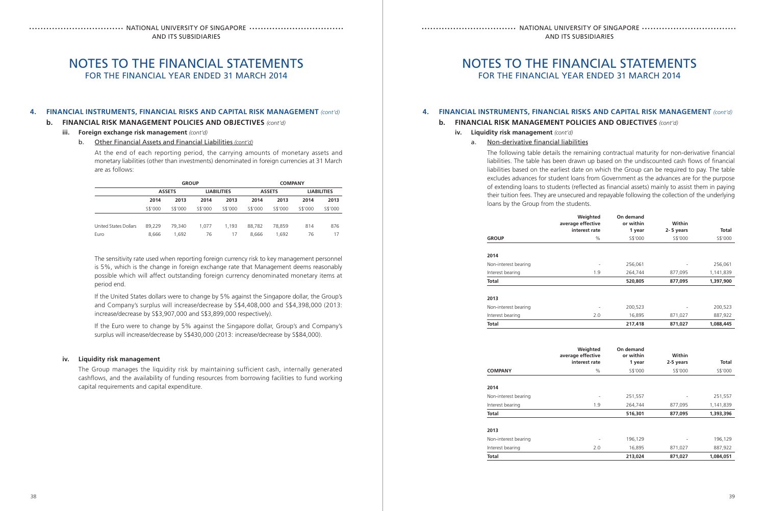## NOTES TO THE FINANCIAL STATEMENTS FOR THE FINANCIAL YEAR ENDED 31 MARCH 2014

### **4. FINANCIAL INSTRUMENTS, FINANCIAL RISKS AND CAPITAL RISK MANAGEMENT** *(cont'd)*

**b. FINANCIAL RISK MANAGEMENT POLICIES AND OBJECTIVES** *(cont'd)*

#### **iii. Foreign exchange risk management** *(cont'd)*

b. Other Financial Assets and Financial Liabilities *(cont'd)*

At the end of each reporting period, the carrying amounts of monetary assets and monetary liabilities (other than investments) denominated in foreign currencies at 31 March are as follows:

|                              | <b>GROUP</b> |               |         |                    | <b>COMPANY</b> |               |         |                    |
|------------------------------|--------------|---------------|---------|--------------------|----------------|---------------|---------|--------------------|
|                              |              | <b>ASSETS</b> |         | <b>LIABILITIES</b> |                | <b>ASSETS</b> |         | <b>LIABILITIES</b> |
|                              | 2014         | 2013          | 2014    | 2013               | 2014           | 2013          | 2014    | 2013               |
|                              | S\$'000      | S\$'000       | S\$'000 | S\$'000            | S\$'000        | S\$'000       | S\$'000 | S\$'000            |
|                              |              |               |         |                    |                |               |         |                    |
| <b>United States Dollars</b> | 89,229       | 79,340        | 1.077   | 1.193              | 88,782         | 78,859        | 814     | 876                |
| Euro                         | 8.666        | 1.692         | 76      | 17                 | 8.666          | 1.692         | 76      | 17                 |

The sensitivity rate used when reporting foreign currency risk to key management personnel is 5%, which is the change in foreign exchange rate that Management deems reasonably possible which will affect outstanding foreign currency denominated monetary items at period end.

If the United States dollars were to change by 5% against the Singapore dollar, the Group's and Company's surplus will increase/decrease by S\$4,408,000 and S\$4,398,000 (2013: increase/decrease by S\$3,907,000 and S\$3,899,000 respectively).

If the Euro were to change by 5% against the Singapore dollar, Group's and Company's surplus will increase/decrease by S\$430,000 (2013: increase/decrease by S\$84,000).

#### **iv. Liquidity risk management**

The Group manages the liquidity risk by maintaining sufficient cash, internally generated cashflows, and the availability of funding resources from borrowing facilities to fund working capital requirements and capital expenditure.

## NOTES TO THE FINANCIAL STATEMENTS FOR THE FINANCIAL YEAR ENDED 31 MARCH 2014

### **4. FINANCIAL INSTRUMENTS, FINANCIAL RISKS AND CAPITAL RISK MANAGEMENT** *(cont'd)*

#### **b. FINANCIAL RISK MANAGEMENT POLICIES AND OBJECTIVES** *(cont'd)*

- **iv. Liquidity risk management** *(cont'd)*
	- a. Non-derivative financial liabilities

The following table details the remaining contractual maturity for non-derivative financial liabilities. The table has been drawn up based on the undiscounted cash flows of financial liabilities based on the earliest date on which the Group can be required to pay. The table excludes advances for student loans from Government as the advances are for the purpose of extending loans to students (reflected as financial assets) mainly to assist them in paying their tuition fees. They are unsecured and repayable following the collection of the underlying loans by the Group from the students.

|                      | Weighted<br>average effective<br>interest rate | On demand<br>or within<br>1 year | Within<br>2-5 years | Total     |
|----------------------|------------------------------------------------|----------------------------------|---------------------|-----------|
| <b>GROUP</b>         | $\%$                                           | S\$'000                          | S\$'000             | S\$'000   |
| 2014                 |                                                |                                  |                     |           |
| Non-interest bearing | ٠                                              | 256,061                          | ۰                   | 256,061   |
| Interest bearing     | 1.9                                            | 264,744                          | 877,095             | 1,141,839 |
| <b>Total</b>         |                                                | 520,805                          | 877,095             | 1,397,900 |
| 2013                 |                                                |                                  |                     |           |
| Non-interest bearing | ۰                                              | 200,523                          | ۰                   | 200,523   |
| Interest bearing     | 2.0                                            | 16,895                           | 871,027             | 887,922   |
| <b>Total</b>         |                                                | 217,418                          | 871,027             | 1,088,445 |

|                      | Weighted<br>average effective<br>interest rate | On demand<br>or within<br>1 year | Within<br>2-5 years | Total     |
|----------------------|------------------------------------------------|----------------------------------|---------------------|-----------|
| <b>COMPANY</b>       | $\%$                                           | S\$'000                          | S\$'000             | S\$'000   |
| 2014                 |                                                |                                  |                     |           |
| Non-interest bearing | ٠                                              | 251,557                          | ٠                   | 251,557   |
| Interest bearing     | 1.9                                            | 264,744                          | 877,095             | 1,141,839 |
| Total                |                                                | 516,301                          | 877,095             | 1,393,396 |
| 2013                 |                                                |                                  |                     |           |
| Non-interest bearing | ٠                                              | 196,129                          | ۰                   | 196,129   |
| Interest bearing     | 2.0                                            | 16,895                           | 871,027             | 887,922   |
| Total                |                                                | 213,024                          | 871,027             | 1,084,051 |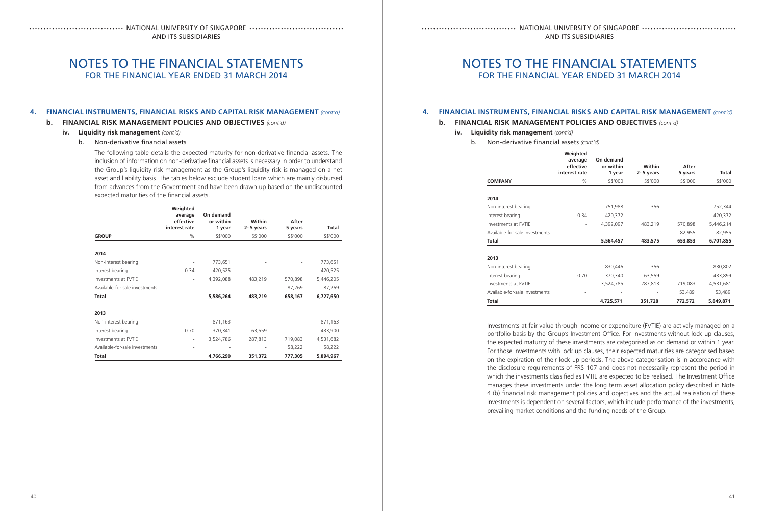### **4. FINANCIAL INSTRUMENTS, FINANCIAL RISKS AND CAPITAL RISK MANAGEMENT** *(cont'd)*

**b. FINANCIAL RISK MANAGEMENT POLICIES AND OBJECTIVES** *(cont'd)*

#### **iv. Liquidity risk management** *(cont'd)*

## b. Non-derivative financial assets

The following table details the expected maturity for non-derivative financial assets. The inclusion of information on non-derivative financial assets is necessary in order to understand the Group's liquidity risk management as the Group's liquidity risk is managed on a net asset and liability basis. The tables below exclude student loans which are mainly disbursed from advances from the Government and have been drawn up based on the undiscounted expected maturities of the financial assets.

|                                | Weighted<br>average<br>effective<br>interest rate | On demand<br>or within<br>1 year | Within<br>2-5 years | After<br>5 years | Total     |
|--------------------------------|---------------------------------------------------|----------------------------------|---------------------|------------------|-----------|
| <b>GROUP</b>                   | $\%$                                              | S\$'000                          | S\$'000             | S\$'000          | S\$'000   |
| 2014                           |                                                   |                                  |                     |                  |           |
| Non-interest bearing           |                                                   | 773,651                          |                     |                  | 773,651   |
| Interest bearing               | 0.34                                              | 420,525                          |                     |                  | 420,525   |
| Investments at FVTIE           | $\overline{\phantom{a}}$                          | 4,392,088                        | 483,219             | 570,898          | 5,446,205 |
| Available-for-sale investments |                                                   |                                  |                     | 87,269           | 87,269    |
| Total                          |                                                   | 5,586,264                        | 483,219             | 658,167          | 6,727,650 |
| 2013                           |                                                   |                                  |                     |                  |           |
| Non-interest bearing           |                                                   | 871,163                          |                     |                  | 871,163   |
| Interest bearing               | 0.70                                              | 370,341                          | 63,559              |                  | 433,900   |
| Investments at FVTIE           |                                                   | 3,524,786                        | 287,813             | 719,083          | 4,531,682 |
| Available-for-sale investments |                                                   |                                  |                     | 58,222           | 58,222    |
| Total                          |                                                   | 4,766,290                        | 351,372             | 777,305          | 5,894,967 |

## NOTES TO THE FINANCIAL STATEMENTS FOR THE FINANCIAL YEAR ENDED 31 MARCH 2014

#### **4. FINANCIAL INSTRUMENTS, FINANCIAL RISKS AND CAPITAL RISK MANAGEMENT** *(cont'd)*

#### **b. FINANCIAL RISK MANAGEMENT POLICIES AND OBJECTIVES** *(cont'd)*

- **iv. Liquidity risk management** *(cont'd)*
	- b. Non-derivative financial assets *(cont'd)*

|                                | Weighted<br>average<br>effective<br>interest rate | On demand<br>or within<br>1 year | Within<br>2-5 years | After<br>5 years | <b>Total</b> |
|--------------------------------|---------------------------------------------------|----------------------------------|---------------------|------------------|--------------|
| <b>COMPANY</b>                 | $\%$                                              | S\$'000                          | S\$'000             | S\$'000          | S\$'000      |
| 2014                           |                                                   |                                  |                     |                  |              |
| Non-interest bearing           |                                                   | 751,988                          | 356                 |                  | 752,344      |
| Interest bearing               | 0.34                                              | 420,372                          |                     |                  | 420,372      |
| Investments at FVTIE           | ٠                                                 | 4,392,097                        | 483,219             | 570,898          | 5,446,214    |
| Available-for-sale investments | ٠                                                 |                                  |                     | 82,955           | 82,955       |
| Total                          |                                                   | 5,564,457                        | 483,575             | 653,853          | 6,701,855    |
| 2013                           |                                                   |                                  |                     |                  |              |
| Non-interest bearing           |                                                   | 830,446                          | 356                 |                  | 830,802      |
| Interest bearing               | 0.70                                              | 370,340                          | 63,559              |                  | 433,899      |
| Investments at FVTIE           |                                                   | 3,524,785                        | 287,813             | 719,083          | 4,531,681    |
| Available-for-sale investments | ٠                                                 |                                  |                     | 53,489           | 53,489       |
| Total                          |                                                   | 4,725,571                        | 351,728             | 772,572          | 5,849,871    |

Investments at fair value through income or expenditure (FVTIE) are actively managed on a portfolio basis by the Group's Investment Office. For investments without lock up clauses, the expected maturity of these investments are categorised as on demand or within 1 year. For those investments with lock up clauses, their expected maturities are categorised based on the expiration of their lock up periods. The above categorisation is in accordance with the disclosure requirements of FRS 107 and does not necessarily represent the period in which the investments classified as FVTIE are expected to be realised. The Investment Office manages these investments under the long term asset allocation policy described in Note 4 (b) financial risk management policies and objectives and the actual realisation of these investments is dependent on several factors, which include performance of the investments, prevailing market conditions and the funding needs of the Group.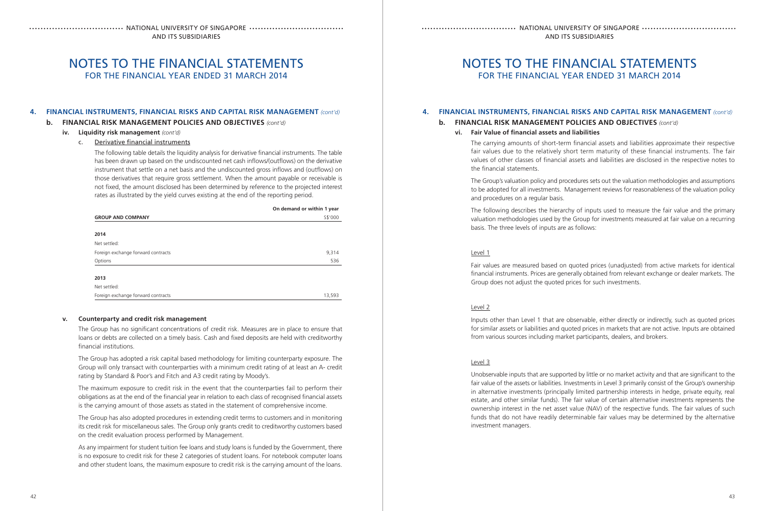## **4. FINANCIAL INSTRUMENTS, FINANCIAL RISKS AND CAPITAL RISK MANAGEMENT** *(cont'd)*

**b. FINANCIAL RISK MANAGEMENT POLICIES AND OBJECTIVES** *(cont'd)*

## **iv. Liquidity risk management** *(cont'd)*

c. Derivative financial instruments

The following table details the liquidity analysis for derivative financial instruments. The table has been drawn up based on the undiscounted net cash inflows/(outflows) on the derivative instrument that settle on a net basis and the undiscounted gross inflows and (outflows) on those derivatives that require gross settlement. When the amount payable or receivable is not fixed, the amount disclosed has been determined by reference to the projected interest rates as illustrated by the yield curves existing at the end of the reporting period.

|                                    | On demand or within 1 year |
|------------------------------------|----------------------------|
| <b>GROUP AND COMPANY</b>           | S\$'000                    |
| 2014                               |                            |
| Net settled:                       |                            |
| Foreign exchange forward contracts | 9,314                      |
| Options                            | 536                        |
| 2013                               |                            |
| Net settled:                       |                            |
| Foreign exchange forward contracts | 13,593                     |

## **v. Counterparty and credit risk management**

The Group has no significant concentrations of credit risk. Measures are in place to ensure that loans or debts are collected on a timely basis. Cash and fixed deposits are held with creditworthy financial institutions.

The Group has adopted a risk capital based methodology for limiting counterparty exposure. The Group will only transact with counterparties with a minimum credit rating of at least an A- credit rating by Standard & Poor's and Fitch and A3 credit rating by Moody's.

The maximum exposure to credit risk in the event that the counterparties fail to perform their obligations as at the end of the financial year in relation to each class of recognised financial assets is the carrying amount of those assets as stated in the statement of comprehensive income.

The Group has also adopted procedures in extending credit terms to customers and in monitoring its credit risk for miscellaneous sales. The Group only grants credit to creditworthy customers based on the credit evaluation process performed by Management.

As any impairment for student tuition fee loans and study loans is funded by the Government, there is no exposure to credit risk for these 2 categories of student loans. For notebook computer loans and other student loans, the maximum exposure to credit risk is the carrying amount of the loans.

## NOTES TO THE FINANCIAL STATEMENTS FOR THE FINANCIAL YEAR ENDED 31 MARCH 2014

## **4. FINANCIAL INSTRUMENTS, FINANCIAL RISKS AND CAPITAL RISK MANAGEMENT** *(cont'd)*

## **b. FINANCIAL RISK MANAGEMENT POLICIES AND OBJECTIVES** *(cont'd)*

**vi. Fair Value of financial assets and liabilities**

The carrying amounts of short-term financial assets and liabilities approximate their respective fair values due to the relatively short term maturity of these financial instruments. The fair values of other classes of financial assets and liabilities are disclosed in the respective notes to the financial statements.

The Group's valuation policy and procedures sets out the valuation methodologies and assumptions to be adopted for all investments. Management reviews for reasonableness of the valuation policy and procedures on a regular basis.

The following describes the hierarchy of inputs used to measure the fair value and the primary valuation methodologies used by the Group for investments measured at fair value on a recurring basis. The three levels of inputs are as follows:

### Level 1

Fair values are measured based on quoted prices (unadjusted) from active markets for identical financial instruments. Prices are generally obtained from relevant exchange or dealer markets. The Group does not adjust the quoted prices for such investments.

### Level 2

Inputs other than Level 1 that are observable, either directly or indirectly, such as quoted prices for similar assets or liabilities and quoted prices in markets that are not active. Inputs are obtained from various sources including market participants, dealers, and brokers.

## Level 3

Unobservable inputs that are supported by little or no market activity and that are significant to the fair value of the assets or liabilities. Investments in Level 3 primarily consist of the Group's ownership in alternative investments (principally limited partnership interests in hedge, private equity, real estate, and other similar funds). The fair value of certain alternative investments represents the ownership interest in the net asset value (NAV) of the respective funds. The fair values of such funds that do not have readily determinable fair values may be determined by the alternative investment managers.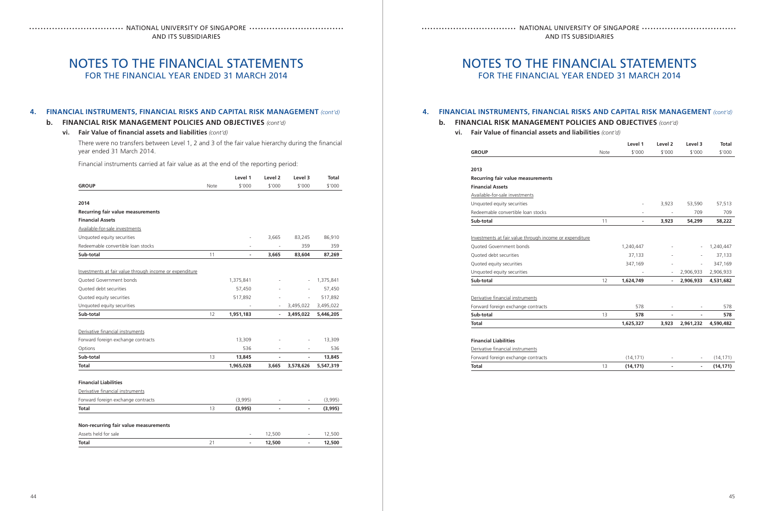#### **4. FINANCIAL INSTRUMENTS, FINANCIAL RISKS AND CAPITAL RISK MANAGEMENT** *(cont'd)*

### **b. FINANCIAL RISK MANAGEMENT POLICIES AND OBJECTIVES** *(cont'd)*

#### **vi. Fair Value of financial assets and liabilities** *(cont'd)*

There were no transfers between Level 1, 2 and 3 of the fair value hierarchy during the financial year ended 31 March 2014.

Financial instruments carried at fair value as at the end of the reporting period:

|                                                         |      | Level 1   | Level 2                  | Level 3        | <b>Total</b> |
|---------------------------------------------------------|------|-----------|--------------------------|----------------|--------------|
| <b>GROUP</b>                                            | Note | \$'000    | \$'000                   | \$'000         | \$'000       |
|                                                         |      |           |                          |                |              |
| 2014                                                    |      |           |                          |                |              |
| <b>Recurring fair value measurements</b>                |      |           |                          |                |              |
| <b>Financial Assets</b>                                 |      |           |                          |                |              |
| Available-for-sale investments                          |      |           |                          |                |              |
| Unquoted equity securities                              |      | ä,        | 3,665                    | 83,245         | 86,910       |
| Redeemable convertible loan stocks                      |      | ä,        |                          | 359            | 359          |
| Sub-total                                               | 11   | ÷,        | 3,665                    | 83,604         | 87,269       |
| Investments at fair value through income or expenditure |      |           |                          |                |              |
| Quoted Government bonds                                 |      | 1,375,841 |                          |                | 1,375,841    |
| Quoted debt securities                                  |      | 57,450    |                          |                | 57,450       |
| Quoted equity securities                                |      | 517,892   |                          | ÷,             | 517,892      |
| Unquoted equity securities                              |      |           | $\overline{\phantom{a}}$ | 3,495,022      | 3,495,022    |
| Sub-total                                               | 12   | 1,951,183 | $\blacksquare$           | 3,495,022      | 5,446,205    |
|                                                         |      |           |                          |                |              |
| Derivative financial instruments                        |      |           |                          |                |              |
| Forward foreign exchange contracts                      |      | 13,309    |                          |                | 13,309       |
| Options                                                 |      | 536       |                          |                | 536          |
| Sub-total                                               | 13   | 13,845    | $\blacksquare$           | $\blacksquare$ | 13,845       |
| <b>Total</b>                                            |      | 1,965,028 | 3,665                    | 3,578,626      | 5,547,319    |
| <b>Financial Liabilities</b>                            |      |           |                          |                |              |
| Derivative financial instruments                        |      |           |                          |                |              |
|                                                         |      |           |                          |                |              |
| Forward foreign exchange contracts                      |      | (3,995)   | $\overline{\phantom{a}}$ | $\frac{1}{2}$  | (3,995)      |
| <b>Total</b>                                            | 13   | (3,995)   | ÷,                       | ÷,             | (3,995)      |
| Non-recurring fair value measurements                   |      |           |                          |                |              |
| Assets held for sale                                    |      |           | 12,500                   |                | 12,500       |
| Total                                                   | 21   | L,        | 12,500                   | ÷,             | 12,500       |

## NOTES TO THE FINANCIAL STATEMENTS FOR THE FINANCIAL YEAR ENDED 31 MARCH 2014

#### **4. FINANCIAL INSTRUMENTS, FINANCIAL RISKS AND CAPITAL RISK MANAGEMENT** *(cont'd)*

### **b. FINANCIAL RISK MANAGEMENT POLICIES AND OBJECTIVES** *(cont'd)*

**vi. Fair Value of financial assets and liabilities** *(cont'd)*

|                                                         |      | Level 1   | Level 2 | Level 3                  | <b>Total</b> |
|---------------------------------------------------------|------|-----------|---------|--------------------------|--------------|
| <b>GROUP</b>                                            | Note | \$'000    | \$'000  | \$'000                   | \$'000       |
| 2013                                                    |      |           |         |                          |              |
| <b>Recurring fair value measurements</b>                |      |           |         |                          |              |
| <b>Financial Assets</b>                                 |      |           |         |                          |              |
| Available-for-sale investments                          |      |           |         |                          |              |
| Unquoted equity securities                              |      |           | 3,923   | 53,590                   | 57,513       |
| Redeemable convertible loan stocks                      |      |           |         | 709                      | 709          |
| Sub-total                                               | 11   | ÷         | 3,923   | 54,299                   | 58,222       |
|                                                         |      |           |         |                          |              |
| Investments at fair value through income or expenditure |      |           |         |                          |              |
| <b>Ouoted Government bonds</b>                          |      | 1,240,447 |         |                          | 1,240,447    |
| Quoted debt securities                                  |      | 37,133    |         |                          | 37,133       |
| Quoted equity securities                                |      | 347,169   |         | $\overline{\phantom{a}}$ | 347,169      |
| Unquoted equity securities                              |      |           | $\sim$  | 2,906,933                | 2,906,933    |
| Sub-total                                               | 12   | 1,624,749 |         | 2,906,933                | 4,531,682    |
| Derivative financial instruments                        |      |           |         |                          |              |
| Forward foreign exchange contracts                      |      | 578       | ٠       | ٠                        | 578          |
| Sub-total                                               | 13   | 578       |         | $\overline{\phantom{0}}$ | 578          |
| <b>Total</b>                                            |      | 1,625,327 | 3,923   | 2,961,232                | 4,590,482    |
| <b>Financial Liabilities</b>                            |      |           |         |                          |              |
| Derivative financial instruments                        |      |           |         |                          |              |
| Forward foreign exchange contracts                      |      | (14, 171) |         | $\overline{\phantom{0}}$ | (14, 171)    |
| Total                                                   | 13   | (14, 171) |         | ٠                        | (14, 171)    |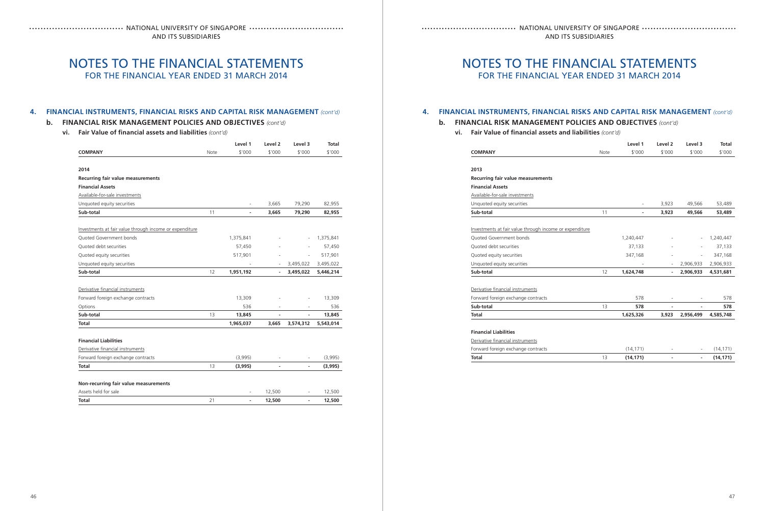### **4. FINANCIAL INSTRUMENTS, FINANCIAL RISKS AND CAPITAL RISK MANAGEMENT** *(cont'd)*

#### **b. FINANCIAL RISK MANAGEMENT POLICIES AND OBJECTIVES** *(cont'd)*

**vi. Fair Value of financial assets and liabilities** *(cont'd)*

|                                                         |      | Level 1   | Level <sub>2</sub>       | Level 3   | <b>Total</b> |
|---------------------------------------------------------|------|-----------|--------------------------|-----------|--------------|
| <b>COMPANY</b>                                          | Note | \$'000    | \$'000                   | \$'000    | \$'000       |
| 2014                                                    |      |           |                          |           |              |
| <b>Recurring fair value measurements</b>                |      |           |                          |           |              |
| <b>Financial Assets</b>                                 |      |           |                          |           |              |
| Available-for-sale investments                          |      |           |                          |           |              |
| Unquoted equity securities                              |      | ä,        | 3,665                    | 79,290    | 82,955       |
| Sub-total                                               | 11   | ä,        | 3,665                    | 79,290    | 82,955       |
| Investments at fair value through income or expenditure |      |           |                          |           |              |
| Quoted Government bonds                                 |      | 1,375,841 |                          | ä,        | 1,375,841    |
| Quoted debt securities                                  |      | 57,450    |                          |           | 57,450       |
| Quoted equity securities                                |      | 517,901   |                          | ÷,        | 517,901      |
| Unquoted equity securities                              |      | ä,        | $\overline{\phantom{a}}$ | 3,495,022 | 3,495,022    |
| Sub-total                                               | 12   | 1,951,192 | $\overline{a}$           | 3,495,022 | 5,446,214    |
| Derivative financial instruments                        |      |           |                          |           |              |
| Forward foreign exchange contracts                      |      | 13,309    |                          |           | 13,309       |
| Options                                                 |      | 536       | ä,                       | ä,        | 536          |
| Sub-total                                               | 13   | 13,845    | ÷,                       | ÷,        | 13,845       |
| Total                                                   |      | 1,965,037 | 3,665                    | 3,574,312 | 5,543,014    |
| <b>Financial Liabilities</b>                            |      |           |                          |           |              |
| Derivative financial instruments                        |      |           |                          |           |              |
| Forward foreign exchange contracts                      |      | (3,995)   |                          |           | (3,995)      |
| Total                                                   | 13   | (3,995)   |                          | ä,        | (3,995)      |
| Non-recurring fair value measurements                   |      |           |                          |           |              |
| Assets held for sale                                    |      |           | 12,500                   |           | 12,500       |
| Total                                                   | 21   | ٠         | 12,500                   | -         | 12,500       |

## NOTES TO THE FINANCIAL STATEMENTS FOR THE FINANCIAL YEAR ENDED 31 MARCH 2014

#### **4. FINANCIAL INSTRUMENTS, FINANCIAL RISKS AND CAPITAL RISK MANAGEMENT** *(cont'd)*

### **b. FINANCIAL RISK MANAGEMENT POLICIES AND OBJECTIVES** *(cont'd)*

**vi. Fair Value of financial assets and liabilities** *(cont'd)*

|                                                                  |      | Level 1   | Level 2        | Level 3   | Total     |
|------------------------------------------------------------------|------|-----------|----------------|-----------|-----------|
| <b>COMPANY</b>                                                   | Note | \$'000    | \$'000         | \$'000    | \$'000    |
| 2013                                                             |      |           |                |           |           |
| <b>Recurring fair value measurements</b>                         |      |           |                |           |           |
| <b>Financial Assets</b>                                          |      |           |                |           |           |
| Available-for-sale investments                                   |      |           |                |           |           |
| Unquoted equity securities                                       |      |           | 3,923          | 49,566    | 53,489    |
| Sub-total                                                        | 11   | ٠         | 3,923          | 49,566    | 53,489    |
|                                                                  |      |           |                |           |           |
| Investments at fair value through income or expenditure          |      |           |                |           |           |
| <b>Ouoted Government bonds</b>                                   |      | 1,240,447 |                | ÷         | 1,240,447 |
| Quoted debt securities                                           |      | 37,133    |                |           | 37,133    |
| Quoted equity securities                                         |      | 347,168   |                |           | 347,168   |
| Unquoted equity securities                                       |      |           |                | 2,906,933 | 2,906,933 |
| Sub-total                                                        | 12   | 1,624,748 | $\blacksquare$ | 2,906,933 | 4,531,681 |
| Derivative financial instruments                                 |      |           |                |           |           |
| Forward foreign exchange contracts                               |      | 578       |                |           |           |
| Sub-total                                                        | 13   | 578       |                |           |           |
| Total                                                            |      | 1,625,326 | 3,923          | 2,956,499 | 4,585,748 |
| <b>Financial Liabilities</b><br>Derivative financial instruments |      |           |                |           |           |
| Forward foreign exchange contracts                               |      | (14, 171) |                |           | (14, 171) |
|                                                                  |      |           |                |           |           |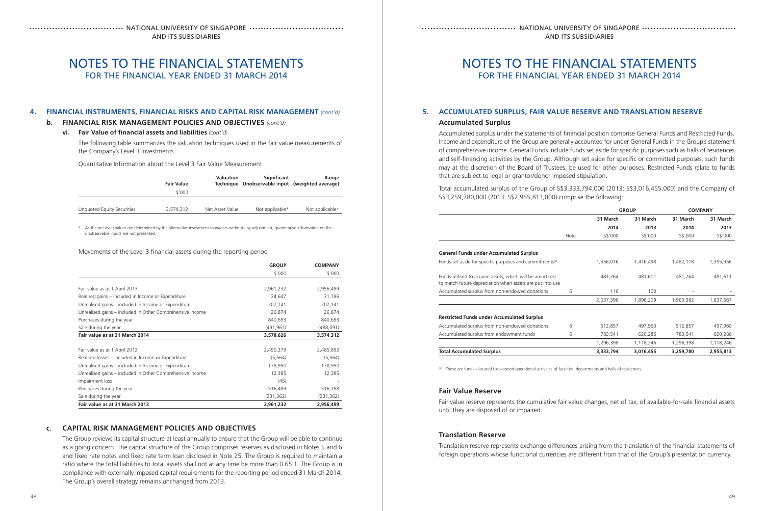#### **4. FINANCIAL INSTRUMENTS, FINANCIAL RISKS AND CAPITAL RISK MANAGEMENT** *(cont'd)*

#### **b. FINANCIAL RISK MANAGEMENT POLICIES AND OBJECTIVES** *(cont'd)*

#### **vi. Fair Value of financial assets and liabilities** *(cont'd)*

The following table summarizes the valuation techniques used in the fair value measurements of the Company's Level 3 investments.

Quantitative Information about the Level 3 Fair Value Measurement

|                            | <b>Fair Value</b> | <b>Valuation</b> | Significant<br>Technique Unobservable input (weighted average) | Range           |
|----------------------------|-------------------|------------------|----------------------------------------------------------------|-----------------|
|                            | \$'000            |                  |                                                                |                 |
| Unquoted Equity Securities | 3.574.312         | Net Asset Value  | Not applicable*                                                | Not applicable* |

 \* As the net asset values are determined by the alternative investment managers without any adjustment, quantitative information on the unobservable inputs are not presented.

#### Movements of the Level 3 financial assets during the reporting period

|                                                           | <b>GROUP</b> | <b>COMPANY</b> |
|-----------------------------------------------------------|--------------|----------------|
|                                                           | \$'000       | \$'000         |
| Fair value as at 1 April 2013                             | 2,961,232    | 2,956,499      |
| Realised gains – included in Income or Expenditure        | 34,647       | 31,196         |
| Unrealised gains – included in Income or Expenditure      | 207,141      | 207,141        |
| Unrealised gains – included in Other Comprehensive Income | 26,874       | 26,874         |
| Purchases during the year                                 | 840,693      | 840,693        |
| Sale during the year                                      | (491, 961)   | (488,091)      |
| Fair value as at 31 March 2014                            | 3,578,626    | 3,574,312      |
|                                                           |              |                |
| Fair value as at 1 April 2012                             | 2,490,379    | 2,485,892      |
| Realised losses – included in Income or Expenditure       | (5, 564)     | (5, 564)       |
| Unrealised gains – included in Income or Expenditure      | 178,950      | 178,950        |
| Unrealised gains – included in Other Comprehensive Income | 12,385       | 12,385         |
| Impairment loss                                           | (45)         |                |
| Purchases during the year                                 | 516,489      | 516,198        |
| Sale during the year                                      | (231, 362)   | (231, 362)     |
| Fair value as at 31 March 2013                            | 2,961,232    | 2,956,499      |

#### **c. CAPITAL RISK MANAGEMENT POLICIES AND OBJECTIVES**

The Group reviews its capital structure at least annually to ensure that the Group will be able to continue as a going concern. The capital structure of the Group comprises reserves as disclosed in Notes 5 and 6 and fixed rate notes and fixed rate term loan disclosed in Note 25. The Group is required to maintain a ratio where the total liabilities to total assets shall not at any time be more than 0.65:1. The Group is in compliance with externally imposed capital requirements for the reporting period ended 31 March 2014. The Group's overall strategy remains unchanged from 2013.

## NOTES TO THE FINANCIAL STATEMENTS FOR THE FINANCIAL YEAR ENDED 31 MARCH 2014

#### **5. ACCUMULATED SURPLUS, FAIR VALUE RESERVE AND TRANSLATION RESERVE**

#### **Accumulated Surplus**

Accumulated surplus under the statements of financial position comprise General Funds and Restricted Funds. Income and expenditure of the Group are generally accounted for under General Funds in the Group's statement of comprehensive income. General Funds include funds set aside for specific purposes such as halls of residences and self-financing activities by the Group. Although set aside for specific or committed purposes, such funds may at the discretion of the Board of Trustees, be used for other purposes. Restricted Funds relate to funds that are subject to legal or grantor/donor imposed stipulation.

Total accumulated surplus of the Group of S\$3,333,794,000 (2013: S\$3,016,455,000) and the Company of S\$3,259,780,000 (2013: S\$2,955,813,000) comprise the following:

|                                                                                                                        |             |           | <b>GROUP</b> | <b>COMPANY</b> |           |
|------------------------------------------------------------------------------------------------------------------------|-------------|-----------|--------------|----------------|-----------|
|                                                                                                                        |             | 31 March  | 31 March     | 31 March       | 31 March  |
|                                                                                                                        |             | 2014      | 2013         | 2014           | 2013      |
|                                                                                                                        | <b>Note</b> | S\$'000   | S\$'000      | S\$'000        | S\$'000   |
| <b>General Funds under Accumulated Surplus</b>                                                                         |             |           |              |                |           |
| Funds set aside for specific purposes and commitments <sup>(a)</sup>                                                   |             | 1,556,016 | 1,416,498    | 1,482,118      | 1,355,956 |
| Funds utilised to acquire assets, which will be amortised<br>to match future depreciation when assets are put into use |             | 481,264   | 481,611      | 481,264        | 481,611   |
| Accumulated surplus from non-endowed donations                                                                         | 6           | 116       | 100          |                |           |
|                                                                                                                        |             | 2,037,396 | 1,898,209    | 1,963,382      | 1,837,567 |
| <b>Restricted Funds under Accumulated Surplus</b>                                                                      |             |           |              |                |           |
| Accumulated surplus from non-endowed donations                                                                         | 6           | 512,857   | 497,960      | 512,857        | 497,960   |
| Accumulated surplus from endowment funds                                                                               | 6           | 783,541   | 620,286      | 783,541        | 620,286   |
|                                                                                                                        |             | 1,296,398 | 1,118,246    | 1,296,398      | 1,118,246 |
| <b>Total Accumulated Surplus</b>                                                                                       |             | 3,333,794 | 3,016,455    | 3,259,780      | 2,955,813 |

(a) These are funds allocated for planned operational activities of faculties, departments and halls of residences.

### **Fair Value Reserve**

Fair value reserve represents the cumulative fair value changes, net of tax, of available-for-sale financial assets until they are disposed of or impaired.

#### **Translation Reserve**

Translation reserve represents exchange differences arising from the translation of the financial statements of foreign operations whose functional currencies are different from that of the Group's presentation currency.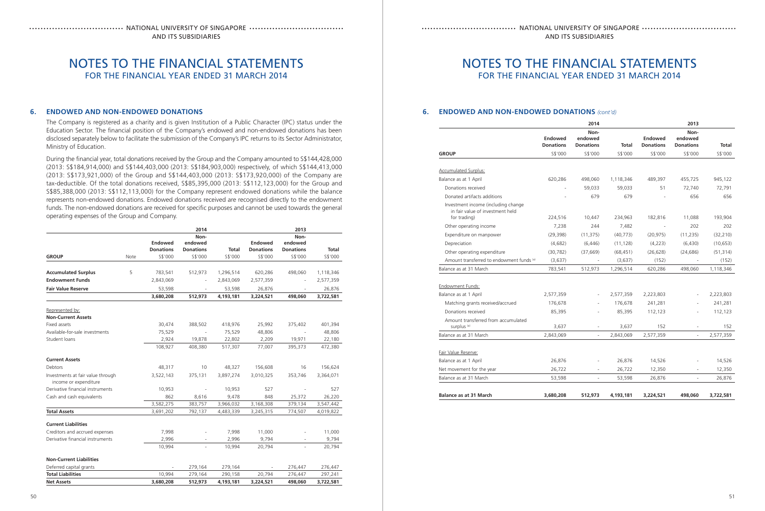## NOTES TO THE FINANCIAL STATEMENTS FOR THE FINANCIAL YEAR ENDED 31 MARCH 2014

#### **6. ENDOWED AND NON-ENDOWED DONATIONS**

The Company is registered as a charity and is given Institution of a Public Character (IPC) status under the Education Sector. The financial position of the Company's endowed and non-endowed donations has been disclosed separately below to facilitate the submission of the Company's IPC returns to its Sector Administrator, Ministry of Education.

During the financial year, total donations received by the Group and the Company amounted to S\$144,428,000 (2013: S\$184,914,000) and S\$144,403,000 (2013: S\$184,903,000) respectively, of which S\$144,413,000 (2013: S\$173,921,000) of the Group and S\$144,403,000 (2013: S\$173,920,000) of the Company are tax-deductible. Of the total donations received, S\$85,395,000 (2013: S\$112,123,000) for the Group and S\$85,388,000 (2013: S\$112,113,000) for the Company represent endowed donations while the balance represents non-endowed donations. Endowed donations received are recognised directly to the endowment funds. The non-endowed donations are received for specific purposes and cannot be used towards the general operating expenses of the Group and Company.

|                                                            |      |                  | 2014             |              |                  | 2013             |           |
|------------------------------------------------------------|------|------------------|------------------|--------------|------------------|------------------|-----------|
|                                                            |      |                  | Non-             |              |                  | Non-             |           |
|                                                            |      | Endowed          | endowed          |              | <b>Endowed</b>   | endowed          |           |
|                                                            |      | <b>Donations</b> | <b>Donations</b> | <b>Total</b> | <b>Donations</b> | <b>Donations</b> | Total     |
| <b>GROUP</b>                                               | Note | S\$'000          | S\$'000          | S\$'000      | S\$'000          | S\$'000          | S\$'000   |
|                                                            |      |                  |                  |              |                  |                  |           |
| <b>Accumulated Surplus</b>                                 | 5    | 783,541          | 512,973          | 1,296,514    | 620,286          | 498,060          | 1,118,346 |
| <b>Endowment Funds</b>                                     |      | 2,843,069        |                  | 2,843,069    | 2,577,359        |                  | 2,577,359 |
| <b>Fair Value Reserve</b>                                  |      | 53,598           |                  | 53,598       | 26,876           |                  | 26,876    |
|                                                            |      | 3,680,208        | 512,973          | 4,193,181    | 3,224,521        | 498,060          | 3,722,581 |
| Represented by:                                            |      |                  |                  |              |                  |                  |           |
| <b>Non-Current Assets</b>                                  |      |                  |                  |              |                  |                  |           |
| Fixed assets                                               |      | 30,474           | 388,502          | 418,976      | 25,992           | 375,402          | 401,394   |
| Available-for-sale investments                             |      | 75,529           |                  | 75,529       | 48,806           | ÷.               | 48,806    |
| Student loans                                              |      | 2,924            | 19,878           | 22,802       | 2,209            | 19,971           | 22,180    |
|                                                            |      | 108,927          | 408,380          | 517,307      | 77,007           | 395,373          | 472,380   |
| <b>Current Assets</b>                                      |      |                  |                  |              |                  |                  |           |
| Debtors                                                    |      | 48,317           | 10               | 48,327       | 156,608          | 16               | 156,624   |
| Investments at fair value through<br>income or expenditure |      | 3,522,143        | 375,131          | 3,897,274    | 3,010,325        | 353,746          | 3,364,071 |
| Derivative financial instruments                           |      | 10,953           | ×,               | 10,953       | 527              |                  | 527       |
| Cash and cash equivalents                                  |      | 862              | 8,616            | 9,478        | 848              | 25,372           | 26,220    |
|                                                            |      | 3,582,275        | 383,757          | 3,966,032    | 3,168,308        | 379,134          | 3,547,442 |
| <b>Total Assets</b>                                        |      | 3,691,202        | 792,137          | 4,483,339    | 3,245,315        | 774,507          | 4,019,822 |
| <b>Current Liabilities</b>                                 |      |                  |                  |              |                  |                  |           |
| Creditors and accrued expenses                             |      | 7,998            |                  | 7,998        | 11,000           |                  | 11,000    |
| Derivative financial instruments                           |      | 2,996            |                  | 2,996        | 9,794            |                  | 9,794     |
|                                                            |      | 10,994           |                  | 10,994       | 20,794           |                  | 20,794    |
| <b>Non-Current Liabilities</b>                             |      |                  |                  |              |                  |                  |           |
| Deferred capital grants                                    |      |                  | 279,164          | 279,164      |                  | 276,447          | 276,447   |
| <b>Total Liabilities</b>                                   |      | 10,994           | 279,164          | 290,158      | 20,794           | 276,447          | 297,241   |
| <b>Net Assets</b>                                          |      | 3,680,208        | 512,973          | 4,193,181    | 3,224,521        | 498,060          | 3,722,581 |

## NOTES TO THE FINANCIAL STATEMENTS FOR THE FINANCIAL YEAR ENDED 31 MARCH 2014

#### **6. ENDOWED AND NON-ENDOWED DONATIONS** *(cont'd)*

|                                                                         |                                    | 2014                                |              |                                    | 2013                                |           |
|-------------------------------------------------------------------------|------------------------------------|-------------------------------------|--------------|------------------------------------|-------------------------------------|-----------|
|                                                                         | <b>Endowed</b><br><b>Donations</b> | Non-<br>endowed<br><b>Donations</b> | <b>Total</b> | <b>Endowed</b><br><b>Donations</b> | Non-<br>endowed<br><b>Donations</b> | Total     |
| <b>GROUP</b>                                                            | S\$'000                            | S\$'000                             | S\$'000      | S\$'000                            | S\$'000                             | S\$'000   |
|                                                                         |                                    |                                     |              |                                    |                                     |           |
| <b>Accumulated Surplus:</b><br>Balance as at 1 April                    | 620,286                            | 498,060                             | 1,118,346    | 489,397                            | 455,725                             | 945,122   |
| Donations received                                                      |                                    | 59,033                              | 59,033       | 51                                 | 72.740                              | 72,791    |
| Donated artifacts additions                                             |                                    | 679                                 | 679          |                                    | 656                                 | 656       |
| Investment income (including change<br>in fair value of investment held |                                    |                                     |              |                                    |                                     |           |
| for trading)                                                            | 224,516                            | 10,447                              | 234,963      | 182,816<br>×.                      | 11,088                              | 193,904   |
| Other operating income                                                  | 7,238                              | 244                                 | 7,482        |                                    | 202                                 | 202       |
| Expenditure on manpower                                                 | (29, 398)                          | (11, 375)                           | (40, 773)    | (20, 975)                          | (11, 235)                           | (32, 210) |
| Depreciation                                                            | (4,682)                            | (6, 446)                            | (11, 128)    | (4,223)                            | (6,430)                             | (10, 653) |
| Other operating expenditure                                             | (30, 782)                          | (37, 669)                           | (68, 451)    | (26, 628)                          | (24, 686)                           | (51, 314) |
| Amount transferred to endowment funds (a)                               | (3,637)                            | ÷.                                  | (3,637)      | (152)                              |                                     | (152)     |
| Balance as at 31 March                                                  | 783,541                            | 512,973                             | 1,296,514    | 620,286                            | 498,060                             | 1,118,346 |
| Endowment Funds:                                                        |                                    |                                     |              |                                    |                                     |           |
| Balance as at 1 April                                                   | 2,577,359                          |                                     | 2,577,359    | 2,223,803                          |                                     | 2,223,803 |
| Matching grants received/accrued                                        | 176,678                            |                                     | 176,678      | 241,281                            |                                     | 241,281   |
| Donations received                                                      | 85,395                             |                                     | 85,395       | 112,123                            |                                     | 112,123   |
| Amount transferred from accumulated<br>surplus <sup>(a)</sup>           | 3,637                              |                                     | 3,637        | 152                                |                                     | 152       |
| Balance as at 31 March                                                  | 2,843,069                          | $\sim$                              | 2,843,069    | 2,577,359                          | $\overline{\phantom{a}}$            | 2,577,359 |
|                                                                         |                                    |                                     |              |                                    |                                     |           |
| Fair Value Reserve:                                                     |                                    |                                     |              |                                    |                                     |           |
| Balance as at 1 April                                                   | 26,876                             |                                     | 26,876       | 14,526                             |                                     | 14,526    |
| Net movement for the year                                               | 26,722                             |                                     | 26,722       | 12,350                             |                                     | 12,350    |
| Balance as at 31 March                                                  | 53,598                             | ÷.                                  | 53,598       | 26,876                             | ä,                                  | 26,876    |
| <b>Balance as at 31 March</b>                                           | 3,680,208                          | 512,973                             | 4,193,181    | 3,224,521                          | 498,060                             | 3,722,581 |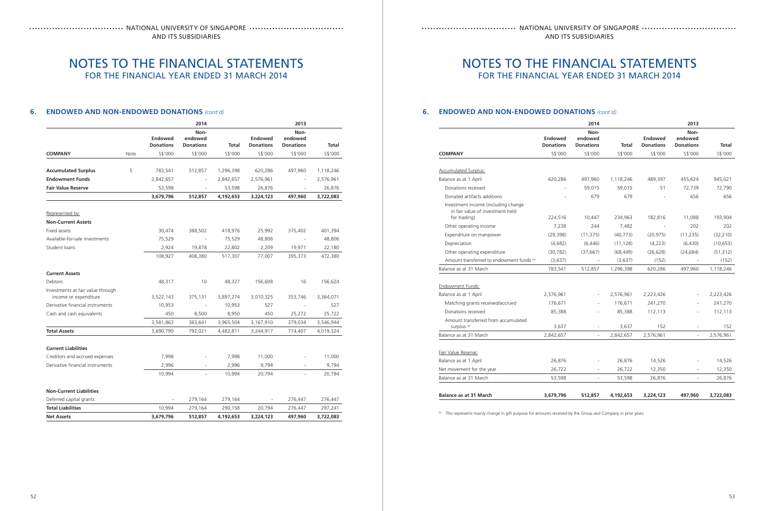## NOTES TO THE FINANCIAL STATEMENTS FOR THE FINANCIAL YEAR ENDED 31 MARCH 2014

## **6. ENDOWED AND NON-ENDOWED DONATIONS** *(cont'd)*

|                                   |      |                                    | 2014                                |              |                                    | 2013                                |              |
|-----------------------------------|------|------------------------------------|-------------------------------------|--------------|------------------------------------|-------------------------------------|--------------|
|                                   |      | <b>Endowed</b><br><b>Donations</b> | Non-<br>endowed<br><b>Donations</b> | <b>Total</b> | <b>Endowed</b><br><b>Donations</b> | Non-<br>endowed<br><b>Donations</b> | <b>Total</b> |
| <b>COMPANY</b>                    | Note | S\$'000                            | S\$'000                             | S\$'000      | S\$'000                            | S\$'000                             | S\$'000      |
|                                   |      |                                    |                                     |              |                                    |                                     |              |
| <b>Accumulated Surplus</b>        | 5    | 783,541                            | 512,857                             | 1,296,398    | 620,286                            | 497,960                             | 1,118,246    |
| <b>Endowment Funds</b>            |      | 2,842,657                          |                                     | 2,842,657    | 2,576,961                          |                                     | 2,576,961    |
| <b>Fair Value Reserve</b>         |      | 53,598                             |                                     | 53,598       | 26,876                             |                                     | 26,876       |
|                                   |      | 3,679,796                          | 512,857                             | 4,192,653    | 3,224,123                          | 497,960                             | 3,722,083    |
| Represented by:                   |      |                                    |                                     |              |                                    |                                     |              |
| <b>Non-Current Assets</b>         |      |                                    |                                     |              |                                    |                                     |              |
| Fixed assets                      |      | 30,474                             | 388,502                             | 418,976      | 25,992                             | 375,402                             | 401,394      |
| Available-for-sale investments    |      | 75,529                             | ÷                                   | 75,529       | 48,806                             | $\overline{\phantom{a}}$            | 48,806       |
| Student loans                     |      | 2,924                              | 19,878                              | 22,802       | 2,209                              | 19,971                              | 22,180       |
|                                   |      | 108,927                            | 408,380                             | 517,307      | 77,007                             | 395,373                             | 472,380      |
| <b>Current Assets</b>             |      |                                    |                                     |              |                                    |                                     |              |
| Debtors                           |      | 48,317                             | 10                                  | 48,327       | 156,608                            | 16                                  | 156,624      |
| Investments at fair value through |      |                                    |                                     |              |                                    |                                     |              |
| income or expenditure             |      | 3,522,143                          | 375,131                             | 3,897,274    | 3,010,325                          | 353,746                             | 3,364,071    |
| Derivative financial instruments  |      | 10,953                             |                                     | 10,953       | 527                                | ÷,                                  | 527          |
| Cash and cash equivalents         |      | 450                                | 8,500                               | 8,950        | 450                                | 25,272                              | 25,722       |
|                                   |      | 3,581,863                          | 383,641                             | 3,965,504    | 3,167,910                          | 379,034                             | 3,546,944    |
| <b>Total Assets</b>               |      | 3,690,790                          | 792,021                             | 4,482,811    | 3,244,917                          | 774,407                             | 4,019,324    |
| <b>Current Liabilities</b>        |      |                                    |                                     |              |                                    |                                     |              |
| Creditors and accrued expenses    |      | 7,998                              |                                     | 7,998        | 11,000                             | ä,                                  | 11,000       |
| Derivative financial instruments  |      | 2,996                              |                                     | 2,996        | 9,794                              |                                     | 9,794        |
|                                   |      | 10,994                             | ÷.                                  | 10,994       | 20,794                             | ÷.                                  | 20,794       |
| <b>Non-Current Liabilities</b>    |      |                                    |                                     |              |                                    |                                     |              |
| Deferred capital grants           |      |                                    | 279,164                             | 279,164      |                                    | 276,447                             | 276,447      |
| <b>Total Liabilities</b>          |      | 10,994                             | 279,164                             | 290,158      | 20,794                             | 276,447                             | 297,241      |
| <b>Net Assets</b>                 |      | 3,679,796                          | 512,857                             | 4,192,653    | 3,224,123                          | 497,960                             | 3,722,083    |

## NOTES TO THE FINANCIAL STATEMENTS FOR THE FINANCIAL YEAR ENDED 31 MARCH 2014

## **6. ENDOWED AND NON-ENDOWED DONATIONS** *(cont'd)*

|                                                                         |                                    | 2014                                |              |                                    | 2013                                |           |
|-------------------------------------------------------------------------|------------------------------------|-------------------------------------|--------------|------------------------------------|-------------------------------------|-----------|
|                                                                         | <b>Endowed</b><br><b>Donations</b> | Non-<br>endowed<br><b>Donations</b> | <b>Total</b> | <b>Endowed</b><br><b>Donations</b> | Non-<br>endowed<br><b>Donations</b> | Total     |
| <b>COMPANY</b>                                                          | S\$'000                            | S\$'000                             | S\$'000      | S\$'000                            | S\$'000                             | S\$'000   |
| <b>Accumulated Surplus:</b>                                             |                                    |                                     |              |                                    |                                     |           |
| Balance as at 1 April                                                   | 620,286                            | 497,960                             | 1,118,246    | 489,397                            | 455,624                             | 945,021   |
| Donations received                                                      |                                    | 59,015                              | 59,015       | 51                                 | 72.739                              | 72,790    |
| Donated artifacts additions                                             |                                    | 679                                 | 679          |                                    | 656                                 | 656       |
| Investment income (including change<br>in fair value of investment held |                                    |                                     |              |                                    |                                     |           |
| for trading)                                                            | 224,516                            | 10,447                              | 234,963      | 182,816                            | 11,088                              | 193,904   |
| Other operating income                                                  | 7,238                              | 244                                 | 7,482        | ×.                                 | 202                                 | 202       |
| Expenditure on manpower                                                 | (29,398)                           | (11, 375)                           | (40, 773)    | (20, 975)                          | (11, 235)                           | (32, 210) |
| Depreciation                                                            | (4,682)                            | (6, 446)                            | (11, 128)    | (4,223)                            | (6,430)                             | (10, 653) |
| Other operating expenditure                                             | (30, 782)                          | (37, 667)                           | (68, 449)    | (26, 628)                          | (24, 684)                           | (51, 312) |
| Amount transferred to endowment funds (a)                               | (3,637)                            |                                     | (3,637)      | (152)                              |                                     | (152)     |
| Balance as at 31 March                                                  | 783,541                            | 512,857                             | 1,296,398    | 620,286                            | 497,960                             | 1,118,246 |
| Endowment Funds:                                                        |                                    |                                     |              |                                    |                                     |           |
| Balance as at 1 April                                                   | 2,576,961                          |                                     | 2,576,961    | 2,223,426                          |                                     | 2,223,426 |
| Matching grants received/accrued                                        | 176,671                            |                                     | 176,671      | 241,270                            |                                     | 241,270   |
| Donations received                                                      | 85,388                             |                                     | 85,388       | 112,113                            |                                     | 112,113   |
| Amount transferred from accumulated<br>surplus <sup>(a)</sup>           | 3,637                              | $\overline{\phantom{a}}$            | 3,637        | 152                                | ÷                                   | 152       |
| Balance as at 31 March                                                  | 2,842,657                          |                                     | 2,842,657    | 2,576,961                          | ÷.                                  | 2,576,961 |
| Fair Value Reserve:                                                     |                                    |                                     |              |                                    |                                     |           |
| Balance as at 1 April                                                   | 26,876                             | $\overline{\phantom{m}}$            | 26,876       | 14,526                             |                                     | 14,526    |
| Net movement for the year                                               | 26,722                             |                                     | 26,722       | 12,350                             |                                     | 12,350    |
| Balance as at 31 March                                                  | 53,598                             |                                     | 53,598       | 26,876                             |                                     | 26,876    |
| <b>Balance as at 31 March</b>                                           | 3,679,796                          | 512,857                             | 4,192,653    | 3,224,123                          | 497,960                             | 3,722,083 |

(a) This represents mainly change in gift purpose for amounts received by the Group and Company in prior years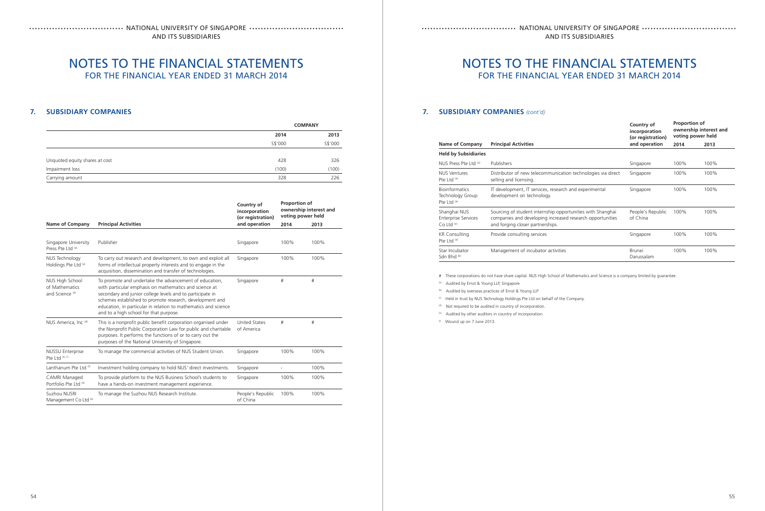## **7. SUBSIDIARY COMPANIES**

|                                |         | <b>COMPANY</b> |  |  |
|--------------------------------|---------|----------------|--|--|
|                                | 2014    | 2013           |  |  |
|                                | S\$'000 | S\$'000        |  |  |
| Unquoted equity shares at cost | 428     | 326            |  |  |
| Impairment loss                | (100)   | (100)          |  |  |
| Carrying amount                | 328     | 226            |  |  |

|                                                                 |                                                                                                                                                                                                                                                                                                                                                        | Country of<br>incorporation<br>(or registration) | Proportion of<br>ownership interest and<br>voting power held |      |
|-----------------------------------------------------------------|--------------------------------------------------------------------------------------------------------------------------------------------------------------------------------------------------------------------------------------------------------------------------------------------------------------------------------------------------------|--------------------------------------------------|--------------------------------------------------------------|------|
| <b>Name of Company</b>                                          | <b>Principal Activities</b>                                                                                                                                                                                                                                                                                                                            | and operation                                    | 2014                                                         | 2013 |
| Singapore University<br>Press Pte Ltd (a)                       | Publisher                                                                                                                                                                                                                                                                                                                                              | Singapore                                        | 100%                                                         | 100% |
| NUS Technology<br>Holdings Pte Ltd (a)                          | To carry out research and development, to own and exploit all<br>forms of intellectual property interests and to engage in the<br>acquisition, dissemination and transfer of technologies.                                                                                                                                                             | Singapore                                        | 100%                                                         | 100% |
| NUS High School<br>of Mathematics<br>and Science <sup>(a)</sup> | To promote and undertake the advancement of education,<br>with particular emphasis on mathematics and science at<br>secondary and junior college levels and to participate in<br>schemes established to promote research, development and<br>education, in particular in relation to mathematics and science<br>and to a high school for that purpose. | Singapore                                        | #                                                            | #    |
| NUS America, Inc (d)                                            | This is a nonprofit public benefit corporation organised under<br>the Nonprofit Public Corporation Law for public and charitable<br>purposes. It performs the functions of or to carry out the<br>purposes of the National University of Singapore.                                                                                                    | <b>United States</b><br>of America               | #                                                            | #    |
| <b>NUSSU Enterprise</b><br>Pte Ltd (a, c)                       | To manage the commercial activities of NUS Student Union.                                                                                                                                                                                                                                                                                              | Singapore                                        | 100%                                                         | 100% |
| Lanthanum Pte Ltd (f)                                           | Investment holding company to hold NUS' direct investments.                                                                                                                                                                                                                                                                                            | Singapore                                        |                                                              | 100% |
| <b>CAMRI Managed</b><br>Portfolio Pte Ltd (a)                   | To provide platform to the NUS Business School's students to<br>have a hands-on investment management experience.                                                                                                                                                                                                                                      | Singapore                                        | 100%                                                         | 100% |
| Suzhou NUSRI<br>Management Co Ltd (e)                           | To manage the Suzhou NUS Research Institute.                                                                                                                                                                                                                                                                                                           | People's Republic<br>of China                    | 100%                                                         | 100% |

## NOTES TO THE FINANCIAL STATEMENTS FOR THE FINANCIAL YEAR ENDED 31 MARCH 2014

### **7. SUBSIDIARY COMPANIES** *(cont'd)*

|                                                                     |                                                                                                                                                             | Country of<br>incorporation<br>(or registration) | Proportion of<br>ownership interest and<br>voting power held |      |
|---------------------------------------------------------------------|-------------------------------------------------------------------------------------------------------------------------------------------------------------|--------------------------------------------------|--------------------------------------------------------------|------|
| Name of Company                                                     | <b>Principal Activities</b>                                                                                                                                 | and operation                                    | 2014                                                         | 2013 |
| <b>Held by Subsidiaries</b>                                         |                                                                                                                                                             |                                                  |                                                              |      |
| NUS Press Pte Ltd (a)                                               | <b>Publishers</b>                                                                                                                                           | Singapore                                        | 100%                                                         | 100% |
| <b>NUS Ventures</b><br>Pte Ltd <sup>(a)</sup>                       | Distributor of new telecommunication technologies via direct<br>selling and licensing.                                                                      | Singapore                                        | 100%                                                         | 100% |
| <b>Bioinformatics</b><br>Technology Group<br>Pte Ltd <sup>(a)</sup> | IT development, IT services, research and experimental<br>development on technology.                                                                        | Singapore                                        | 100%                                                         | 100% |
| Shanghai NUS<br><b>Enterprise Services</b><br>$Co$ Ltd $(e)$        | Sourcing of student internship opportunities with Shanghai<br>companies and developing increased research opportunities<br>and forging closer partnerships. | People's Republic<br>of China                    | 100%                                                         | 100% |
| <b>KR Consulting</b><br>Pte Ltd <sup>(a)</sup>                      | Provide consulting services                                                                                                                                 | Singapore                                        | 100%                                                         | 100% |
| Star Incubator<br>Sdn Bhd (b)                                       | Management of incubator activities                                                                                                                          | <b>Brunei</b><br>Darussalam                      | 100%                                                         | 100% |

# These corporations do not have share capital. NUS High School of Mathematics and Science is a company limited by guarantee.

- (a) Audited by Ernst & Young LLP, Singapore
- (b) Audited by overseas practices of Ernst & Young LLP
- (c) Held in trust by NUS Technology Holdings Pte Ltd on behalf of the Company.
- (d) Not required to be audited in country of incorporation.
- (e) Audited by other auditors in country of incorporation.
- (f) Wound up on 7 June 2013.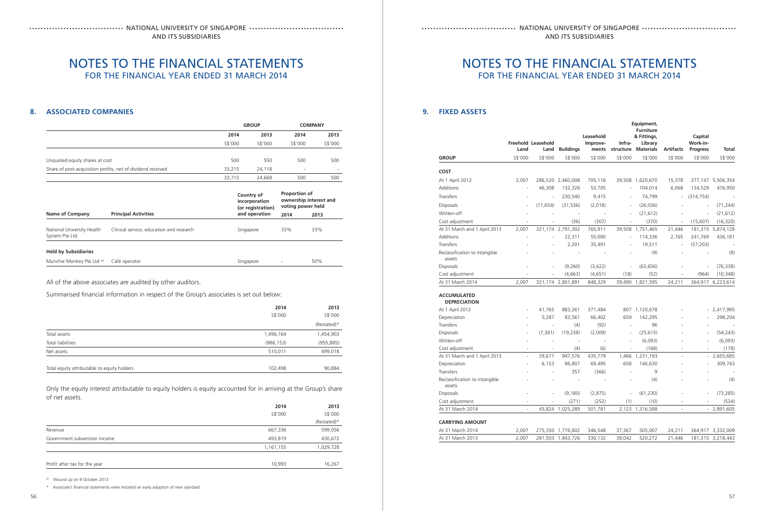## **8. ASSOCIATED COMPANIES**

|                                              |                                                             |                                                                                                                  | <b>GROUP</b>  |                          | <b>COMPANY</b> |
|----------------------------------------------|-------------------------------------------------------------|------------------------------------------------------------------------------------------------------------------|---------------|--------------------------|----------------|
|                                              |                                                             | 2014                                                                                                             | 2013          | 2014                     | 2013           |
|                                              |                                                             | S\$'000                                                                                                          | S\$'000       | S\$'000                  | S\$'000        |
| Unquoted equity shares at cost               |                                                             | 500                                                                                                              | 550           | 500                      | 500            |
|                                              | Share of post-acquisition profits, net of dividend received | 33,215                                                                                                           | 24,118        | $\overline{\phantom{a}}$ |                |
|                                              |                                                             | 33,715                                                                                                           | 24,668        | 500                      | 500            |
|                                              |                                                             | Proportion of<br>Country of<br>ownership interest and<br>incorporation<br>voting power held<br>(or registration) |               |                          |                |
| <b>Name of Company</b>                       | <b>Principal Activities</b>                                 |                                                                                                                  | and operation | 2014                     | 2013           |
| National University Health<br>System Pte Ltd | Clinical service, education and research                    |                                                                                                                  | Singapore     | 33%                      | 33%            |
| <b>Held by Subsidiaries</b>                  |                                                             |                                                                                                                  |               |                          |                |
| Munchie Monkey Pte Ltd (a)                   | Café operator                                               |                                                                                                                  | Singapore     |                          | 50%            |

All of the above associates are audited by other auditors.

Summarised financial information in respect of the Group's associates is set out below:

|                                             | 2014       | 2013        |
|---------------------------------------------|------------|-------------|
|                                             | S\$'000    | S\$'000     |
|                                             |            | (Restated)* |
| Total assets                                | 1,496,164  | 1,454,903   |
| Total liabilities                           | (986, 153) | (955, 885)  |
| Net assets                                  | 510,011    | 499,018     |
|                                             |            |             |
| Total equity attributable to equity holders | 102,498    | 90,884      |

Only the equity interest attributable to equity holders is equity accounted for in arriving at the Group's share of net assets.

|                               | 2014      | 2013        |
|-------------------------------|-----------|-------------|
|                               | S\$'000   | S\$'000     |
|                               |           | (Restated)* |
| Revenue                       | 667,336   | 599,056     |
| Government subvention income  | 493,819   | 430,672     |
|                               | 1,161,155 | 1,029,728   |
|                               |           |             |
| Profit after tax for the year | 10,993    | 16,267      |

(a) Wound up on 9 October 2013

\* Associate's financial statements were restated on early adoption of new standard.

## NOTES TO THE FINANCIAL STATEMENTS FOR THE FINANCIAL YEAR ENDED 31 MARCH 2014

## **9. FIXED ASSETS**

|                                           | Land    | Freehold Leasehold | Land Buildings    | Leasehold<br>Improve-<br>ments | Infra-  | Equipment,<br><b>Furniture</b><br>& Fittings,<br>Library<br>structure Materials | <b>Artifacts</b> | Capital<br>Work-in-<br><b>Progress</b> | Total             |
|-------------------------------------------|---------|--------------------|-------------------|--------------------------------|---------|---------------------------------------------------------------------------------|------------------|----------------------------------------|-------------------|
| <b>GROUP</b>                              | S\$'000 | S\$'000            | S\$'000           | S\$'000                        | S\$'000 | S\$'000                                                                         | S\$'000          | S\$'000                                | S\$'000           |
| <b>COST</b>                               |         |                    |                   |                                |         |                                                                                 |                  |                                        |                   |
| At 1 April 2012                           | 2.007   |                    | 286,520 2,460,008 | 705,116                        |         | 39,508 1,620,670                                                                | 15,378           |                                        | 377,147 5,506,354 |
| Additions                                 |         | 46,308             | 132,326           | 53,705                         | ×,      | 104,014                                                                         | 6,068            | 134,529                                | 476,950           |
| Transfers                                 |         |                    | 230,540           | 9,415                          | ×,      | 74,799                                                                          | ä,               | (314, 754)                             |                   |
| <b>Disposals</b>                          | L,      | (11, 654)          | (31, 536)         | (2,018)                        | ×.      | (26, 036)                                                                       |                  | ÷,                                     | (71, 244)         |
| Written-off                               |         |                    |                   |                                |         | (21, 612)                                                                       |                  | ÷,                                     | (21, 612)         |
| Cost adjustment                           |         |                    | (36)              | (307)                          |         | (370)                                                                           |                  | (15,607)                               | (16,320)          |
| At 31 March and 1 April 2013              | 2,007   |                    | 321,174 2,791,302 | 765,911                        |         | 39,508 1,751,465                                                                | 21,446           |                                        | 181,315 5,874,128 |
| Additions                                 |         |                    | 22,311            | 55,000                         | ÷,      | 114,336                                                                         | 2,765            | 241,769                                | 436,181           |
| Transfers                                 |         |                    | 2,201             | 35,491                         | ×,      | 19,511                                                                          | ä,               | (57, 203)                              |                   |
| Reclassification to intangible<br>assets  |         |                    | ×,                |                                |         | (9)                                                                             |                  |                                        | (9)               |
| Disposals                                 |         |                    | (9,260)           | (3,422)                        |         | (63, 656)                                                                       |                  | ä,                                     | (76, 338)         |
| Cost adjustment                           | J.      | ÷.                 | (4,663)           | (4,651)                        | (18)    | (52)                                                                            | ÷,               | (964)                                  | (10, 348)         |
| At 31 March 2014                          | 2,007   |                    | 321,174 2,801,891 | 848,329                        | 39,490  | 1,821,595                                                                       | 24,211           |                                        | 364,917 6,223,614 |
| <b>ACCUMULATED</b><br><b>DEPRECIATION</b> |         |                    |                   |                                |         |                                                                                 |                  |                                        |                   |
| At 1 April 2012                           |         | 41,765             | 883,261           | 371,484                        |         | 807 1,120,678                                                                   |                  |                                        | - 2,417,995       |
| Depreciation                              |         | 5,287              | 83,561            | 66,402                         | 659     | 142,295                                                                         |                  |                                        | 298,204           |
| Transfers                                 |         |                    | (4)               | (92)                           | ä,      | 96                                                                              |                  |                                        |                   |
| <b>Disposals</b>                          |         | (7, 381)           | (19, 238)         | (2,009)                        |         | (25, 615)                                                                       |                  |                                        | (54, 243)         |
| Written-off                               |         |                    |                   |                                |         | (6,093)                                                                         |                  |                                        | (6,093)           |
| Cost adjustment                           |         |                    | (4)               | (6)                            | ×.      | (168)                                                                           |                  |                                        | (178)             |
| At 31 March and 1 April 2013              | ÷,      | 39,671             | 947,576           | 435,779                        |         | 1,466 1,231,193                                                                 | ä,               | $\overline{\phantom{a}}$               | 2,655,685         |
| Depreciation                              | ä,      | 6,153              | 86,807            | 69,495                         | 658     | 146,630                                                                         |                  |                                        | 309,743           |
| <b>Transfers</b>                          |         |                    | 357               | (366)                          |         | 9                                                                               |                  |                                        |                   |
| Reclassification to intangible<br>assets  |         |                    |                   |                                |         | (4)                                                                             |                  |                                        | (4)               |
| <b>Disposals</b>                          |         |                    | (9,180)           | (2,875)                        |         | (61, 230)                                                                       |                  |                                        | (73, 285)         |
| Cost adjustment                           |         |                    | (271)             | (252)                          | (1)     | (10)                                                                            |                  |                                        | (534)             |
| At 31 March 2014                          | L.      |                    | 45,824 1,025,289  | 501,781                        |         | 2,123 1,316,588                                                                 | L.               |                                        | $-2,891,605$      |
| <b>CARRYING AMOUNT</b>                    |         |                    |                   |                                |         |                                                                                 |                  |                                        |                   |
| At 31 March 2014                          | 2,007   |                    | 275,350 1,776,602 | 346,548                        | 37,367  | 505,007                                                                         | 24,211           |                                        | 364,917 3,332,009 |
| At 31 March 2013                          | 2,007   | 281,503            | 1,843,726         | 330,132                        | 38,042  | 520,272                                                                         | 21,446           |                                        | 181,315 3,218,443 |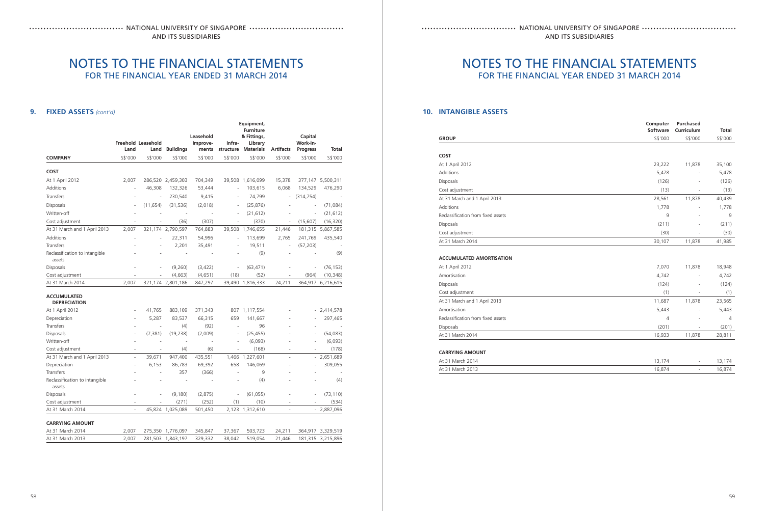## **9. FIXED ASSETS** *(cont'd)*

|                                          |         |                                   |                   |                   |                          | Equipment,<br><b>Furniture</b> |                          |                             |                   |
|------------------------------------------|---------|-----------------------------------|-------------------|-------------------|--------------------------|--------------------------------|--------------------------|-----------------------------|-------------------|
|                                          |         |                                   |                   | Leasehold         |                          | & Fittings,                    |                          | Capital                     |                   |
|                                          | Land    | <b>Freehold Leasehold</b><br>Land | <b>Buildings</b>  | Improve-<br>ments | Infra-<br>structure      | Library<br><b>Materials</b>    | <b>Artifacts</b>         | Work-in-<br><b>Progress</b> | Total             |
| <b>COMPANY</b>                           | S\$'000 | S\$'000                           | S\$'000           | S\$'000           | S\$'000                  | S\$'000                        | S\$'000                  | S\$'000                     | S\$'000           |
|                                          |         |                                   |                   |                   |                          |                                |                          |                             |                   |
| <b>COST</b>                              |         |                                   |                   |                   |                          |                                |                          |                             |                   |
| At 1 April 2012                          | 2,007   |                                   | 286,520 2,459,303 | 704,349           |                          | 39,508 1,616,099               | 15,378                   |                             | 377,147 5,500,311 |
| Additions                                | ä,      | 46,308                            | 132,326           | 53,444            |                          | 103,615                        | 6,068                    | 134,529                     | 476,290           |
| Transfers                                |         | ÷,                                | 230,540           | 9,415             |                          | 74,799                         | ÷,                       | (314, 754)                  |                   |
| Disposals                                |         | (11, 654)                         | (31, 536)         | (2,018)           |                          | (25, 876)                      |                          | ÷,                          | (71, 084)         |
| Written-off                              |         |                                   |                   |                   |                          | (21, 612)                      |                          | ÷,                          | (21, 612)         |
| Cost adjustment                          | ×,      | ×,                                | (36)              | (307)             | $\overline{\phantom{a}}$ | (370)                          | $\overline{\phantom{a}}$ | (15,607)                    | (16,320)          |
| At 31 March and 1 April 2013             | 2,007   |                                   | 321,174 2,790,597 | 764,883           |                          | 39,508 1,746,655               | 21,446                   |                             | 181,315 5,867,585 |
| Additions                                |         |                                   | 22,311            | 54,996            |                          | 113,699                        | 2,765                    | 241,769                     | 435,540           |
| Transfers                                |         |                                   | 2,201             | 35,491            |                          | 19,511                         | L,                       | (57, 203)                   |                   |
| Reclassification to intangible<br>assets |         |                                   |                   |                   |                          | (9)                            |                          |                             | (9)               |
| <b>Disposals</b>                         |         |                                   | (9,260)           | (3,422)           |                          | (63, 471)                      |                          | ł,                          | (76, 153)         |
| Cost adjustment                          |         |                                   | (4,663)           | (4,651)           | (18)                     | (52)                           |                          | (964)                       | (10, 348)         |
| At 31 March 2014                         | 2,007   |                                   | 321,174 2,801,186 | 847,297           | 39,490                   | 1,816,333                      | 24,211                   | 364,917                     | 6,216,615         |
| <b>ACCUMULATED</b>                       |         |                                   |                   |                   |                          |                                |                          |                             |                   |
| <b>DEPRECIATION</b>                      |         |                                   |                   |                   |                          |                                |                          |                             |                   |
| At 1 April 2012                          |         | 41,765                            | 883,109           | 371,343           |                          | 807 1,117,554                  |                          | $\overline{\phantom{m}}$    | 2,414,578         |
| Depreciation                             |         | 5,287                             | 83,537            | 66,315            | 659                      | 141,667                        |                          |                             | 297,465           |
| Transfers                                |         | ÷,                                | (4)               | (92)              |                          | 96                             |                          |                             |                   |
| Disposals                                |         | (7, 381)                          | (19, 238)         | (2,009)           |                          | (25, 455)                      |                          |                             | (54,083)          |
| Written-off                              | ×.      | ÷.                                | ×.                | J.                | ÷.                       | (6,093)                        |                          | J.                          | (6,093)           |
| Cost adjustment                          |         | ÷                                 | (4)               | (6)               |                          | (168)                          |                          |                             | (178)             |
| At 31 March and 1 April 2013             | ä,      | 39,671                            | 947,400           | 435,551           | 1,466                    | 1,227,601                      | ä,                       | $\overline{\phantom{a}}$    | 2,651,689         |
| Depreciation                             |         | 6,153                             | 86,783            | 69,392            | 658                      | 146,069                        |                          |                             | 309,055           |
| Transfers                                |         | ä,                                | 357               | (366)             |                          | 9                              |                          |                             |                   |
| Reclassification to intangible<br>assets |         |                                   | ä,                | ä,                |                          | (4)                            |                          |                             | (4)               |
| Disposals                                |         |                                   | (9,180)           | (2,875)           |                          | (61, 055)                      |                          |                             | (73, 110)         |
| Cost adjustment                          |         | ÷,                                | (271)             | (252)             | (1)                      | (10)                           | ÷,                       |                             | (534)             |
| At 31 March 2014                         | ä,      |                                   | 45,824 1,025,089  | 501,450           |                          | 2,123 1,312,610                | $\overline{\phantom{a}}$ |                             | $-2,887,096$      |
| <b>CARRYING AMOUNT</b>                   |         |                                   |                   |                   |                          |                                |                          |                             |                   |
| At 31 March 2014                         | 2,007   |                                   | 275,350 1,776,097 | 345,847           | 37,367                   | 503,723                        | 24,211                   |                             | 364,917 3,329,519 |
| At 31 March 2013                         | 2.007   |                                   | 281,503 1,843,197 | 329,332           | 38.042                   | 519,054                        | 21.446                   |                             | 181,315 3,215,896 |

## NOTES TO THE FINANCIAL STATEMENTS FOR THE FINANCIAL YEAR ENDED 31 MARCH 2014

## **10. INTANGIBLE ASSETS**

|                                    | Computer<br>Software | Purchased<br>Curriculum  | <b>Total</b> |
|------------------------------------|----------------------|--------------------------|--------------|
| <b>GROUP</b>                       | S\$'000              | S\$'000                  | S\$'000      |
| <b>COST</b>                        |                      |                          |              |
| At 1 April 2012                    | 23,222               | 11,878                   | 35,100       |
| Additions                          | 5,478                |                          | 5,478        |
| Disposals                          | (126)                |                          | (126)        |
| Cost adjustment                    | (13)                 |                          | (13)         |
| At 31 March and 1 April 2013       | 28,561               | 11,878                   | 40,439       |
| Additions                          | 1,778                |                          | 1,778        |
| Reclassification from fixed assets | 9                    | ٠                        | 9            |
| Disposals                          | (211)                |                          | (211)        |
| Cost adjustment                    | (30)                 | ٠                        | (30)         |
| At 31 March 2014                   | 30,107               | 11,878                   | 41,985       |
| <b>ACCUMULATED AMORTISATION</b>    |                      |                          |              |
| At 1 April 2012                    | 7,070                | 11,878                   | 18,948       |
| Amortisation                       | 4,742                |                          | 4,742        |
| Disposals                          | (124)                |                          | (124)        |
| Cost adjustment                    | (1)                  |                          | (1)          |
| At 31 March and 1 April 2013       | 11,687               | 11,878                   | 23,565       |
| Amortisation                       | 5,443                |                          | 5,443        |
| Reclassification from fixed assets | $\overline{4}$       |                          | 4            |
| Disposals                          | (201)                | $\overline{\phantom{a}}$ | (201)        |
| At 31 March 2014                   | 16,933               | 11,878                   | 28,811       |
| <b>CARRYING AMOUNT</b>             |                      |                          |              |
| At 31 March 2014                   | 13,174               | $\overline{\phantom{a}}$ | 13,174       |
| At 31 March 2013                   | 16,874               | ×.                       | 16,874       |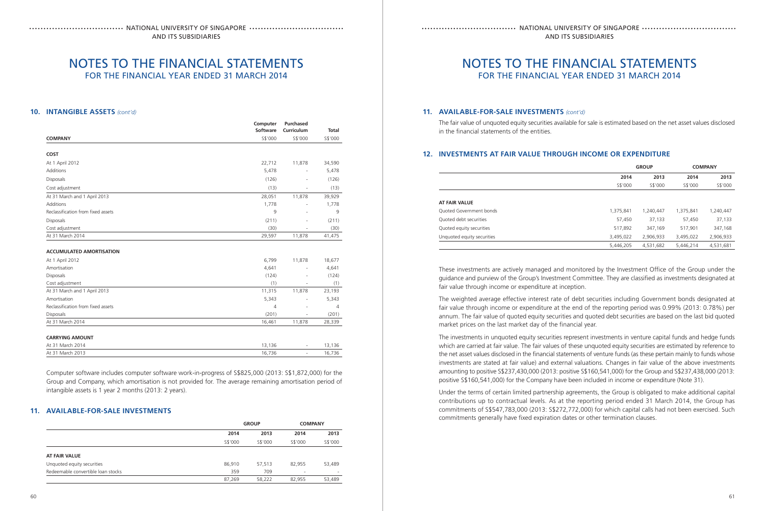### **10. INTANGIBLE ASSETS** *(cont'd)*

|                                    | Computer<br>Software | Purchased<br>Curriculum | Total           |
|------------------------------------|----------------------|-------------------------|-----------------|
| <b>COMPANY</b>                     | S\$'000              | S\$'000                 | S\$'000         |
| COST                               |                      |                         |                 |
| At 1 April 2012                    | 22,712               | 11,878                  | 34,590          |
| Additions                          | 5,478                |                         | 5,478           |
| <b>Disposals</b>                   | (126)                | ä,                      | (126)           |
| Cost adjustment                    | (13)                 |                         | (13)            |
| At 31 March and 1 April 2013       | 28,051               | 11,878                  | 39,929          |
| <b>Additions</b>                   | 1,778                | ×,                      | 1,778           |
| Reclassification from fixed assets | 9                    | $\sim$                  | 9               |
| Disposals                          | (211)                |                         | (211)           |
| Cost adjustment                    | (30)                 | ٠                       | (30)            |
| At 31 March 2014                   | 29,597               | 11,878                  | 41,475          |
| <b>ACCUMULATED AMORTISATION</b>    |                      |                         |                 |
|                                    |                      |                         |                 |
| At 1 April 2012<br>Amortisation    | 6,799<br>4,641       | 11,878                  | 18,677<br>4,641 |
| <b>Disposals</b>                   | (124)                | $\overline{a}$          | (124)           |
| Cost adjustment                    | (1)                  | ×,                      | (1)             |
| At 31 March and 1 April 2013       | 11,315               | 11,878                  | 23,193          |
| Amortisation                       | 5,343                | $\overline{a}$          | 5,343           |
| Reclassification from fixed assets | $\overline{4}$       |                         | 4               |
| <b>Disposals</b>                   | (201)                |                         | (201)           |
| At 31 March 2014                   | 16,461               | 11,878                  | 28,339          |
| <b>CARRYING AMOUNT</b>             |                      |                         |                 |
| At 31 March 2014                   | 13,136               | ä,                      | 13,136          |
| At 31 March 2013                   | 16,736               | ÷,                      | 16,736          |

Computer software includes computer software work-in-progress of S\$825,000 (2013: S\$1,872,000) for the Group and Company, which amortisation is not provided for. The average remaining amortisation period of intangible assets is 1 year 2 months (2013: 2 years).

### **11. AVAILABLE-FOR-SALE INVESTMENTS**

|         | <b>GROUP</b> |         |                |
|---------|--------------|---------|----------------|
| 2014    | 2013         | 2014    | 2013           |
| S\$'000 | S\$'000      | S\$'000 | S\$'000        |
|         |              |         |                |
| 86,910  | 57,513       | 82.955  | 53,489         |
| 359     | 709          | ٠       |                |
| 87,269  | 58,222       | 82,955  | 53,489         |
|         |              |         | <b>COMPANY</b> |

## NOTES TO THE FINANCIAL STATEMENTS FOR THE FINANCIAL YEAR ENDED 31 MARCH 2014

#### **11. AVAILABLE-FOR-SALE INVESTMENTS** *(cont'd)*

The fair value of unquoted equity securities available for sale is estimated based on the net asset values disclosed in the financial statements of the entities.

#### **12. INVESTMENTS AT FAIR VALUE THROUGH INCOME OR EXPENDITURE**

|                            |           | <b>GROUP</b> |           | <b>COMPANY</b> |
|----------------------------|-----------|--------------|-----------|----------------|
|                            | 2014      | 2013         | 2014      | 2013           |
|                            | S\$'000   | S\$'000      | S\$'000   | S\$'000        |
| <b>AT FAIR VALUE</b>       |           |              |           |                |
| Ouoted Government bonds    | 1,375,841 | 1,240,447    | 1,375,841 | 1,240,447      |
| Ouoted debt securities     | 57,450    | 37.133       | 57,450    | 37,133         |
| Quoted equity securities   | 517,892   | 347.169      | 517.901   | 347,168        |
| Unquoted equity securities | 3,495,022 | 2,906,933    | 3,495,022 | 2,906,933      |
|                            | 5,446,205 | 4,531,682    | 5,446,214 | 4,531,681      |

These investments are actively managed and monitored by the Investment Office of the Group under the guidance and purview of the Group's Investment Committee. They are classified as investments designated at fair value through income or expenditure at inception.

The weighted average effective interest rate of debt securities including Government bonds designated at fair value through income or expenditure at the end of the reporting period was 0.99% (2013: 0.78%) per annum. The fair value of quoted equity securities and quoted debt securities are based on the last bid quoted market prices on the last market day of the financial year.

The investments in unquoted equity securities represent investments in venture capital funds and hedge funds which are carried at fair value. The fair values of these unquoted equity securities are estimated by reference to the net asset values disclosed in the financial statements of venture funds (as these pertain mainly to funds whose investments are stated at fair value) and external valuations. Changes in fair value of the above investments amounting to positive S\$237,430,000 (2013: positive S\$160,541,000) for the Group and S\$237,438,000 (2013: positive S\$160,541,000) for the Company have been included in income or expenditure (Note 31).

Under the terms of certain limited partnership agreements, the Group is obligated to make additional capital contributions up to contractual levels. As at the reporting period ended 31 March 2014, the Group has commitments of S\$547,783,000 (2013: S\$272,772,000) for which capital calls had not been exercised. Such commitments generally have fixed expiration dates or other termination clauses.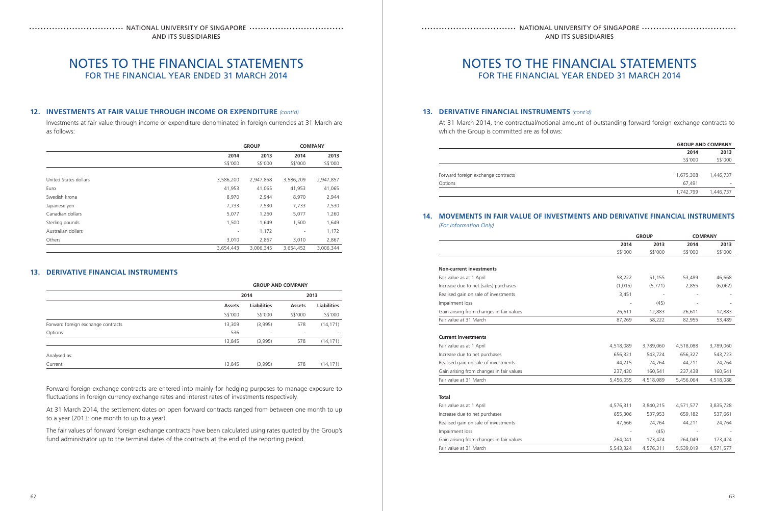### **12. INVESTMENTS AT FAIR VALUE THROUGH INCOME OR EXPENDITURE** *(cont'd)*

Investments at fair value through income or expenditure denominated in foreign currencies at 31 March are as follows:

|                       |                          | <b>GROUP</b> |           | <b>COMPANY</b> |
|-----------------------|--------------------------|--------------|-----------|----------------|
|                       | 2014                     | 2013         | 2014      | 2013           |
|                       | S\$'000                  | S\$'000      | S\$'000   | S\$'000        |
|                       |                          |              |           |                |
| United States dollars | 3,586,200                | 2,947,858    | 3,586,209 | 2,947,857      |
| Euro                  | 41,953                   | 41,065       | 41,953    | 41,065         |
| Swedish krona         | 8,970                    | 2,944        | 8,970     | 2,944          |
| Japanese yen          | 7,733                    | 7,530        | 7,733     | 7,530          |
| Canadian dollars      | 5,077                    | 1,260        | 5,077     | 1,260          |
| Sterling pounds       | 1,500                    | 1,649        | 1,500     | 1,649          |
| Australian dollars    | $\overline{\phantom{a}}$ | 1,172        | ٠         | 1,172          |
| Others                | 3,010                    | 2,867        | 3,010     | 2,867          |
|                       | 3,654,443                | 3,006,345    | 3,654,452 | 3,006,344      |

### **13. DERIVATIVE FINANCIAL INSTRUMENTS**

|                                    | <b>GROUP AND COMPANY</b> |                          |               |                          |
|------------------------------------|--------------------------|--------------------------|---------------|--------------------------|
|                                    |                          | 2014                     |               | 2013                     |
|                                    | Assets                   | <b>Liabilities</b>       | <b>Assets</b> | <b>Liabilities</b>       |
|                                    | S\$'000                  | S\$'000                  | S\$'000       | S\$'000                  |
| Forward foreign exchange contracts | 13,309                   | (3,995)                  | 578           | (14, 171)                |
| Options                            | 536                      | $\overline{\phantom{a}}$ | ۰             | $\overline{\phantom{a}}$ |
|                                    | 13,845                   | (3,995)                  | 578           | (14, 171)                |
| Analysed as:                       |                          |                          |               |                          |
| Current                            | 13,845                   | (3,995)                  | 578           | (14, 171)                |

Forward foreign exchange contracts are entered into mainly for hedging purposes to manage exposure to fluctuations in foreign currency exchange rates and interest rates of investments respectively.

At 31 March 2014, the settlement dates on open forward contracts ranged from between one month to up to a year (2013: one month to up to a year).

The fair values of forward foreign exchange contracts have been calculated using rates quoted by the Group's fund administrator up to the terminal dates of the contracts at the end of the reporting period.

## NOTES TO THE FINANCIAL STATEMENTS FOR THE FINANCIAL YEAR ENDED 31 MARCH 2014

#### **13. DERIVATIVE FINANCIAL INSTRUMENTS** *(cont'd)*

At 31 March 2014, the contractual/notional amount of outstanding forward foreign exchange contracts to which the Group is committed are as follows:

|                                    |           | <b>GROUP AND COMPANY</b> |
|------------------------------------|-----------|--------------------------|
|                                    | 2014      | 2013                     |
|                                    | S\$'000   | S\$'000                  |
|                                    |           |                          |
| Forward foreign exchange contracts | 1,675,308 | 1,446,737                |
| Options                            | 67.491    | ٠                        |
|                                    | 1,742,799 | 1,446,737                |

### **14. MOVEMENTS IN FAIR VALUE OF INVESTMENTS AND DERIVATIVE FINANCIAL INSTRUMENTS** *(For Information Only)*

|                                          | <b>GROUP</b> |           | <b>COMPANY</b> |           |
|------------------------------------------|--------------|-----------|----------------|-----------|
|                                          | 2014         | 2013      | 2014           | 2013      |
|                                          | S\$'000      | S\$'000   | S\$'000        | S\$'000   |
| <b>Non-current investments</b>           |              |           |                |           |
| Fair value as at 1 April                 | 58,222       | 51,155    | 53,489         | 46,668    |
| Increase due to net (sales) purchases    | (1,015)      | (5,771)   | 2,855          | (6,062)   |
| Realised gain on sale of investments     | 3,451        |           |                |           |
| Impairment loss                          |              | (45)      |                |           |
| Gain arising from changes in fair values | 26,611       | 12,883    | 26,611         | 12,883    |
| Fair value at 31 March                   | 87,269       | 58,222    | 82,955         | 53,489    |
|                                          |              |           |                |           |
| <b>Current investments</b>               |              |           |                |           |
| Fair value as at 1 April                 | 4,518,089    | 3,789,060 | 4,518,088      | 3,789,060 |
| Increase due to net purchases            | 656,321      | 543,724   | 656,327        | 543,723   |
| Realised gain on sale of investments     | 44,215       | 24,764    | 44,211         | 24,764    |
| Gain arising from changes in fair values | 237,430      | 160,541   | 237,438        | 160,541   |
| Fair value at 31 March                   | 5,456,055    | 4,518,089 | 5,456,064      | 4,518,088 |
|                                          |              |           |                |           |
| <b>Total</b>                             |              |           |                |           |
| Fair value as at 1 April                 | 4,576,311    | 3,840,215 | 4,571,577      | 3,835,728 |
| Increase due to net purchases            | 655,306      | 537,953   | 659,182        | 537,661   |
| Realised gain on sale of investments     | 47,666       | 24,764    | 44,211         | 24,764    |
| Impairment loss                          |              | (45)      |                |           |
| Gain arising from changes in fair values | 264,041      | 173,424   | 264,049        | 173,424   |
| Fair value at 31 March                   | 5,543,324    | 4,576,311 | 5,539,019      | 4,571,577 |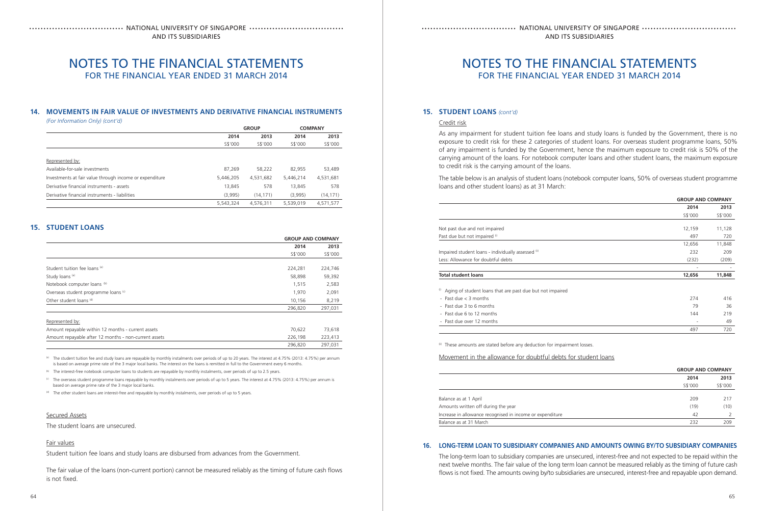### **14. MOVEMENTS IN FAIR VALUE OF INVESTMENTS AND DERIVATIVE FINANCIAL INSTRUMENTS**

*(For Information Only) (cont'd)*

|                                                         | <b>GROUP</b> |           | <b>COMPANY</b> |           |
|---------------------------------------------------------|--------------|-----------|----------------|-----------|
|                                                         | 2014         | 2013      | 2014           | 2013      |
|                                                         | S\$'000      | S\$'000   | S\$'000        | S\$'000   |
| Represented by:                                         |              |           |                |           |
| Available-for-sale investments                          | 87.269       | 58,222    | 82.955         | 53,489    |
| Investments at fair value through income or expenditure | 5,446,205    | 4,531,682 | 5,446,214      | 4,531,681 |
| Derivative financial instruments - assets               | 13,845       | 578       | 13,845         | 578       |
| Derivative financial instruments - liabilities          | (3,995)      | (14, 171) | (3,995)        | (14, 171) |
|                                                         | 5,543,324    | 4,576,311 | 5,539,019      | 4,571,577 |
|                                                         |              |           |                |           |

## **15. STUDENT LOANS**

|                                                       | <b>GROUP AND COMPANY</b> |         |
|-------------------------------------------------------|--------------------------|---------|
|                                                       | 2014                     | 2013    |
|                                                       | S\$'000                  | S\$'000 |
| Student tuition fee loans (a)                         | 224,281                  | 224,746 |
| Study loans (a)                                       | 58,898                   | 59,392  |
| Notebook computer loans (b)                           | 1,515                    | 2,583   |
| Overseas student programme loans (c)                  | 1,970                    | 2,091   |
| Other student loans (d)                               | 10,156                   | 8,219   |
|                                                       | 296,820                  | 297,031 |
| Represented by:                                       |                          |         |
| Amount repayable within 12 months - current assets    | 70,622                   | 73,618  |
| Amount repayable after 12 months - non-current assets | 226,198                  | 223,413 |
|                                                       | 296,820                  | 297,031 |

(a) The student tuition fee and study loans are repayable by monthly instalments over periods of up to 20 years. The interest at 4.75% (2013: 4.75%) per annum is based on average prime rate of the 3 major local banks. The interest on the loans is remitted in full to the Government every 6 months.

(b) The interest-free notebook computer loans to students are repayable by monthly instalments, over periods of up to 2.5 years.

(c) The overseas student programme loans repayable by monthly instalments over periods of up to 5 years. The interest at 4.75% (2013: 4.75%) per annum is based on average prime rate of the 3 major local banks.

(d) The other student loans are interest-free and repayable by monthly instalments, over periods of up to 5 years.

### Secured Assets

The student loans are unsecured.

#### Fair values

Student tuition fee loans and study loans are disbursed from advances from the Government.

The fair value of the loans (non-current portion) cannot be measured reliably as the timing of future cash flows is not fixed.

## NOTES TO THE FINANCIAL STATEMENTS FOR THE FINANCIAL YEAR ENDED 31 MARCH 2014

## **15. STUDENT LOANS** *(cont'd)*

### Credit risk

As any impairment for student tuition fee loans and study loans is funded by the Government, there is no exposure to credit risk for these 2 categories of student loans. For overseas student programme loans, 50% of any impairment is funded by the Government, hence the maximum exposure to credit risk is 50% of the carrying amount of the loans. For notebook computer loans and other student loans, the maximum exposure to credit risk is the carrying amount of the loans.

The table below is an analysis of student loans (notebook computer loans, 50% of overseas student programme loans and other student loans) as at 31 March:

|                                                                          | <b>GROUP AND COMPANY</b> |         |
|--------------------------------------------------------------------------|--------------------------|---------|
|                                                                          | 2014                     | 2013    |
|                                                                          | S\$'000                  | S\$'000 |
| Not past due and not impaired                                            | 12,159                   | 11,128  |
| Past due but not impaired (i)                                            | 497                      | 720     |
|                                                                          | 12,656                   | 11,848  |
| Impaired student loans - individually assessed (ii)                      | 232                      | 209     |
| Less: Allowance for doubtful debts                                       | (232)                    | (209)   |
|                                                                          |                          |         |
| <b>Total student loans</b>                                               | 12,656                   | 11,848  |
| <sup>(i)</sup> Aging of student loans that are past due but not impaired |                          |         |
| - Past due $<$ 3 months                                                  | 274                      | 416     |
| - Past due 3 to 6 months                                                 | 79                       | 36      |
| - Past due 6 to 12 months                                                | 144                      | 219     |
| - Past due over 12 months                                                |                          | 49      |
|                                                                          | 497                      | 720     |

(ii) These amounts are stated before any deduction for impairment losses.

#### Movement in the allowance for doubtful debts for student loans

|                                                           |         | <b>GROUP AND COMPANY</b> |
|-----------------------------------------------------------|---------|--------------------------|
|                                                           | 2014    | 2013                     |
|                                                           | S\$'000 | S\$'000                  |
|                                                           |         |                          |
| Balance as at 1 April                                     | 209     | 217                      |
| Amounts written off during the year                       | (19)    | (10)                     |
| Increase in allowance recognised in income or expenditure | 42      |                          |
| Balance as at 31 March                                    | 232     | 209                      |

### **16. LONG-TERM LOAN TO SUBSIDIARY COMPANIES AND AMOUNTS OWING BY/TO SUBSIDIARY COMPANIES**

The long-term loan to subsidiary companies are unsecured, interest-free and not expected to be repaid within the next twelve months. The fair value of the long term loan cannot be measured reliably as the timing of future cash flows is not fixed. The amounts owing by/to subsidiaries are unsecured, interest-free and repayable upon demand.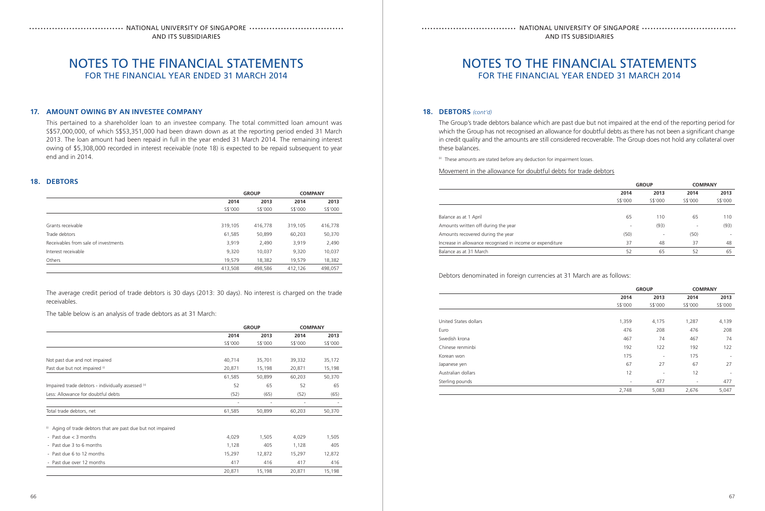#### **17. AMOUNT OWING BY AN INVESTEE COMPANY**

This pertained to a shareholder loan to an investee company. The total committed loan amount was S\$57,000,000, of which S\$53,351,000 had been drawn down as at the reporting period ended 31 March 2013. The loan amount had been repaid in full in the year ended 31 March 2014. The remaining interest owing of \$5,308,000 recorded in interest receivable (note 18) is expected to be repaid subsequent to year end and in 2014.

### **18. DEBTORS**

|                                      |         | <b>GROUP</b> |         | <b>COMPANY</b> |  |
|--------------------------------------|---------|--------------|---------|----------------|--|
|                                      | 2014    | 2013         | 2014    | 2013           |  |
|                                      | S\$'000 | S\$'000      | S\$'000 | S\$'000        |  |
|                                      |         |              |         |                |  |
| Grants receivable                    | 319,105 | 416,778      | 319,105 | 416,778        |  |
| Trade debtors                        | 61,585  | 50,899       | 60,203  | 50,370         |  |
| Receivables from sale of investments | 3,919   | 2,490        | 3,919   | 2,490          |  |
| Interest receivable                  | 9,320   | 10,037       | 9,320   | 10,037         |  |
| Others                               | 19,579  | 18,382       | 19,579  | 18,382         |  |
|                                      | 413,508 | 498,586      | 412,126 | 498,057        |  |

The average credit period of trade debtors is 30 days (2013: 30 days). No interest is charged on the trade receivables.

The table below is an analysis of trade debtors as at 31 March:

|                                                                  |         | <b>GROUP</b> |         | <b>COMPANY</b> |  |
|------------------------------------------------------------------|---------|--------------|---------|----------------|--|
|                                                                  | 2014    | 2013         | 2014    | 2013           |  |
|                                                                  | S\$'000 | S\$'000      | S\$'000 | S\$'000        |  |
|                                                                  |         |              |         |                |  |
| Not past due and not impaired                                    | 40,714  | 35,701       | 39,332  | 35,172         |  |
| Past due but not impaired (i)                                    | 20,871  | 15,198       | 20,871  | 15,198         |  |
|                                                                  | 61,585  | 50,899       | 60,203  | 50,370         |  |
| Impaired trade debtors - individually assessed (ii)              | 52      | 65           | 52      | 65             |  |
| Less: Allowance for doubtful debts                               | (52)    | (65)         | (52)    | (65)           |  |
|                                                                  | ٠       | ٠            | ٠       |                |  |
| Total trade debtors, net                                         | 61,585  | 50,899       | 60,203  | 50,370         |  |
| Aging of trade debtors that are past due but not impaired<br>(i) |         |              |         |                |  |
| - Past due $<$ 3 months                                          | 4,029   | 1,505        | 4,029   | 1,505          |  |
| - Past due 3 to 6 months                                         | 1,128   | 405          | 1,128   | 405            |  |
| - Past due 6 to 12 months                                        | 15,297  | 12,872       | 15,297  | 12,872         |  |
| - Past due over 12 months                                        | 417     | 416          | 417     | 416            |  |
|                                                                  | 20,871  | 15,198       | 20,871  | 15,198         |  |

## NOTES TO THE FINANCIAL STATEMENTS FOR THE FINANCIAL YEAR ENDED 31 MARCH 2014

### **18. DEBTORS** *(cont'd)*

The Group's trade debtors balance which are past due but not impaired at the end of the reporting period for which the Group has not recognised an allowance for doubtful debts as there has not been a significant change in credit quality and the amounts are still considered recoverable. The Group does not hold any collateral over these balances.

(ii) These amounts are stated before any deduction for impairment losses.

#### Movement in the allowance for doubtful debts for trade debtors

|                                                           | <b>GROUP</b>             |                          | <b>COMPANY</b>           |                          |
|-----------------------------------------------------------|--------------------------|--------------------------|--------------------------|--------------------------|
|                                                           | 2014                     | 2013                     | 2014                     | 2013                     |
|                                                           | S\$'000                  | S\$'000                  | S\$'000                  | S\$'000                  |
| Balance as at 1 April                                     | 65                       | 110                      | 65                       | 110                      |
| Amounts written off during the year                       | $\overline{\phantom{a}}$ | (93)                     | $\overline{\phantom{a}}$ | (93)                     |
| Amounts recovered during the year                         | (50)                     | $\overline{\phantom{a}}$ | (50)                     | $\overline{\phantom{a}}$ |
| Increase in allowance recognised in income or expenditure | 37                       | 48                       | 37                       | 48                       |
| Balance as at 31 March                                    | 52                       | 65                       | 52                       | 65                       |

### Debtors denominated in foreign currencies at 31 March are as follows:

|                       |         | <b>GROUP</b>             | <b>COMPANY</b> |         |
|-----------------------|---------|--------------------------|----------------|---------|
|                       | 2014    | 2013                     | 2014           | 2013    |
|                       | S\$'000 | S\$'000                  | S\$'000        | S\$'000 |
| United States dollars | 1,359   | 4,175                    | 1,287          | 4,139   |
| Euro                  | 476     | 208                      | 476            | 208     |
| Swedish krona         | 467     | 74                       | 467            | 74      |
| Chinese renminbi      | 192     | 122                      | 192            | 122     |
| Korean won            | 175     | ٠                        | 175            | $\sim$  |
| Japanese yen          | 67      | 27                       | 67             | 27      |
| Australian dollars    | 12      | $\overline{\phantom{a}}$ | 12             | $\sim$  |
| Sterling pounds       | ٠       | 477                      | ۰              | 477     |
|                       | 2,748   | 5,083                    | 2,676          | 5,047   |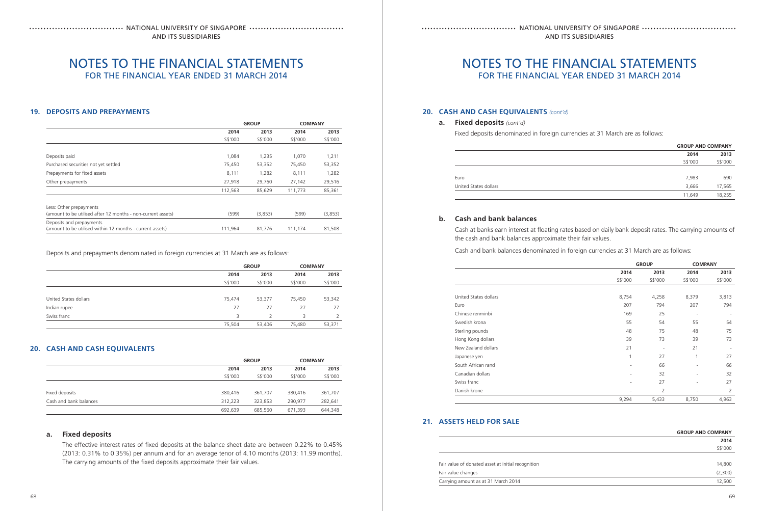#### **19. DEPOSITS AND PREPAYMENTS**

|                                                              | <b>GROUP</b> |         |         | <b>COMPANY</b> |  |
|--------------------------------------------------------------|--------------|---------|---------|----------------|--|
|                                                              | 2014         | 2013    | 2014    | 2013           |  |
|                                                              | S\$'000      | S\$'000 | S\$'000 | S\$'000        |  |
| Deposits paid                                                | 1.084        | 1,235   | 1,070   | 1,211          |  |
| Purchased securities not yet settled                         | 75,450       | 53,352  | 75,450  | 53,352         |  |
| Prepayments for fixed assets                                 | 8.111        | 1,282   | 8,111   | 1,282          |  |
| Other prepayments                                            | 27,918       | 29,760  | 27,142  | 29,516         |  |
|                                                              | 112,563      | 85,629  | 111,773 | 85,361         |  |
| Less: Other prepayments                                      |              |         |         |                |  |
| (amount to be utilised after 12 months - non-current assets) | (599)        | (3,853) | (599)   | (3,853)        |  |
| Deposits and prepayments                                     |              |         |         |                |  |
| (amount to be utilised within 12 months - current assets)    | 111.964      | 81.776  | 111.174 | 81,508         |  |

Deposits and prepayments denominated in foreign currencies at 31 March are as follows:

|                       |         | <b>GROUP</b>   |         | <b>COMPANY</b> |  |
|-----------------------|---------|----------------|---------|----------------|--|
|                       | 2014    | 2013           | 2014    | 2013           |  |
|                       | S\$'000 | S\$'000        | S\$'000 | S\$'000        |  |
| United States dollars | 75,474  | 53,377         | 75,450  | 53,342         |  |
| Indian rupee          | 27      | 27             | 27      | 27             |  |
| Swiss franc           | 3       | $\overline{2}$ | 3       |                |  |
|                       | 75,504  | 53,406         | 75,480  | 53,371         |  |

#### **20. CASH AND CASH EQUIVALENTS**

|                        |         | <b>GROUP</b> |         | <b>COMPANY</b> |  |
|------------------------|---------|--------------|---------|----------------|--|
|                        | 2014    | 2013         | 2014    | 2013           |  |
|                        | S\$'000 | S\$'000      | S\$'000 | S\$'000        |  |
|                        |         |              |         |                |  |
| Fixed deposits         | 380,416 | 361,707      | 380,416 | 361,707        |  |
| Cash and bank balances | 312,223 | 323.853      | 290.977 | 282,641        |  |
|                        | 692,639 | 685,560      | 671,393 | 644,348        |  |

## **a. Fixed deposits**

The effective interest rates of fixed deposits at the balance sheet date are between 0.22% to 0.45% (2013: 0.31% to 0.35%) per annum and for an average tenor of 4.10 months (2013: 11.99 months). The carrying amounts of the fixed deposits approximate their fair values.

## NOTES TO THE FINANCIAL STATEMENTS FOR THE FINANCIAL YEAR ENDED 31 MARCH 2014

## **20. CASH AND CASH EQUIVALENTS** *(cont'd)*

#### **a. Fixed deposits** *(cont'd)*

Fixed deposits denominated in foreign currencies at 31 March are as follows:

|                       |         | <b>GROUP AND COMPANY</b> |
|-----------------------|---------|--------------------------|
|                       | 2014    | 2013                     |
|                       | S\$'000 | S\$'000                  |
|                       |         |                          |
| Euro                  | 7,983   | 690                      |
| United States dollars | 3,666   | 17,565                   |
|                       | 11,649  | 18,255                   |

## **b. Cash and bank balances**

Cash at banks earn interest at floating rates based on daily bank deposit rates. The carrying amounts of the cash and bank balances approximate their fair values.

Cash and bank balances denominated in foreign currencies at 31 March are as follows:

|                       |         | <b>GROUP</b>   |                          | <b>COMPANY</b>           |  |
|-----------------------|---------|----------------|--------------------------|--------------------------|--|
|                       | 2014    | 2013           | 2014                     | 2013                     |  |
|                       | S\$'000 | S\$'000        | S\$'000                  | S\$'000                  |  |
| United States dollars | 8,754   | 4,258          | 8,379                    | 3,813                    |  |
| Euro                  | 207     | 794            | 207                      | 794                      |  |
| Chinese renminbi      | 169     | 25             | $\overline{\phantom{a}}$ | $\overline{\phantom{a}}$ |  |
| Swedish krona         | 55      | 54             | 55                       | 54                       |  |
| Sterling pounds       | 48      | 75             | 48                       | 75                       |  |
| Hong Kong dollars     | 39      | 73             | 39                       | 73                       |  |
| New Zealand dollars   | 21      | $\overline{a}$ | 21                       |                          |  |
| Japanese yen          | 1       | 27             | 1                        | 27                       |  |
| South African rand    | ۰       | 66             | $\overline{\phantom{a}}$ | 66                       |  |
| Canadian dollars      | ٠       | 32             | ٠                        | 32                       |  |
| Swiss franc           | ٠       | 27             | ٠                        | 27                       |  |
| Danish krone          | ٠       | 2              | $\overline{\phantom{a}}$ | 2                        |  |
|                       | 9,294   | 5,433          | 8,750                    | 4,963                    |  |

## **21. ASSETS HELD FOR SALE**

|                                                    | <b>GROUP AND COMPANY</b> |
|----------------------------------------------------|--------------------------|
|                                                    | 2014                     |
|                                                    | S\$'000                  |
| Fair value of donated asset at initial recognition | 14,800                   |
| Fair value changes                                 | (2,300)                  |
| Carrying amount as at 31 March 2014                | 12,500                   |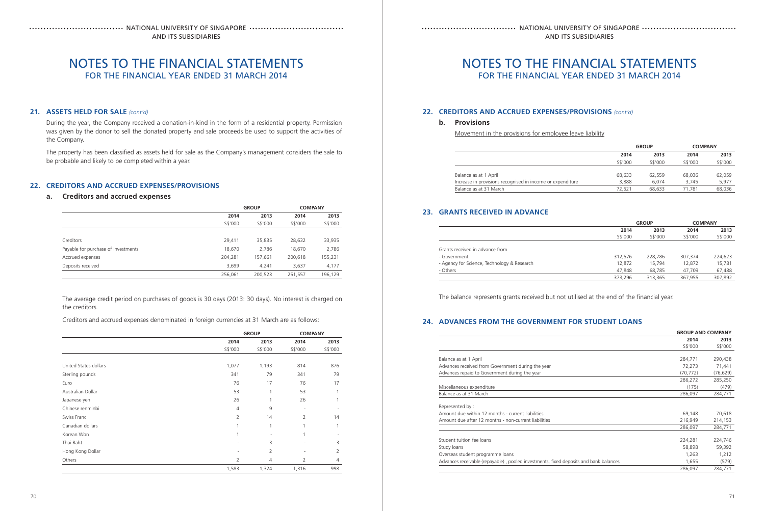### **21. ASSETS HELD FOR SALE** *(cont'd)*

During the year, the Company received a donation-in-kind in the form of a residential property. Permission was given by the donor to sell the donated property and sale proceeds be used to support the activities of the Company.

The property has been classified as assets held for sale as the Company's management considers the sale to be probable and likely to be completed within a year.

### **22. CREDITORS AND ACCRUED EXPENSES/PROVISIONS**

### **a. Creditors and accrued expenses**

|                                     |         | <b>GROUP</b> |         | <b>COMPANY</b> |
|-------------------------------------|---------|--------------|---------|----------------|
|                                     | 2014    | 2013         | 2014    | 2013           |
|                                     | S\$'000 | S\$'000      | S\$'000 | S\$'000        |
|                                     |         |              |         |                |
| Creditors                           | 29,411  | 35,835       | 28,632  | 33,935         |
| Payable for purchase of investments | 18,670  | 2,786        | 18,670  | 2,786          |
| Accrued expenses                    | 204,281 | 157,661      | 200,618 | 155,231        |
| Deposits received                   | 3,699   | 4,241        | 3,637   | 4,177          |
|                                     | 256,061 | 200,523      | 251,557 | 196,129        |

The average credit period on purchases of goods is 30 days (2013: 30 days). No interest is charged on the creditors.

Creditors and accrued expenses denominated in foreign currencies at 31 March are as follows:

|                       |                | <b>GROUP</b> | <b>COMPANY</b> |                |
|-----------------------|----------------|--------------|----------------|----------------|
|                       | 2014           | 2013         | 2014           | 2013           |
|                       | S\$'000        | S\$'000      | S\$'000        | S\$'000        |
| United States dollars | 1,077          | 1,193        | 814            | 876            |
| Sterling pounds       | 341            | 79           | 341            | 79             |
| Euro                  | 76             | 17           | 76             | 17             |
| Australian Dollar     | 53             | $\mathbf{1}$ | 53             | 1              |
| Japanese yen          | 26             | $\mathbf{1}$ | 26             | 1              |
| Chinese renminbi      | 4              | 9            |                |                |
| Swiss Franc           | 2              | 14           | $\overline{2}$ | 14             |
| Canadian dollars      | 1              | $\mathbf{1}$ | 1              | 1              |
| Korean Won            | 1              |              | 1              |                |
| Thai Baht             | ۰              | 3            | ٠              | 3              |
| Hong Kong Dollar      |                | 2            |                | $\overline{2}$ |
| Others                | $\overline{2}$ | 4            | 2              | 4              |
|                       | 1,583          | 1,324        | 1,316          | 998            |

## NOTES TO THE FINANCIAL STATEMENTS FOR THE FINANCIAL YEAR ENDED 31 MARCH 2014

### **22. CREDITORS AND ACCRUED EXPENSES/PROVISIONS** *(cont'd)*

#### **b. Provisions**

Movement in the provisions for employee leave liability

|                                                            |         | <b>GROUP</b> | <b>COMPANY</b> |         |
|------------------------------------------------------------|---------|--------------|----------------|---------|
|                                                            | 2014    | 2013         | 2014           | 2013    |
|                                                            | S\$'000 | S\$'000      | S\$'000        | S\$'000 |
|                                                            |         |              |                |         |
| Balance as at 1 April                                      | 68,633  | 62,559       | 68.036         | 62,059  |
| Increase in provisions recognised in income or expenditure | 3,888   | 6.074        | 3.745          | 5.977   |
| Balance as at 31 March                                     | 72.521  | 68,633       | 71.781         | 68,036  |

### **23. GRANTS RECEIVED IN ADVANCE**

|                                             |         | <b>GROUP</b> | <b>COMPANY</b> |         |
|---------------------------------------------|---------|--------------|----------------|---------|
|                                             | 2014    | 2013         | 2014           | 2013    |
|                                             | S\$'000 | S\$'000      | S\$'000        | S\$'000 |
| Grants received in advance from             |         |              |                |         |
| - Government                                | 312,576 | 228,786      | 307.374        | 224,623 |
| - Agency for Science, Technology & Research | 12,872  | 15,794       | 12.872         | 15,781  |
| - Others                                    | 47.848  | 68,785       | 47,709         | 67,488  |
|                                             | 373,296 | 313,365      | 367.955        | 307,892 |

The balance represents grants received but not utilised at the end of the financial year.

## **24. ADVANCES FROM THE GOVERNMENT FOR STUDENT LOANS**

|                                                                                       | <b>GROUP AND COMPANY</b> |           |
|---------------------------------------------------------------------------------------|--------------------------|-----------|
|                                                                                       | 2014                     | 2013      |
|                                                                                       | S\$'000                  | S\$'000   |
| Balance as at 1 April                                                                 | 284,771                  | 290,438   |
| Advances received from Government during the year                                     | 72,273                   | 71,441    |
| Advances repaid to Government during the year                                         | (70, 772)                | (76, 629) |
|                                                                                       | 286,272                  | 285,250   |
| Miscellaneous expenditure                                                             | (175)                    | (479)     |
| Balance as at 31 March                                                                | 286,097                  | 284,771   |
| Represented by:                                                                       |                          |           |
| Amount due within 12 months - current liabilities                                     | 69,148                   | 70,618    |
| Amount due after 12 months - non-current liabilities                                  | 216,949                  | 214,153   |
|                                                                                       | 286,097                  | 284,771   |
| Student tuition fee loans                                                             | 224,281                  | 224,746   |
| Study loans                                                                           | 58,898                   | 59,392    |
| Overseas student programme loans                                                      | 1,263                    | 1,212     |
| Advances receivable (repayable), pooled investments, fixed deposits and bank balances | 1,655                    | (579)     |
|                                                                                       | 286,097                  | 284,771   |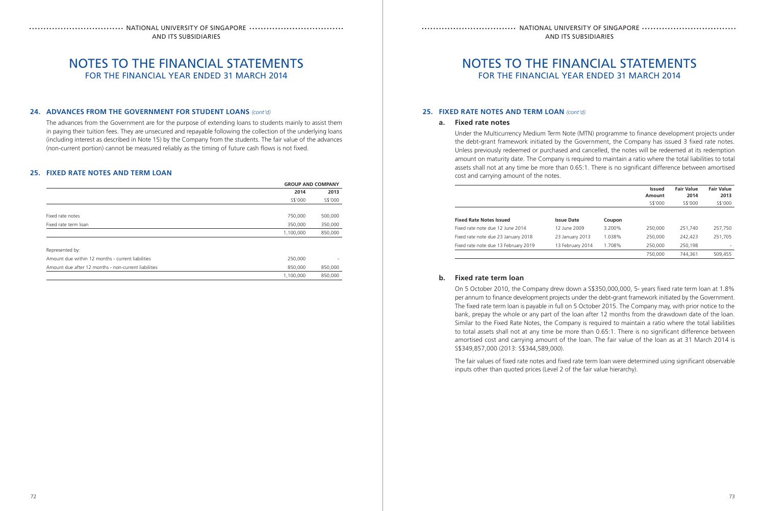## NOTES TO THE FINANCIAL STATEMENTS FOR THE FINANCIAL YEAR ENDED 31 MARCH 2014

## **24. ADVANCES FROM THE GOVERNMENT FOR STUDENT LOANS** *(cont'd)*

The advances from the Government are for the purpose of extending loans to students mainly to assist them in paying their tuition fees. They are unsecured and repayable following the collection of the underlying loans (including interest as described in Note 15) by the Company from the students. The fair value of the advances (non-current portion) cannot be measured reliably as the timing of future cash flows is not fixed.

#### **25. FIXED RATE NOTES AND TERM LOAN**

| 2014      |         |
|-----------|---------|
|           | 2013    |
| S\$'000   | S\$'000 |
| 750,000   | 500,000 |
| 350,000   | 350,000 |
| 1,100,000 | 850,000 |
|           |         |
| 250,000   |         |
| 850,000   | 850,000 |
| 1,100,000 | 850,000 |
|           |         |

## NOTES TO THE FINANCIAL STATEMENTS FOR THE FINANCIAL YEAR ENDED 31 MARCH 2014

### **25. FIXED RATE NOTES AND TERM LOAN** *(cont'd)*

#### **a. Fixed rate notes**

Under the Multicurrency Medium Term Note (MTN) programme to finance development projects under the debt-grant framework initiated by the Government, the Company has issued 3 fixed rate notes. Unless previously redeemed or purchased and cancelled, the notes will be redeemed at its redemption amount on maturity date. The Company is required to maintain a ratio where the total liabilities to total assets shall not at any time be more than 0.65:1. There is no significant difference between amortised cost and carrying amount of the notes.

|                                      |                   |        | <b>Issued</b><br>Amount | <b>Fair Value</b><br>2014 | <b>Fair Value</b><br>2013 |
|--------------------------------------|-------------------|--------|-------------------------|---------------------------|---------------------------|
|                                      |                   |        | S\$'000                 | S\$'000                   | S\$'000                   |
| <b>Fixed Rate Notes Issued</b>       | <b>Issue Date</b> | Coupon |                         |                           |                           |
| Fixed rate note due 12 June 2014     | 12 June 2009      | 3.200% | 250,000                 | 251,740                   | 257,750                   |
| Fixed rate note due 23 January 2018  | 23 January 2013   | 1.038% | 250,000                 | 242,423                   | 251.705                   |
| Fixed rate note due 13 February 2019 | 13 February 2014  | 1.708% | 250,000                 | 250.198                   | $\overline{\phantom{a}}$  |
|                                      |                   |        | 750,000                 | 744.361                   | 509,455                   |

### **b. Fixed rate term loan**

On 5 October 2010, the Company drew down a S\$350,000,000, 5- years fixed rate term loan at 1.8% per annum to finance development projects under the debt-grant framework initiated by the Government. The fixed rate term loan is payable in full on 5 October 2015. The Company may, with prior notice to the bank, prepay the whole or any part of the loan after 12 months from the drawdown date of the loan. Similar to the Fixed Rate Notes, the Company is required to maintain a ratio where the total liabilities to total assets shall not at any time be more than 0.65:1. There is no significant difference between amortised cost and carrying amount of the loan. The fair value of the loan as at 31 March 2014 is S\$349,857,000 (2013: S\$344,589,000).

The fair values of fixed rate notes and fixed rate term loan were determined using significant observable inputs other than quoted prices (Level 2 of the fair value hierarchy).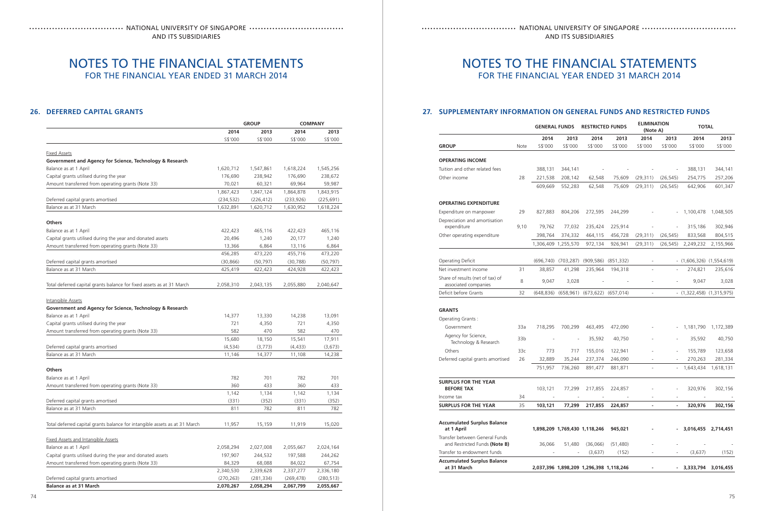## NOTES TO THE FINANCIAL STATEMENTS FOR THE FINANCIAL YEAR ENDED 31 MARCH 2014

## **26. DEFERRED CAPITAL GRANTS**

|                                                                            |            | <b>GROUP</b> |            | <b>COMPANY</b> |  |
|----------------------------------------------------------------------------|------------|--------------|------------|----------------|--|
|                                                                            | 2014       | 2013         | 2014       | 2013           |  |
|                                                                            | S\$'000    | S\$'000      | S\$'000    | S\$'000        |  |
| <b>Fixed Assets</b>                                                        |            |              |            |                |  |
| Government and Agency for Science, Technology & Research                   |            |              |            |                |  |
| Balance as at 1 April                                                      | 1,620,712  | 1,547,861    | 1,618,224  | 1,545,256      |  |
| Capital grants utilised during the year                                    | 176,690    | 238,942      | 176,690    | 238,672        |  |
| Amount transferred from operating grants (Note 33)                         | 70,021     | 60,321       | 69,964     | 59,987         |  |
|                                                                            | 1,867,423  | 1,847,124    | 1,864,878  | 1,843,915      |  |
| Deferred capital grants amortised                                          | (234, 532) | (226, 412)   | (233,926)  | (225, 691)     |  |
| Balance as at 31 March                                                     | 1,632,891  | 1,620,712    | 1,630,952  | 1,618,224      |  |
|                                                                            |            |              |            |                |  |
| Others                                                                     |            |              |            |                |  |
| Balance as at 1 April                                                      | 422,423    | 465,116      | 422,423    | 465,116        |  |
| Capital grants utilised during the year and donated assets                 | 20,496     | 1,240        | 20,177     | 1,240          |  |
| Amount transferred from operating grants (Note 33)                         | 13,366     | 6,864        | 13,116     | 6,864          |  |
|                                                                            | 456,285    | 473,220      | 455,716    | 473,220        |  |
| Deferred capital grants amortised                                          | (30, 866)  | (50, 797)    | (30, 788)  | (50, 797)      |  |
| Balance as at 31 March                                                     | 425,419    | 422,423      | 424,928    | 422,423        |  |
| Total deferred capital grants balance for fixed assets as at 31 March      | 2,058,310  | 2,043,135    | 2,055,880  | 2,040,647      |  |
| Intangible Assets                                                          |            |              |            |                |  |
| Government and Agency for Science, Technology & Research                   |            |              |            |                |  |
| Balance as at 1 April                                                      | 14,377     | 13,330       | 14,238     | 13,091         |  |
| Capital grants utilised during the year                                    | 721        | 4,350        | 721        | 4,350          |  |
| Amount transferred from operating grants (Note 33)                         | 582        | 470          | 582        | 470            |  |
|                                                                            | 15,680     | 18,150       | 15,541     | 17,911         |  |
| Deferred capital grants amortised                                          | (4, 534)   | (3,773)      | (4, 433)   | (3,673)        |  |
| Balance as at 31 March                                                     | 11,146     | 14,377       | 11,108     | 14,238         |  |
|                                                                            |            |              |            |                |  |
| <b>Others</b>                                                              |            |              |            |                |  |
| Balance as at 1 April                                                      | 782        | 701          | 782        | 701            |  |
| Amount transferred from operating grants (Note 33)                         | 360        | 433          | 360        | 433            |  |
|                                                                            | 1,142      | 1,134        | 1,142      | 1,134          |  |
| Deferred capital grants amortised                                          | (331)      | (352)        | (331)      | (352)          |  |
| Balance as at 31 March                                                     | 811        | 782          | 811        | 782            |  |
| Total deferred capital grants balance for intangible assets as at 31 March | 11,957     | 15,159       | 11,919     | 15,020         |  |
| <b>Fixed Assets and Intangible Assets</b>                                  |            |              |            |                |  |
| Balance as at 1 April                                                      | 2,058,294  | 2,027,008    | 2,055,667  | 2,024,164      |  |
| Capital grants utilised during the year and donated assets                 | 197,907    | 244,532      | 197,588    | 244,262        |  |
| Amount transferred from operating grants (Note 33)                         | 84,329     | 68,088       | 84,022     | 67,754         |  |
|                                                                            | 2,340,530  | 2,339,628    | 2,337,277  | 2,336,180      |  |
| Deferred capital grants amortised                                          | (270, 263) | (281, 334)   | (269, 478) | (280, 513)     |  |
| <b>Balance as at 31 March</b>                                              | 2,070,267  | 2,058,294    | 2,067,799  | 2,055,667      |  |
|                                                                            |            |              |            |                |  |

#### **27. SUPPLEMENTARY INFORMATION ON GENERAL FUNDS AND RESTRICTED FUNDS**

|                                                                 |                 | <b>GENERAL FUNDS</b> |                     | <b>RESTRICTED FUNDS</b>                 |            | <b>ELIMINATION</b><br>(Note A) |                | <b>TOTAL</b>                |                     |
|-----------------------------------------------------------------|-----------------|----------------------|---------------------|-----------------------------------------|------------|--------------------------------|----------------|-----------------------------|---------------------|
|                                                                 |                 | 2014                 | 2013                | 2014                                    | 2013       | 2014                           | 2013           | 2014                        | 2013                |
| <b>GROUP</b>                                                    | Note            | S\$'000              | S\$'000             | S\$'000                                 | S\$'000    | S\$'000                        | S\$'000        | S\$'000                     | S\$'000             |
| <b>OPERATING INCOME</b>                                         |                 |                      |                     |                                         |            |                                |                |                             |                     |
| Tuition and other related fees                                  |                 | 388,131              | 344,141             |                                         |            |                                |                | 388,131                     | 344,141             |
| Other income                                                    | 28              | 221,538              | 208,142             | 62,548                                  | 75,609     | (29, 311)                      | (26, 545)      | 254,775                     | 257,206             |
|                                                                 |                 | 609,669              | 552,283             | 62,548                                  | 75,609     | (29, 311)                      | (26, 545)      | 642,906                     | 601,347             |
| <b>OPERATING EXPENDITURE</b>                                    |                 |                      |                     |                                         |            |                                |                |                             |                     |
| Expenditure on manpower                                         | 29              | 827,883              | 804,206             | 272,595                                 | 244,299    |                                |                | 1,100,478                   | 1,048,505           |
| Depreciation and amortisation<br>expenditure                    | 9,10            | 79,762               | 77,032              | 235,424                                 | 225,914    |                                |                | 315,186                     | 302,946             |
| Other operating expenditure                                     |                 | 398,764              | 374,332             | 464,115                                 | 456,728    | (29, 311)                      | (26, 545)      | 833,568                     | 804,515             |
|                                                                 |                 |                      | 1,306,409 1,255,570 | 972,134                                 | 926,941    | (29, 311)                      | (26, 545)      | 2,249,232                   | 2,155,966           |
|                                                                 |                 |                      |                     |                                         |            |                                |                |                             |                     |
| Operating Deficit                                               |                 | (696, 740)           | (703, 287)          | (909, 586)                              | (851, 332) | ÷,                             |                | $-$ (1,606,326) (1,554,619) |                     |
| Net investment income                                           | 31              | 38,857               | 41,298              | 235,964                                 | 194,318    |                                |                | 274,821                     | 235,616             |
| Share of results (net of tax) of<br>associated companies        | 8               | 9,047                | 3,028               |                                         |            |                                | ä,             | 9.047                       | 3,028               |
| Deficit before Grants                                           | 32              | (648, 836)           | (658, 961)          | (673, 622)                              | (657, 014) | ÷,                             |                | $-$ (1,322,458) (1,315,975) |                     |
| <b>GRANTS</b><br>Operating Grants:                              |                 |                      |                     |                                         |            |                                |                |                             |                     |
| Government                                                      | 33a             | 718,295              | 700,299             | 463,495                                 | 472,090    |                                |                | 1,181,790                   | 1,172,389           |
| Agency for Science,<br>Technology & Research                    | 33 <sub>b</sub> |                      |                     | 35,592                                  | 40,750     |                                |                | 35,592                      | 40,750              |
| Others                                                          | 33с             | 773                  | 717                 | 155,016                                 | 122,941    |                                |                | 155,789                     | 123,658             |
| Deferred capital grants amortised                               | 26              | 32,889               | 35,244              | 237,374                                 | 246,090    |                                |                | 270,263                     | 281,334             |
|                                                                 |                 | 751,957              | 736,260             | 891,477                                 | 881,871    |                                |                | 1,643,434                   | 1,618,131           |
| <b>SURPLUS FOR THE YEAR</b><br><b>BEFORE TAX</b>                |                 | 103,121              | 77,299              | 217,855                                 | 224,857    |                                | ä,             | 320,976                     | 302,156             |
| Income tax                                                      | 34              |                      |                     |                                         |            |                                |                |                             |                     |
| <b>SURPLUS FOR THE YEAR</b>                                     | 35              | 103,121              | 77,299              | 217,855                                 | 224,857    |                                |                | 320,976                     | 302,156             |
| <b>Accumulated Surplus Balance</b><br>at 1 April                |                 |                      |                     | 1,898,209 1,769,430 1,118,246           | 945,021    |                                |                | 3,016,455                   | 2,714,451           |
| Transfer between General Funds<br>and Restricted Funds (Note B) |                 | 36,066               | 51,480              | (36,066)                                | (51, 480)  |                                |                |                             |                     |
| Transfer to endowment funds                                     |                 |                      |                     | (3,637)                                 | (152)      |                                |                | (3,637)                     | (152)               |
| <b>Accumulated Surplus Balance</b><br>at 31 March               |                 |                      |                     | 2,037,396 1,898,209 1,296,398 1,118,246 |            |                                | $\blacksquare$ |                             | 3,333,794 3,016,455 |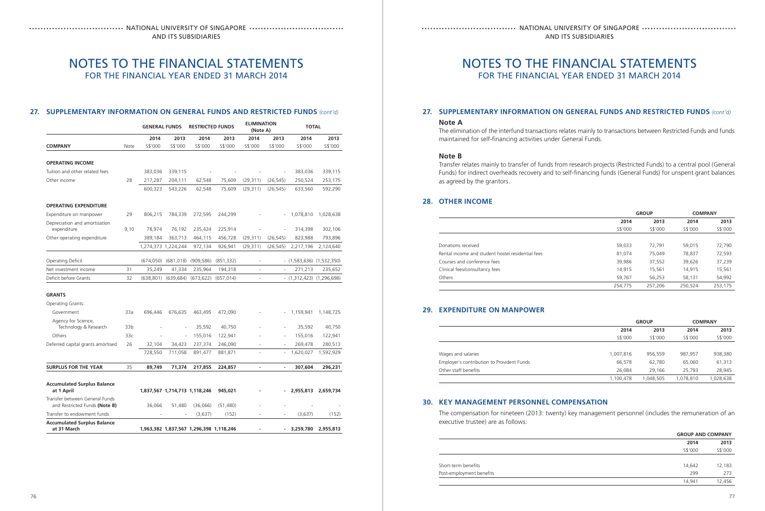## NOTES TO THE FINANCIAL STATEMENTS FOR THE FINANCIAL YEAR ENDED 31 MARCH 2014

#### **27. SUPPLEMENTARY INFORMATION ON GENERAL FUNDS AND RESTRICTED FUNDS** *(cont'd)*

|                                                                 |                 | <b>GENERAL FUNDS</b> |                     | <b>RESTRICTED FUNDS</b>                 |            | <b>ELIMINATION</b><br>(Note A) |                | <b>TOTAL</b>                 |                     |
|-----------------------------------------------------------------|-----------------|----------------------|---------------------|-----------------------------------------|------------|--------------------------------|----------------|------------------------------|---------------------|
|                                                                 |                 | 2014                 | 2013                | 2014                                    | 2013       | 2014                           | 2013           | 2014                         | 2013                |
| <b>COMPANY</b>                                                  | Note            | S\$'000              | S\$'000             | S\$'000                                 | S\$'000    | S\$'000                        | S\$'000        | S\$'000                      | S\$'000             |
| <b>OPERATING INCOME</b>                                         |                 |                      |                     |                                         |            |                                |                |                              |                     |
| Tuition and other related fees                                  |                 | 383,036              | 339,115             |                                         |            |                                | ÷              | 383,036                      | 339,115             |
| Other income                                                    | 28              | 217,287              | 204,111             | 62,548                                  | 75,609     | (29, 311)                      | (26, 545)      | 250,524                      | 253,175             |
|                                                                 |                 | 600,323              | 543,226             | 62,548                                  | 75.609     | (29, 311)                      | (26, 545)      | 633,560                      | 592,290             |
| <b>OPERATING EXPENDITURE</b>                                    |                 |                      |                     |                                         |            |                                |                |                              |                     |
| Expenditure on manpower                                         | 29              | 806,215              | 784,339             | 272,595                                 | 244,299    |                                |                | 1,078,810                    | 1,028,638           |
| Depreciation and amortisation                                   |                 |                      |                     |                                         |            |                                |                |                              |                     |
| expenditure                                                     | 9,10            | 78,974               | 76,192              | 235,424                                 | 225,914    |                                |                | 314,398                      | 302,106             |
| Other operating expenditure                                     |                 | 389,184              | 363,713             | 464,115                                 | 456,728    | (29, 311)                      | (26, 545)      | 823,988                      | 793,896             |
|                                                                 |                 |                      | 1,274,373 1,224,244 | 972,134                                 | 926,941    | (29, 311)                      | (26, 545)      | 2,217,196                    | 2,124,640           |
| Operating Deficit                                               |                 | (674, 050)           | (681, 018)          | (909, 586)                              | (851, 332) | ÷,                             |                | $-(1,583,636)$ $(1,532,350)$ |                     |
| Net investment income                                           | 31              | 35,249               | 41,334              | 235,964                                 | 194,318    | ä,                             |                | 271,213                      | 235,652             |
| Deficit before Grants                                           | 32              | (638,801)            | (639, 684)          | (673, 622)                              | (657, 014) | ÷,                             |                | $-(1,312,423)$ $(1,296,698)$ |                     |
| <b>GRANTS</b>                                                   |                 |                      |                     |                                         |            |                                |                |                              |                     |
| Operating Grants:                                               |                 |                      |                     |                                         |            |                                |                |                              |                     |
| Government                                                      | 33a             | 696,446              | 676,635             | 463,495                                 | 472,090    |                                |                | 1,159,941                    | 1,148,725           |
| Agency for Science,                                             |                 |                      |                     |                                         |            |                                |                |                              |                     |
| Technology & Research                                           | 33 <sub>b</sub> |                      |                     | 35,592                                  | 40,750     |                                |                | 35,592                       | 40,750              |
| Others                                                          | 33c             |                      |                     | 155,016                                 | 122,941    | ä,                             | ÷,             | 155,016                      | 122,941             |
| Deferred capital grants amortised                               | 26              | 32,104               | 34,423              | 237,374                                 | 246,090    | ÷.                             |                | 269,478                      | 280,513             |
|                                                                 |                 | 728,550              | 711,058             | 891,477                                 | 881,871    | $\bar{a}$                      | $\blacksquare$ | 1,620,027                    | 1,592,929           |
| <b>SURPLUS FOR THE YEAR</b>                                     | 35              | 89,749               | 71,374              | 217,855                                 | 224,857    | $\overline{a}$                 | $\mathbf{r}$   | 307,604                      | 296,231             |
|                                                                 |                 |                      |                     |                                         |            |                                |                |                              |                     |
| <b>Accumulated Surplus Balance</b><br>at 1 April                |                 |                      |                     | 1,837,567 1,714,713 1,118,246           | 945,021    |                                |                |                              | 2,955,813 2,659,734 |
| Transfer between General Funds<br>and Restricted Funds (Note B) |                 | 36,066               | 51,480              | (36,066)                                | (51, 480)  |                                |                |                              |                     |
| Transfer to endowment funds                                     |                 |                      | ÷,                  | (3,637)                                 | (152)      |                                |                | (3,637)                      | (152)               |
| <b>Accumulated Surplus Balance</b><br>at 31 March               |                 |                      |                     | 1,963,382 1,837,567 1,296,398 1,118,246 |            |                                | $\sim$         | 3,259,780                    | 2,955,813           |

## NOTES TO THE FINANCIAL STATEMENTS FOR THE FINANCIAL YEAR ENDED 31 MARCH 2014

### **27. SUPPLEMENTARY INFORMATION ON GENERAL FUNDS AND RESTRICTED FUNDS** *(cont'd)*

#### **Note A**

The elimination of the interfund transactions relates mainly to transactions between Restricted Funds and funds maintained for self-financing activities under General Funds.

#### **Note B**

Transfer relates mainly to transfer of funds from research projects (Restricted Funds) to a central pool (General Funds) for indirect overheads recovery and to self-financing funds (General Funds) for unspent grant balances as agreed by the grantors.

## **28. OTHER INCOME**

|                                                   |         | <b>GROUP</b> |         | <b>COMPANY</b> |
|---------------------------------------------------|---------|--------------|---------|----------------|
|                                                   | 2014    | 2013         | 2014    | 2013           |
|                                                   | S\$'000 | S\$'000      | S\$'000 | S\$'000        |
|                                                   |         |              |         |                |
| Donations received                                | 59,033  | 72,791       | 59,015  | 72,790         |
| Rental income and student hostel residential fees | 81,074  | 75,049       | 78,837  | 72,593         |
| Courses and conference fees                       | 39,986  | 37,552       | 39,626  | 37,239         |
| Clinical fees/consultancy fees                    | 14,915  | 15,561       | 14,915  | 15,561         |
| Others                                            | 59,767  | 56,253       | 58,131  | 54,992         |
|                                                   | 254,775 | 257,206      | 250.524 | 253,175        |

### **29. EXPENDITURE ON MANPOWER**

|                                            |           | <b>GROUP</b> |           | <b>COMPANY</b> |
|--------------------------------------------|-----------|--------------|-----------|----------------|
|                                            | 2014      | 2013         | 2014      | 2013           |
|                                            | S\$'000   | S\$'000      | S\$'000   | S\$'000        |
| Wages and salaries                         | 1,007,816 | 956,559      | 987.957   | 938,380        |
| Employer's contribution to Provident Funds | 66,578    | 62,780       | 65,060    | 61,313         |
| Other staff benefits                       | 26.084    | 29,166       | 25,793    | 28,945         |
|                                            | 1,100,478 | 1,048,505    | 1,078,810 | 1,028,638      |

## **30. KEY MANAGEMENT PERSONNEL COMPENSATION**

The compensation for nineteen (2013: twenty) key management personnel (includes the remuneration of an executive trustee) are as follows:

|                          |         | <b>GROUP AND COMPANY</b> |  |  |
|--------------------------|---------|--------------------------|--|--|
|                          | 2014    | 2013                     |  |  |
|                          | S\$'000 | S\$'000                  |  |  |
| Short-term benefits      | 14,642  | 12,183                   |  |  |
| Post-employment benefits | 299     | 273                      |  |  |
|                          | 14,941  | 12,456                   |  |  |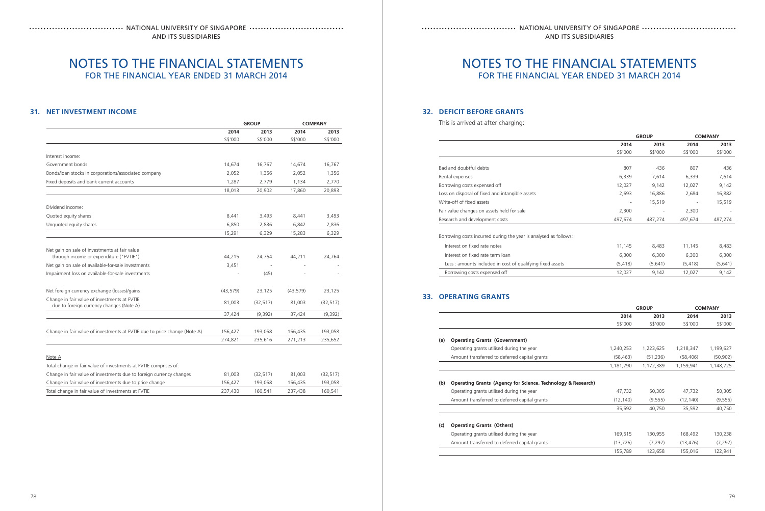## NOTES TO THE FINANCIAL STATEMENTS FOR THE FINANCIAL YEAR ENDED 31 MARCH 2014

## **31. NET INVESTMENT INCOME**

|                                                                                          | <b>GROUP</b> |           | <b>COMPANY</b> |           |
|------------------------------------------------------------------------------------------|--------------|-----------|----------------|-----------|
|                                                                                          | 2014         | 2013      | 2014           | 2013      |
|                                                                                          | S\$'000      | S\$'000   | S\$'000        | S\$'000   |
| Interest income:                                                                         |              |           |                |           |
| Government bonds                                                                         | 14,674       | 16,767    | 14,674         | 16,767    |
| Bonds/loan stocks in corporations/associated company                                     | 2,052        | 1,356     | 2,052          | 1,356     |
| Fixed deposits and bank current accounts                                                 | 1,287        | 2,779     | 1,134          | 2,770     |
|                                                                                          | 18,013       | 20,902    | 17,860         | 20,893    |
| Dividend income:                                                                         |              |           |                |           |
| Quoted equity shares                                                                     | 8,441        | 3,493     | 8,441          | 3,493     |
| Unquoted equity shares                                                                   | 6,850        | 2,836     | 6,842          | 2,836     |
|                                                                                          | 15,291       | 6,329     | 15,283         | 6,329     |
| Net gain on sale of investments at fair value                                            |              |           |                |           |
| through income or expenditure ("FVTIE")                                                  | 44,215       | 24,764    | 44,211         | 24,764    |
| Net gain on sale of available-for-sale investments                                       | 3,451        |           |                |           |
| Impairment loss on available-for-sale investments                                        |              | (45)      |                |           |
| Net foreign currency exchange (losses)/gains                                             | (43, 579)    | 23,125    | (43, 579)      | 23,125    |
| Change in fair value of investments at FVTIE<br>due to foreign currency changes (Note A) | 81,003       | (32, 517) | 81,003         | (32, 517) |
|                                                                                          | 37,424       | (9,392)   | 37,424         | (9,392)   |
| Change in fair value of investments at FVTIE due to price change (Note A)                | 156,427      | 193,058   | 156,435        | 193,058   |
|                                                                                          | 274,821      | 235,616   | 271,213        | 235,652   |
| Note A                                                                                   |              |           |                |           |
| Total change in fair value of investments at FVTIE comprises of:                         |              |           |                |           |
| Change in fair value of investments due to foreign currency changes                      | 81,003       | (32, 517) | 81,003         | (32, 517) |
| Change in fair value of investments due to price change                                  | 156,427      | 193,058   | 156,435        | 193,058   |

Total change in fair value of investments at FVTIE 237,430 160,541 237,438 160,541

## NOTES TO THE FINANCIAL STATEMENTS FOR THE FINANCIAL YEAR ENDED 31 MARCH 2014

## **32. DEFICIT BEFORE GRANTS**

This is arrived at after charging:

|                                                                  | <b>GROUP</b>             |         | <b>COMPANY</b> |         |
|------------------------------------------------------------------|--------------------------|---------|----------------|---------|
|                                                                  | 2014                     | 2013    | 2014           | 2013    |
|                                                                  | S\$'000                  | S\$'000 | S\$'000        | S\$'000 |
| Bad and doubtful debts                                           | 807                      | 436     | 807            | 436     |
| Rental expenses                                                  | 6,339                    | 7,614   | 6,339          | 7,614   |
| Borrowing costs expensed off                                     | 12,027                   | 9,142   | 12,027         | 9,142   |
| Loss on disposal of fixed and intangible assets                  | 2,693                    | 16,886  | 2,684          | 16,882  |
| Write-off of fixed assets                                        | $\overline{\phantom{a}}$ | 15,519  | ٠              | 15,519  |
| Fair value changes on assets held for sale                       | 2,300                    |         | 2,300          |         |
| Research and development costs                                   | 497,674                  | 487,274 | 497,674        | 487,274 |
| Borrowing costs incurred during the year is analysed as follows: |                          |         |                |         |
| Interest on fixed rate notes                                     | 11,145                   | 8,483   | 11,145         | 8,483   |
| Interest on fixed rate term loan                                 | 6,300                    | 6,300   | 6,300          | 6,300   |
| Less: amounts included in cost of qualifying fixed assets        | (5, 418)                 | (5,641) | (5, 418)       | (5,641) |
| Borrowing costs expensed off                                     | 12,027                   | 9,142   | 12,027         | 9,142   |

## **33. OPERATING GRANTS**

|     |                                                              | <b>GROUP</b> |           | <b>COMPANY</b> |           |
|-----|--------------------------------------------------------------|--------------|-----------|----------------|-----------|
|     |                                                              | 2014         | 2013      | 2014           | 2013      |
|     |                                                              | S\$'000      | S\$'000   | S\$'000        | S\$'000   |
| (a) | <b>Operating Grants (Government)</b>                         |              |           |                |           |
|     | Operating grants utilised during the year                    | 1,240,253    | 1,223,625 | 1,218,347      | 1,199,627 |
|     | Amount transferred to deferred capital grants                | (58, 463)    | (51, 236) | (58, 406)      | (50, 902) |
|     |                                                              | 1,181,790    | 1,172,389 | 1,159,941      | 1,148,725 |
|     | Operating grants utilised during the year                    | 47,732       | 50,305    | 47,732         | 50,305    |
| (b) | Operating Grants (Agency for Science, Technology & Research) |              |           |                |           |
|     | Amount transferred to deferred capital grants                | (12, 140)    | (9, 555)  | (12, 140)      | (9, 555)  |
|     |                                                              | 35,592       | 40,750    | 35,592         | 40,750    |
| (c) | <b>Operating Grants (Others)</b>                             |              |           |                |           |
|     | Operating grants utilised during the year                    | 169,515      | 130,955   | 168,492        | 130,238   |
|     | Amount transferred to deferred capital grants                | (13, 726)    | (7, 297)  | (13, 476)      | (7, 297)  |
|     |                                                              | 155,789      | 123,658   | 155,016        | 122,941   |
|     |                                                              |              |           |                |           |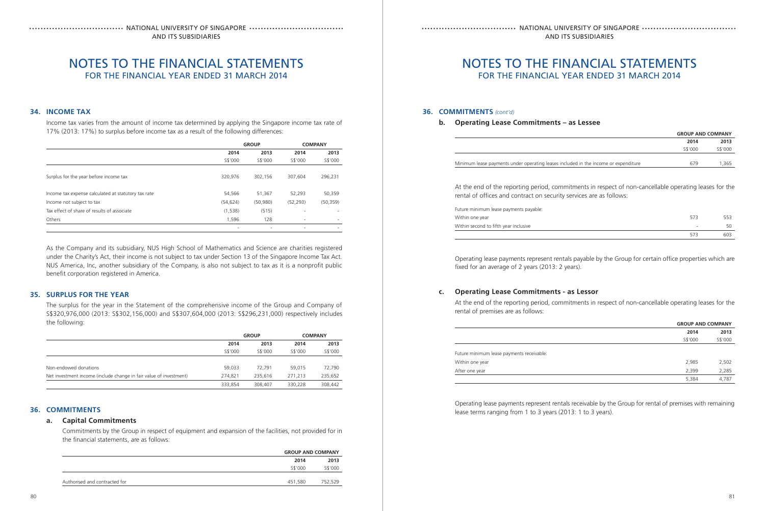## NOTES TO THE FINANCIAL STATEMENTS FOR THE FINANCIAL YEAR ENDED 31 MARCH 2014

#### **34. INCOME TAX**

Income tax varies from the amount of income tax determined by applying the Singapore income tax rate of 17% (2013: 17%) to surplus before income tax as a result of the following differences:

|                                                     | <b>GROUP</b>   |           | <b>COMPANY</b>           |                          |
|-----------------------------------------------------|----------------|-----------|--------------------------|--------------------------|
|                                                     | 2014           | 2013      | 2014                     | 2013                     |
|                                                     | S\$'000        | S\$'000   | S\$'000                  | S\$'000                  |
| Surplus for the year before income tax              | 320,976        | 302.156   | 307.604                  | 296,231                  |
| Income tax expense calculated at statutory tax rate | 54,566         | 51,367    | 52,293                   | 50,359                   |
| Income not subject to tax                           | (54, 624)      | (50, 980) | (52, 293)                | (50, 359)                |
| Tax effect of share of results of associate         | (1,538)        | (515)     | $\overline{\phantom{a}}$ |                          |
| Others                                              | 1,596          | 128       | $\sim$                   | ٠                        |
|                                                     | $\overline{a}$ |           | $\overline{\phantom{a}}$ | $\overline{\phantom{a}}$ |

As the Company and its subsidiary, NUS High School of Mathematics and Science are charities registered under the Charity's Act, their income is not subject to tax under Section 13 of the Singapore Income Tax Act. NUS America, Inc, another subsidiary of the Company, is also not subject to tax as it is a nonprofit public benefit corporation registered in America.

### **35. SURPLUS FOR THE YEAR**

The surplus for the year in the Statement of the comprehensive income of the Group and Company of S\$320,976,000 (2013: S\$302,156,000) and S\$307,604,000 (2013: S\$296,231,000) respectively includes the following:

|                                                                    | <b>GROUP</b> |         | <b>COMPANY</b> |         |
|--------------------------------------------------------------------|--------------|---------|----------------|---------|
|                                                                    | 2014         | 2013    | 2014           | 2013    |
|                                                                    | S\$'000      | S\$'000 | S\$'000        | S\$'000 |
| Non-endowed donations                                              | 59.033       | 72.791  | 59,015         | 72,790  |
| Net investment income (include change in fair value of investment) | 274.821      | 235,616 | 271,213        | 235,652 |
|                                                                    | 333.854      | 308,407 | 330,228        | 308,442 |

#### **36. COMMITMENTS**

#### **a. Capital Commitments**

Commitments by the Group in respect of equipment and expansion of the facilities, not provided for in the financial statements, are as follows:

|                               |         | <b>GROUP AND COMPANY</b> |
|-------------------------------|---------|--------------------------|
|                               | 2014    | 2013                     |
|                               | S\$'000 | S\$'000                  |
|                               |         |                          |
| Authorised and contracted for | 451.580 | 752.529                  |

## NOTES TO THE FINANCIAL STATEMENTS FOR THE FINANCIAL YEAR ENDED 31 MARCH 2014

### **36. COMMITMENTS** *(cont'd)*

**b. Operating Lease Commitments – as Lessee**

|                                                                                     | <b>GROUP AND COMPANY</b> |         |  |
|-------------------------------------------------------------------------------------|--------------------------|---------|--|
|                                                                                     | 2014                     | 2013    |  |
|                                                                                     | S\$'000                  | S\$'000 |  |
|                                                                                     |                          |         |  |
| Minimum lease payments under operating leases included in the income or expenditure | 679                      | 1.365   |  |

At the end of the reporting period, commitments in respect of non-cancellable operating leases for the rental of offices and contract on security services are as follows:

Future minimum lease payments payable:

|                                       |        | 603 |
|---------------------------------------|--------|-----|
| Within second to fifth year inclusive | $\sim$ | 50  |
| Within one year                       |        | 553 |
|                                       |        |     |

Operating lease payments represent rentals payable by the Group for certain office properties which are fixed for an average of 2 years (2013: 2 years).

### **c. Operating Lease Commitments - as Lessor**

At the end of the reporting period, commitments in respect of non-cancellable operating leases for the rental of premises are as follows:

|                                           |         | <b>GROUP AND COMPANY</b> |  |  |
|-------------------------------------------|---------|--------------------------|--|--|
|                                           | 2014    | 2013                     |  |  |
|                                           | S\$'000 | S\$'000                  |  |  |
| Future minimum lease payments receivable: |         |                          |  |  |
| Within one year                           | 2,985   | 2,502                    |  |  |
| After one year                            | 2,399   | 2,285                    |  |  |
|                                           | 5,384   | 4,787                    |  |  |

Operating lease payments represent rentals receivable by the Group for rental of premises with remaining lease terms ranging from 1 to 3 years (2013: 1 to 3 years).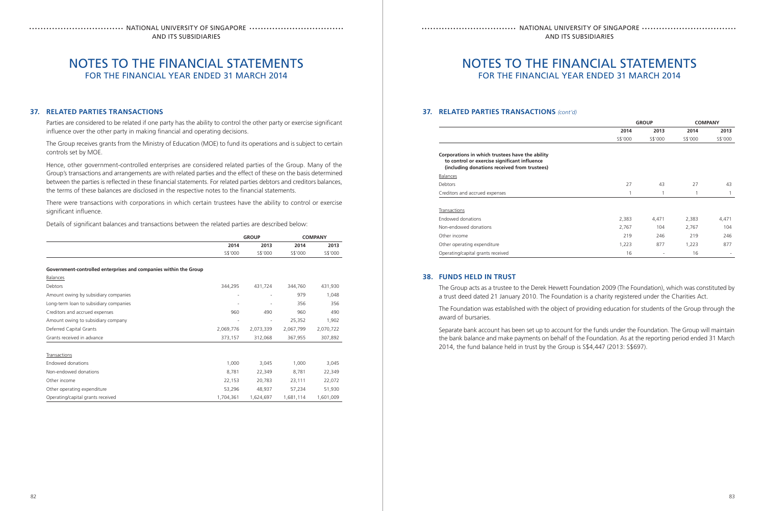## NOTES TO THE FINANCIAL STATEMENTS FOR THE FINANCIAL YEAR ENDED 31 MARCH 2014

## **37. RELATED PARTIES TRANSACTIONS**

Parties are considered to be related if one party has the ability to control the other party or exercise significant influence over the other party in making financial and operating decisions.

The Group receives grants from the Ministry of Education (MOE) to fund its operations and is subject to certain controls set by MOE.

Hence, other government-controlled enterprises are considered related parties of the Group. Many of the Group's transactions and arrangements are with related parties and the effect of these on the basis determined between the parties is reflected in these financial statements. For related parties debtors and creditors balances, the terms of these balances are disclosed in the respective notes to the financial statements.

There were transactions with corporations in which certain trustees have the ability to control or exercise significant influence.

Details of significant balances and transactions between the related parties are described below:

|                                                                  | <b>GROUP</b>             |                          | <b>COMPANY</b> |           |
|------------------------------------------------------------------|--------------------------|--------------------------|----------------|-----------|
|                                                                  | 2014                     | 2013                     | 2014           | 2013      |
|                                                                  | S\$'000                  | S\$'000                  | S\$'000        | S\$'000   |
| Government-controlled enterprises and companies within the Group |                          |                          |                |           |
| <b>Balances</b>                                                  |                          |                          |                |           |
| Debtors                                                          | 344,295                  | 431,724                  | 344,760        | 431,930   |
| Amount owing by subsidiary companies                             |                          | ٠                        | 979            | 1,048     |
| Long-term loan to subsidiary companies                           |                          | ٠                        | 356            | 356       |
| Creditors and accrued expenses                                   | 960                      | 490                      | 960            | 490       |
| Amount owing to subsidiary company                               | $\overline{\phantom{a}}$ | $\overline{\phantom{a}}$ | 25,352         | 1,902     |
| Deferred Capital Grants                                          | 2,069,776                | 2,073,339                | 2,067,799      | 2,070,722 |
| Grants received in advance                                       | 373,157                  | 312,068                  | 367,955        | 307,892   |
| Transactions                                                     |                          |                          |                |           |
| Endowed donations                                                | 1,000                    | 3,045                    | 1,000          | 3,045     |
| Non-endowed donations                                            | 8.781                    | 22,349                   | 8,781          | 22,349    |
| Other income                                                     | 22,153                   | 20,783                   | 23,111         | 22,072    |
| Other operating expenditure                                      | 53,296                   | 48,937                   | 57,234         | 51,930    |
| Operating/capital grants received                                | 1,704,361                | 1,624,697                | 1,681,114      | 1,601,009 |

## NOTES TO THE FINANCIAL STATEMENTS FOR THE FINANCIAL YEAR ENDED 31 MARCH 2014

## **37. RELATED PARTIES TRANSACTIONS** *(cont'd)*

|                                                                                                                                                 | <b>GROUP</b> |         | <b>COMPANY</b> |         |
|-------------------------------------------------------------------------------------------------------------------------------------------------|--------------|---------|----------------|---------|
|                                                                                                                                                 | 2014         | 2013    | 2014           | 2013    |
|                                                                                                                                                 | S\$'000      | S\$'000 | S\$'000        | S\$'000 |
| Corporations in which trustees have the ability<br>to control or exercise significant influence<br>(including donations received from trustees) |              |         |                |         |
| Balances                                                                                                                                        |              |         |                |         |
| Debtors                                                                                                                                         | 27           | 43      | 27             | 43      |
| Creditors and accrued expenses                                                                                                                  |              |         |                |         |
| Transactions                                                                                                                                    |              |         |                |         |
| Endowed donations                                                                                                                               | 2,383        | 4,471   | 2,383          | 4,471   |
| Non-endowed donations                                                                                                                           | 2,767        | 104     | 2,767          | 104     |
| Other income                                                                                                                                    | 219          | 246     | 219            | 246     |
| Other operating expenditure                                                                                                                     | 1,223        | 877     | 1,223          | 877     |
| Operating/capital grants received                                                                                                               | 16           |         | 16             |         |

## **38. FUNDS HELD IN TRUST**

The Group acts as a trustee to the Derek Hewett Foundation 2009 (The Foundation), which was constituted by a trust deed dated 21 January 2010. The Foundation is a charity registered under the Charities Act.

The Foundation was established with the object of providing education for students of the Group through the award of bursaries.

Separate bank account has been set up to account for the funds under the Foundation. The Group will maintain the bank balance and make payments on behalf of the Foundation. As at the reporting period ended 31 March 2014, the fund balance held in trust by the Group is S\$4,447 (2013: S\$697).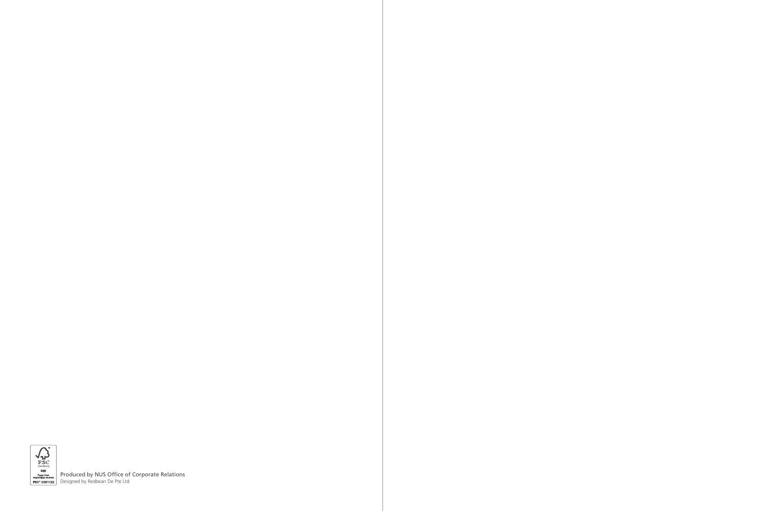